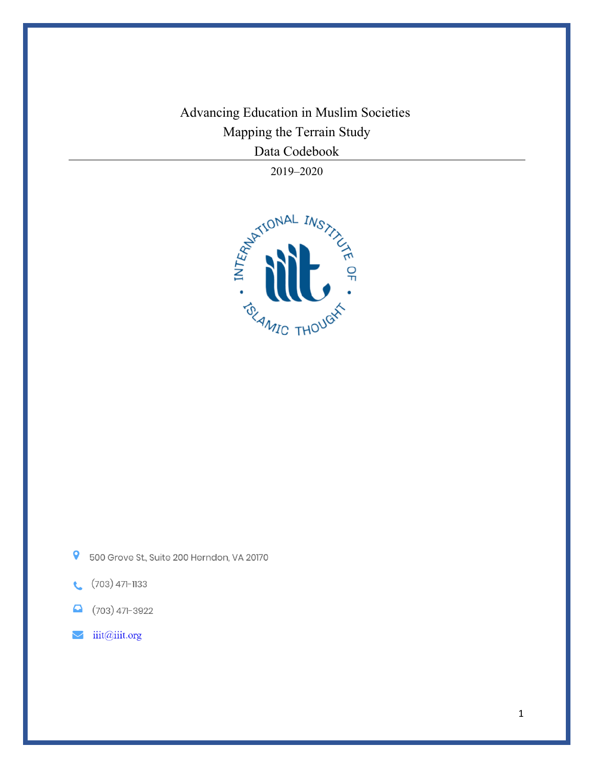Advancing Education in Muslim Societies Mapping the Terrain Study Data Codebook

2019–2020



- $\overline{\mathbf{Q}}$ 500 Grove St., Suite 200 Herndon, VA 20170
- $(703)$  471-1133  $\mathbf{C}$
- $(703)$  471-3922  $\mathbf{\Omega}$
- iiit@iiit.org  $\blacktriangleright$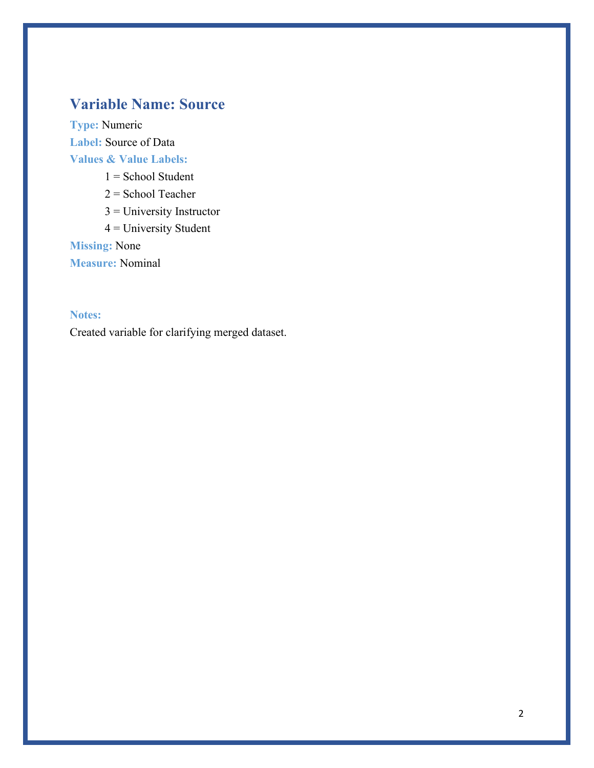## **Variable Name: Source**

**Type:** Numeric **Label:** Source of Data **Values & Value Labels:**  $1 =$  School Student

2 = School Teacher

3 = University Instructor

4 = University Student

**Missing:** None

**Measure:** Nominal

### **Notes:**

Created variable for clarifying merged dataset.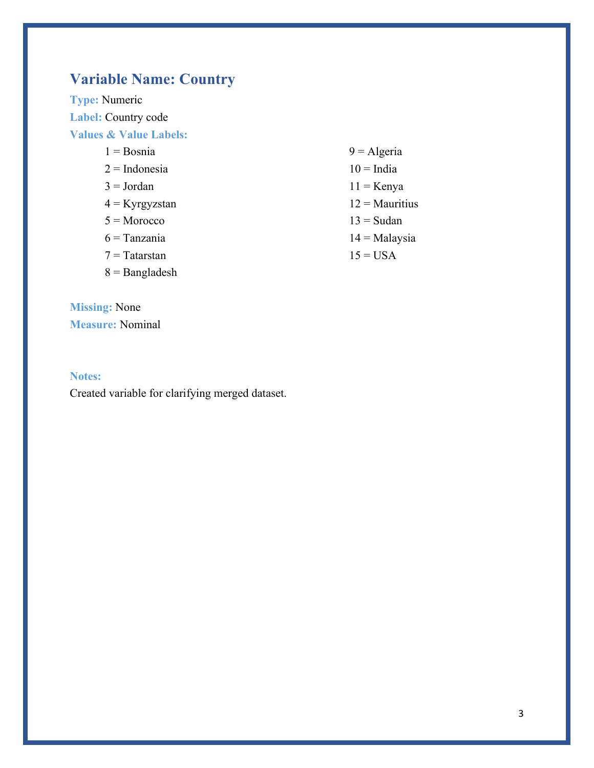## **Variable Name: Country**

**Type:** Numeric **Label:** Country code **Values & Value Labels:**

- $1 = Rosnia$
- $2 = Indonesia$
- $3 = Jordan$
- $4$  = Kyrgyzstan
- $5 = \text{Moreover}$
- $6$  = Tanzania
- $7 = T \text{atarstan}$
- 8 = Bangladesh

**Missing:** None **Measure:** Nominal

#### **Notes:**

Created variable for clarifying merged dataset.

- $9 =$  Algeria
- $10$  = India
- $11 =$ Kenya
- $12 =$  Mauritius
- $13 =$ Sudan
- $14 =$ Malaysia
- $15 = USA$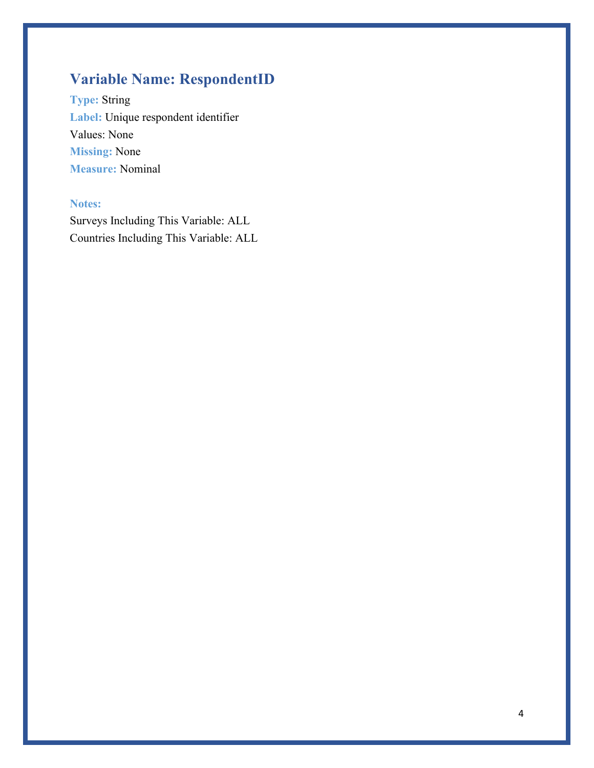## **Variable Name: RespondentID**

**Type:** String **Label:** Unique respondent identifier Values: None **Missing:** None **Measure:** Nominal

## **Notes:**

Surveys Including This Variable: ALL Countries Including This Variable: ALL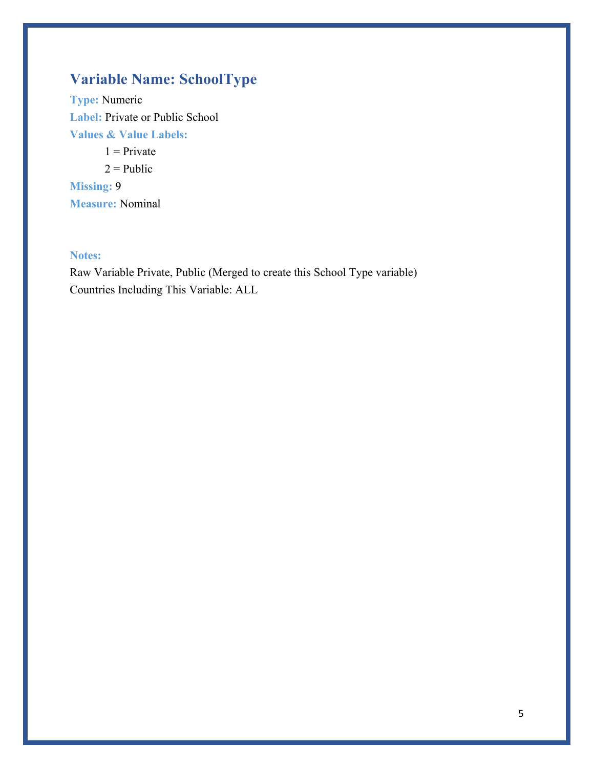## **Variable Name: SchoolType**

**Type:** Numeric **Label:** Private or Public School **Values & Value Labels:**

 $1$  = Private  $2 =$ Public **Missing:** 9 **Measure:** Nominal

### **Notes:**

Raw Variable Private, Public (Merged to create this School Type variable) Countries Including This Variable: ALL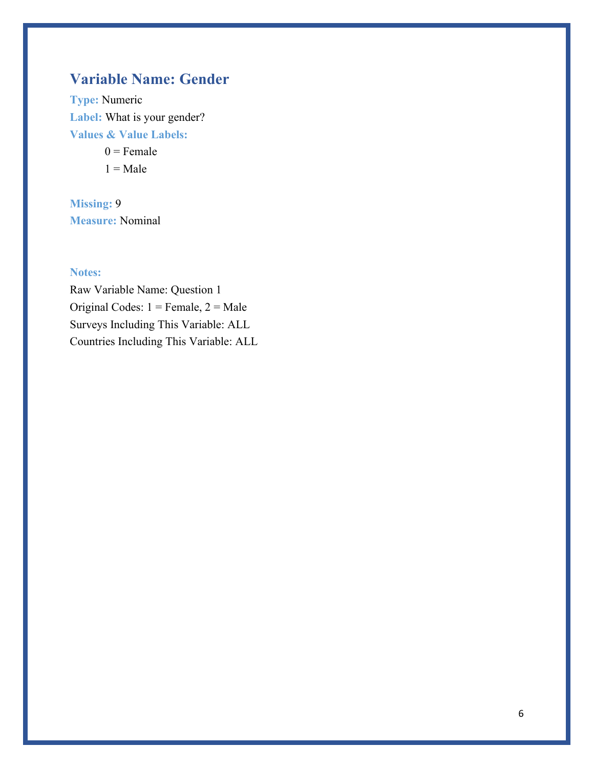## **Variable Name: Gender**

**Type:** Numeric **Label:** What is your gender? **Values & Value Labels:**

> $0 =$ Female  $1 =$ Male

**Missing:** 9 **Measure:** Nominal

### **Notes:**

Raw Variable Name: Question 1 Original Codes:  $1 =$  Female,  $2 =$  Male Surveys Including This Variable: ALL Countries Including This Variable: ALL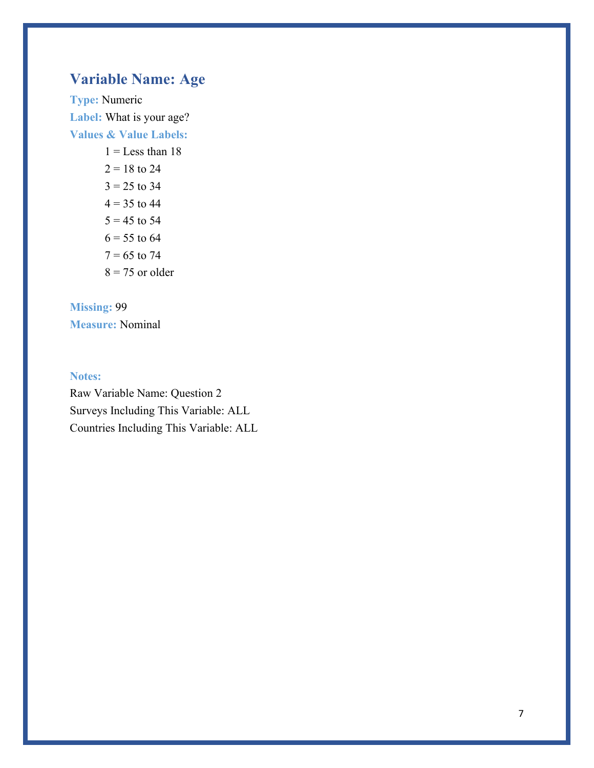## **Variable Name: Age**

**Type:** Numeric **Label:** What is your age? **Values & Value Labels:**

 $1 =$ Less than 18  $2 = 18$  to 24  $3 = 25$  to 34  $4 = 35$  to 44  $5 = 45$  to 54  $6 = 55$  to 64  $7 = 65$  to 74  $8 = 75$  or older

# **Missing:** 99

**Measure:** Nominal

### **Notes:**

Raw Variable Name: Question 2 Surveys Including This Variable: ALL Countries Including This Variable: ALL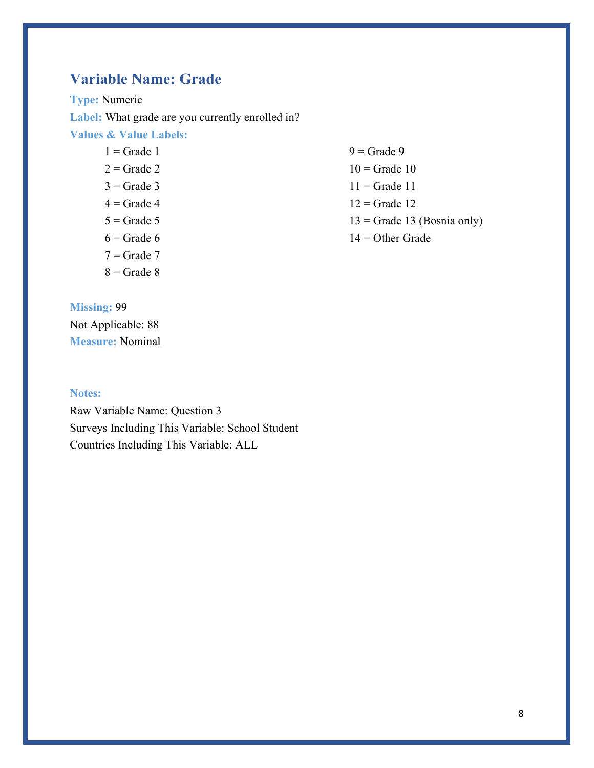## **Variable Name: Grade**

**Type:** Numeric Label: What grade are you currently enrolled in? **Values & Value Labels:**

- $1 =$  Grade 1  $2 =$ Grade 2  $3$  = Grade 3  $4$  = Grade 4  $5 =$ Grade 5  $6$  = Grade 6  $7 =$ Grade  $7$
- $8 =$  Grade  $8$

**Missing:** 99 Not Applicable: 88 **Measure:** Nominal

#### **Notes:**

Raw Variable Name: Question 3 Surveys Including This Variable: School Student Countries Including This Variable: ALL

 $9 =$ Grade 9  $10$  = Grade  $10$  $11 =$  Grade 11  $12$  = Grade 12  $13 =$  Grade 13 (Bosnia only) 14 = Other Grade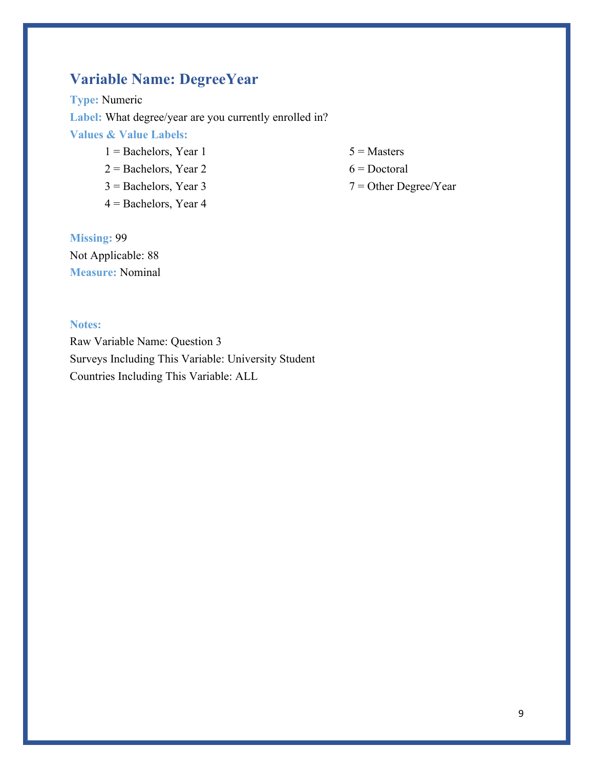## **Variable Name: DegreeYear**

**Type:** Numeric Label: What degree/year are you currently enrolled in? **Values & Value Labels:**

- $1 =$ Bachelors, Year 1
- 2 = Bachelors, Year 2
- 3 = Bachelors, Year 3
- $4 =$ Bachelors, Year 4
- $5 =$ Masters
- $6$  = Doctoral
- 7 = Other Degree/Year

**Missing:** 99 Not Applicable: 88 **Measure:** Nominal

### **Notes:**

Raw Variable Name: Question 3 Surveys Including This Variable: University Student Countries Including This Variable: ALL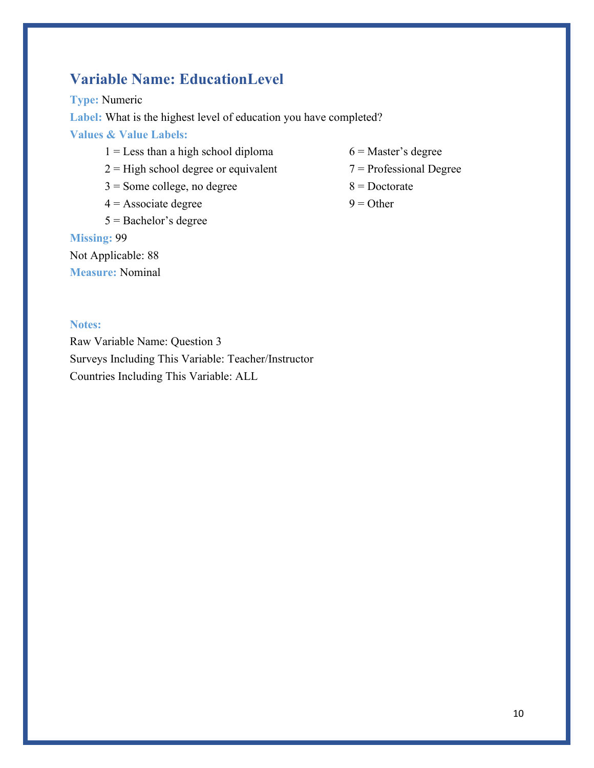## **Variable Name: EducationLevel**

**Type:** Numeric

**Label:** What is the highest level of education you have completed?

**Values & Value Labels:**

- $1 =$  Less than a high school diploma
- $2 =$  High school degree or equivalent
- 3 = Some college, no degree
- $4 =$  Associate degree
- 5 = Bachelor's degree

### **Missing:** 99

Not Applicable: 88

**Measure:** Nominal

- 6 = Master's degree
- 7 = Professional Degree
- $8 =$ Doctorate
- $9 =$  Other

#### **Notes:**

Raw Variable Name: Question 3 Surveys Including This Variable: Teacher/Instructor Countries Including This Variable: ALL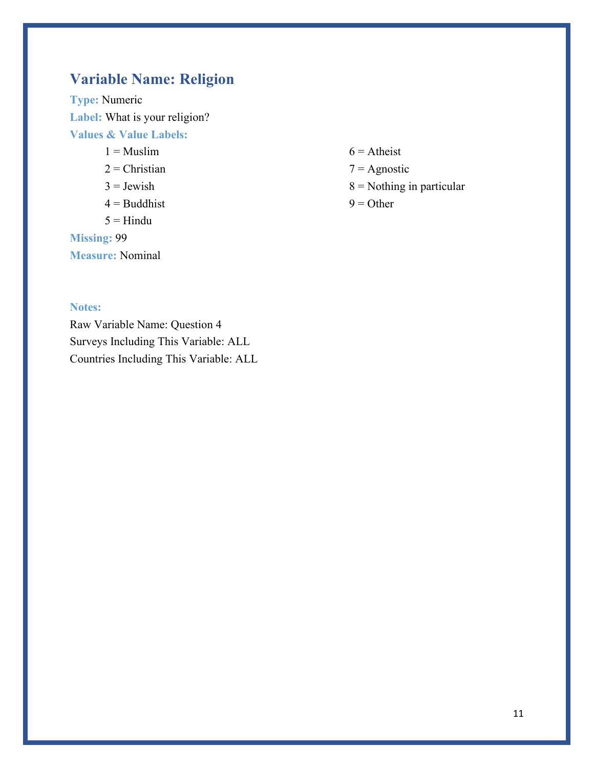## **Variable Name: Religion**

**Type:** Numeric **Label:** What is your religion? **Values & Value Labels:**

- $1 =$ Muslim
- $2$  = Christian
- $3 =$  Jewish
- $4 =$ Buddhist
- $5 =$ Hindu

**Missing:** 99

**Measure:** Nominal

**Notes:**

Raw Variable Name: Question 4 Surveys Including This Variable: ALL Countries Including This Variable: ALL

- $6 =$  Atheist
- $7 =$  Agnostic
- $8$  = Nothing in particular
- $9 =$  Other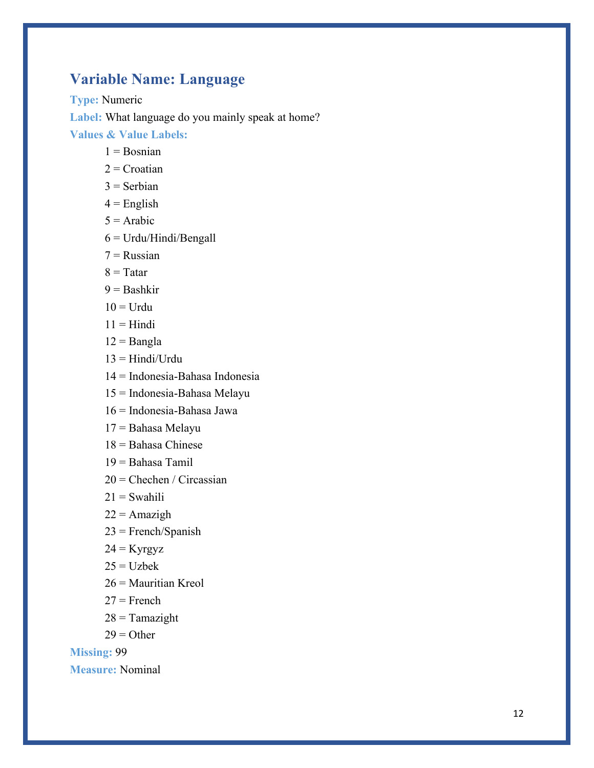## **Variable Name: Language**

**Type:** Numeric **Label:** What language do you mainly speak at home? **Values & Value Labels:**

- $1 = Rosnian$
- $2$  = Croatian
- $3$  = Serbian
- $4$  = English
- $5 =$ Arabic
- 6 = Urdu/Hindi/Bengall
- $7$  = Russian
- $8 =$ Tatar
- $9 =$ Bashkir
- $10 = Urdu$
- $11 = Hindi$
- $12 =$ Bangla
- $13 = Hindi/Urdu$
- 14 = Indonesia-Bahasa Indonesia
- 15 = Indonesia-Bahasa Melayu
- 16 = Indonesia-Bahasa Jawa
- 17 = Bahasa Melayu
- $18 =$ Bahasa Chinese
- 19 = Bahasa Tamil
- $20$  = Chechen / Circassian
- $21 =$  Swahili
- $22 =$ Amazigh
- 23 = French/Spanish
- $24 =$ Kyrgyz
- $25 = Uzbek$
- 26 = Mauritian Kreol
- $27 =$ French
- $28 =$ Tamazight
- $29 =$ Other

**Missing:** 99

**Measure:** Nominal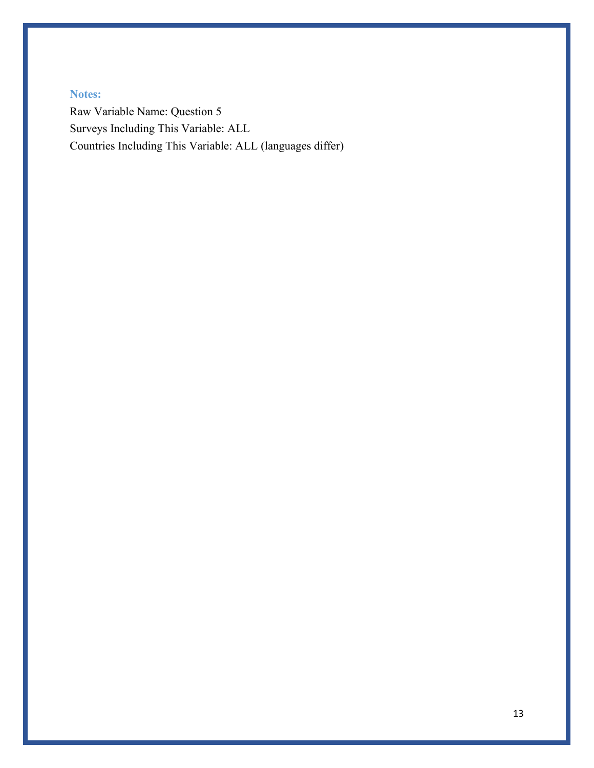### **Notes:**

Raw Variable Name: Question 5 Surveys Including This Variable: ALL Countries Including This Variable: ALL (languages differ)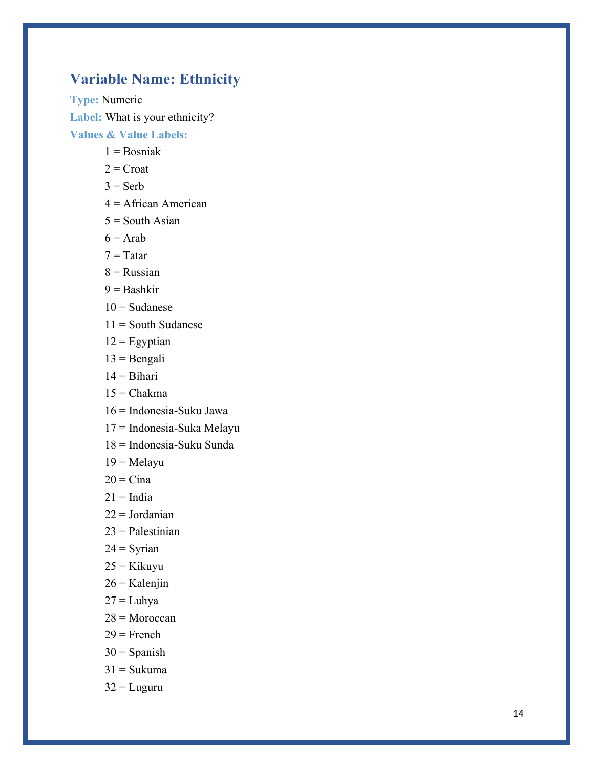## **Variable Name : Ethnicity**

**Type:** Numeric **Label:** What is your ethnicity? **Values & Value Labels:**

- $1 =$ Bosniak
- $2$  = Croat
- $3 =$ Serb
- 4 = African American
- $5 =$  South Asian
- $6 =$ Arab
- $7 = Tatar$
- $8$  = Russian
- $9 =$ Bashkir
- $10 =$ Sudanese
- $11$  = South Sudanese
- $12$  = Egyptian
- $13 =$ Bengali
- $14 = \text{Bihari}$
- $15 = Chakma$
- 16 = Indonesia -Suku Jawa
- 17 = Indonesia -Suka Melayu
- 18 = Indonesia -Suku Sunda
- $19 =$ Melayu
- $20 = C$ ina
- $21 = India$
- $22 = Jordanian$
- $23$  = Palestinian
- $24 =$  Syrian
- 25 = Kikuy u
- $26 =$ Kalenjin
- $27 = Luhya$
- 28 = Moroccan
- $29$  = French
- $30 =$ Spanish
- $31 = Sukuma$
- $32$  = Luguru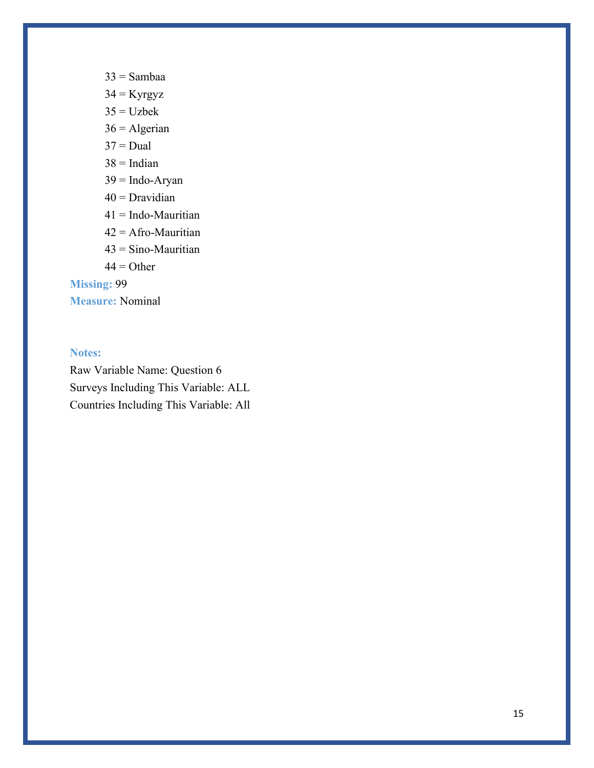- $33 =$ Sambaa
- $34 =$ Kyrgyz
- $35 = Uzbek$
- $36 =$  Algerian
- $37 =$ Dual
- $38$  = Indian
- $39 =$  Indo-Aryan
- $40$  = Dravidian
- 41 = Indo-Mauritian
- 42 = Afro-Mauritian
- 43 = Sino-Mauritian
- $44 = Other$

**Missing:** 99

**Measure:** Nominal

### **Notes:**

Raw Variable Name: Question 6 Surveys Including This Variable: ALL Countries Including This Variable: All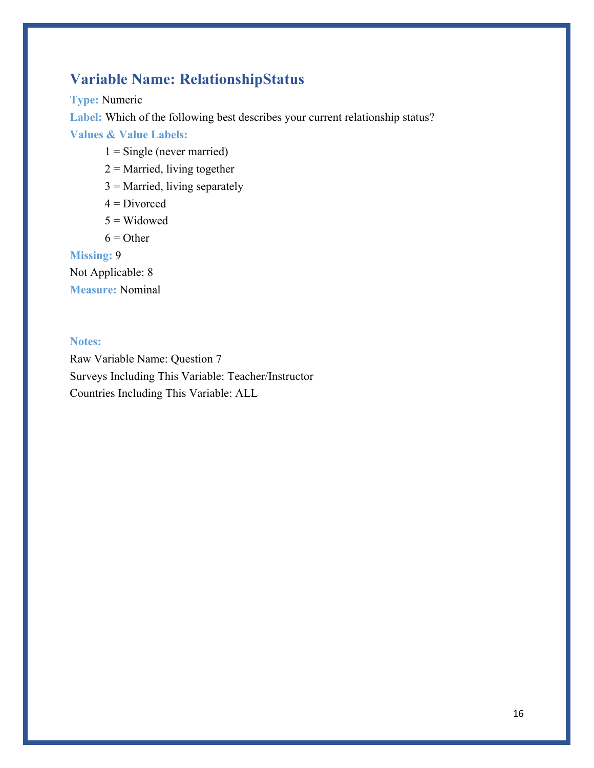## **Variable Name: RelationshipStatus**

**Type:** Numeric

Label: Which of the following best describes your current relationship status?

**Values & Value Labels:**

- $1 =$  Single (never married)
- $2$  = Married, living together
- $3$  = Married, living separately
- $4$  = Divorced
- $5 =$  Widowed
- $6 =$  Other

**Missing:** 9

Not Applicable: 8 **Measure:** Nominal

#### **Notes:**

Raw Variable Name: Question 7 Surveys Including This Variable: Teacher/Instructor Countries Including This Variable: ALL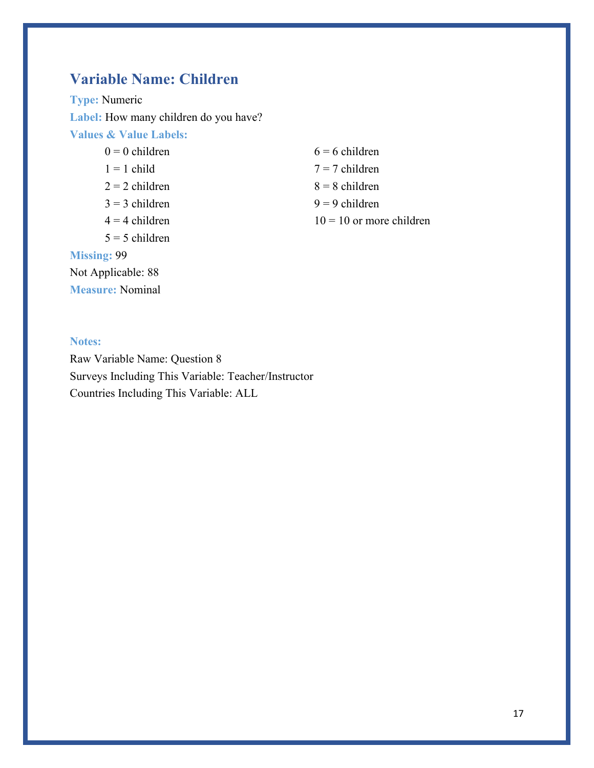## **Variable Name: Children**

**Type:** Numeric **Label:** How many children do you have? **Values & Value Labels:**

 $0 = 0$  children  $1 = 1$  child  $2 = 2$  children  $3 = 3$  children  $4 = 4$  children  $5 = 5$  children **Missing:** 99

Not Applicable: 88 **Measure:** Nominal  $6 = 6$  children  $7 = 7$  children  $8 = 8$  children  $9 = 9$  children  $10 = 10$  or more children

### **Notes:**

Raw Variable Name: Question 8 Surveys Including This Variable: Teacher/Instructor Countries Including This Variable: ALL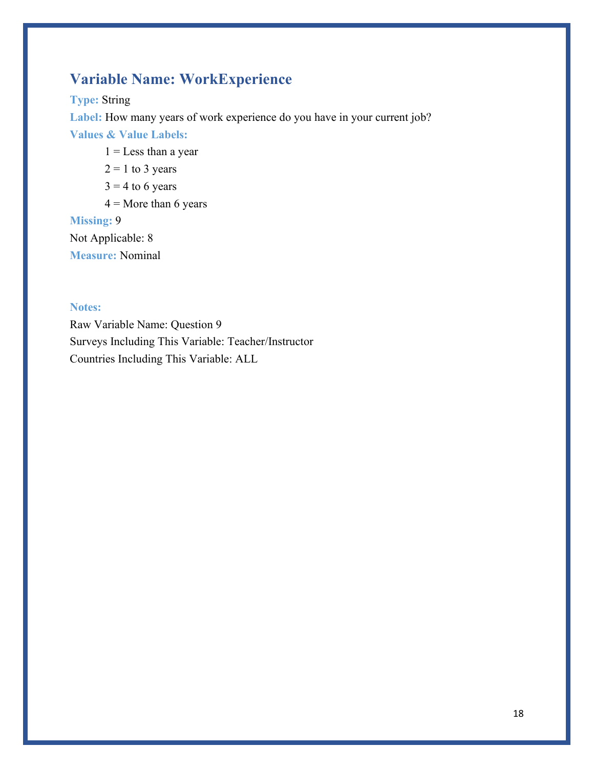## **Variable Name: WorkExperience**

**Type:** String

Label: How many years of work experience do you have in your current job?

**Values & Value Labels:**

- $1 =$ Less than a year
- $2 = 1$  to 3 years
- $3 = 4$  to 6 years
- $4 =$ More than 6 years

### **Missing:** 9

Not Applicable: 8 **Measure:** Nominal

### **Notes:**

Raw Variable Name: Question 9 Surveys Including This Variable: Teacher/Instructor Countries Including This Variable: ALL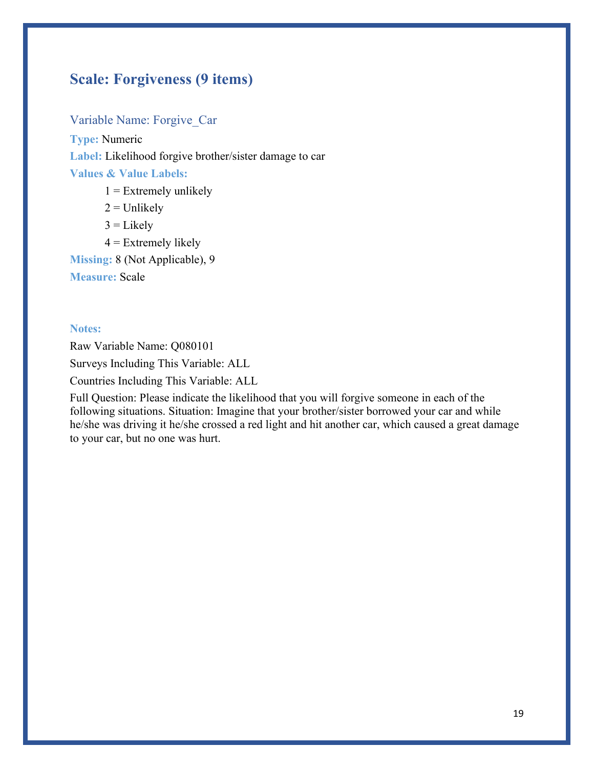## **Scale: Forgiveness (9 items)**

Variable Name: Forgive\_Car **Type:** Numeric **Label:** Likelihood forgive brother/sister damage to car **Values & Value Labels:**

 $1 =$  Extremely unlikely  $2 =$  Unlikely  $3 =$  Likely

 $4$  = Extremely likely

**Missing:** 8 (Not Applicable), 9

**Measure:** Scale

#### **Notes:**

Raw Variable Name: Q080101 Surveys Including This Variable: ALL Countries Including This Variable: ALL

Full Question: Please indicate the likelihood that you will forgive someone in each of the following situations. Situation: Imagine that your brother/sister borrowed your car and while he/she was driving it he/she crossed a red light and hit another car, which caused a great damage to your car, but no one was hurt.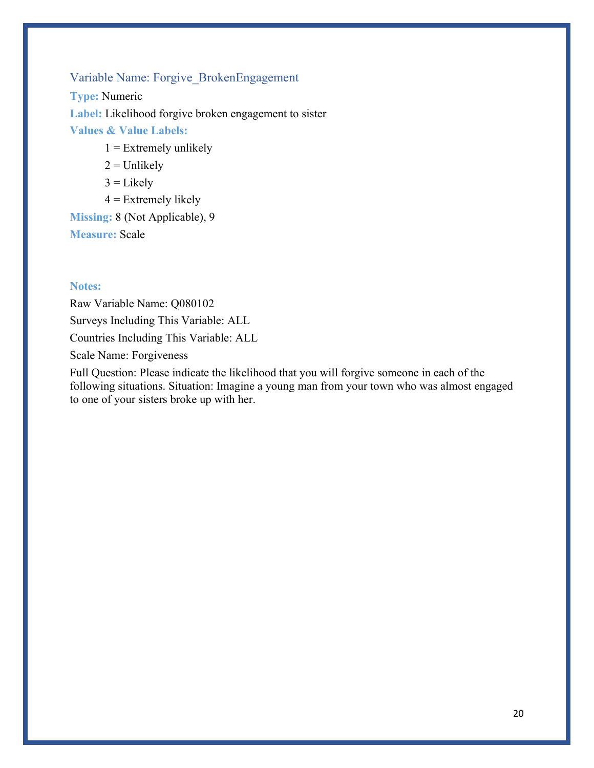### Variable Name: Forgive\_BrokenEngagement

**Type:** Numeric **Label:** Likelihood forgive broken engagement to sister **Values & Value Labels:**

- $1 =$  Extremely unlikely
- $2 =$  Unlikely
- $3 =$  Likely
- $4$  = Extremely likely

**Missing:** 8 (Not Applicable), 9 **Measure:** Scale

#### **Notes:**

Raw Variable Name: Q080102 Surveys Including This Variable: ALL Countries Including This Variable: ALL Scale Name: Forgiveness

Full Question: Please indicate the likelihood that you will forgive someone in each of the following situations. Situation: Imagine a young man from your town who was almost engaged to one of your sisters broke up with her.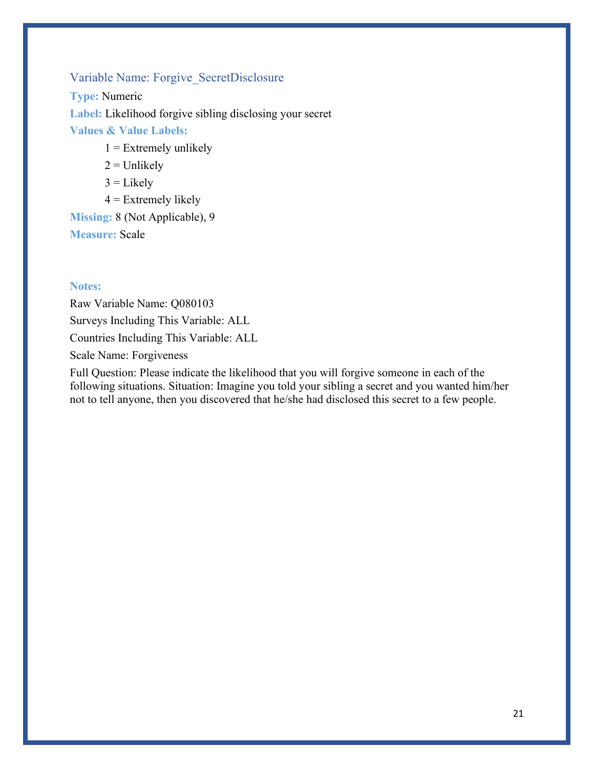## Variable Name: Forgive\_SecretDisclosure

**Type:** Numeric **Label:** Likelihood forgive sibling disclosing your secret **Values & Value Labels:**

- $1 =$  Extremely unlikely
- $2 =$  Unlikely
- $3 =$  Likely
- $4$  = Extremely likely

**Missing:** 8 (Not Applicable), 9 **Measure:** Scale

#### **Notes:**

Raw Variable Name: Q080103 Surveys Including This Variable: ALL Countries Including This Variable: ALL Scale Name: Forgiveness

Full Question: Please indicate the likelihood that you will forgive someone in each of the following situations. Situation: Imagine you told your sibling a secret and you wanted him/her not to tell anyone, then you discovered that he/she had disclosed this secret to a few people.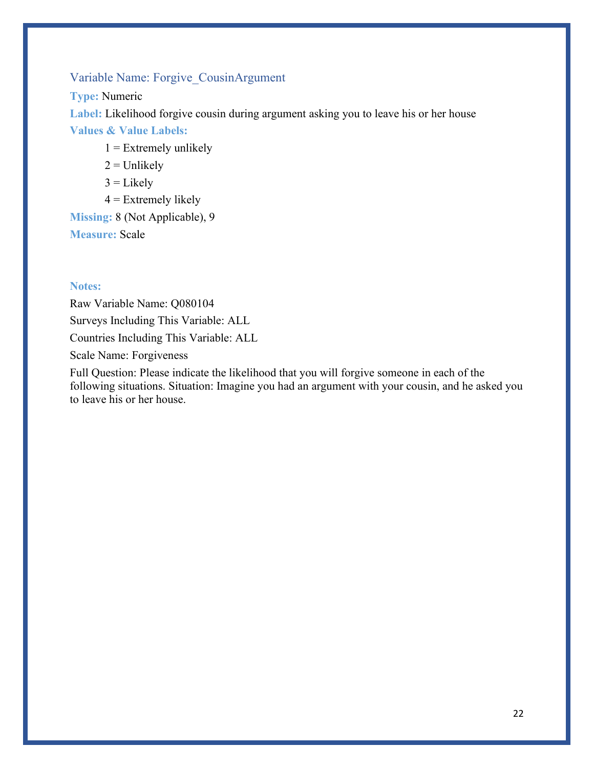### Variable Name: Forgive\_CousinArgument

**Type:** Numeric

Label: Likelihood forgive cousin during argument asking you to leave his or her house

**Values & Value Labels:**

- $1 =$  Extremely unlikely
- $2 =$  Unlikely
- $3 =$  Likely
- $4$  = Extremely likely

**Missing:** 8 (Not Applicable), 9 **Measure:** Scale

#### **Notes:**

Raw Variable Name: Q080104 Surveys Including This Variable: ALL Countries Including This Variable: ALL Scale Name: Forgiveness

Full Question: Please indicate the likelihood that you will forgive someone in each of the following situations. Situation: Imagine you had an argument with your cousin, and he asked you to leave his or her house.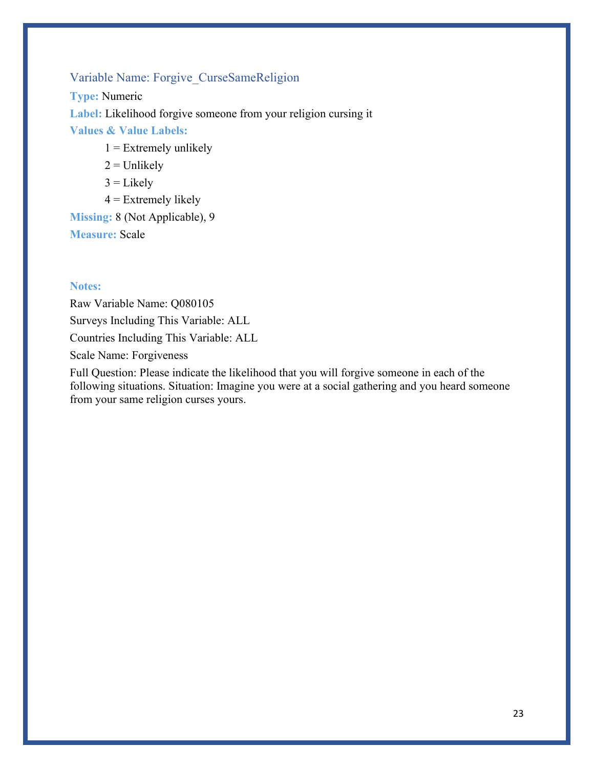## Variable Name: Forgive\_CurseSameReligion

**Type:** Numeric **Label:** Likelihood forgive someone from your religion cursing it **Values & Value Labels:**

- $1 =$  Extremely unlikely
- $2 =$  Unlikely
- $3 =$  Likely
- $4$  = Extremely likely

**Missing:** 8 (Not Applicable), 9 **Measure:** Scale

#### **Notes:**

Raw Variable Name: Q080105 Surveys Including This Variable: ALL Countries Including This Variable: ALL Scale Name: Forgiveness

Full Question: Please indicate the likelihood that you will forgive someone in each of the following situations. Situation: Imagine you were at a social gathering and you heard someone from your same religion curses yours.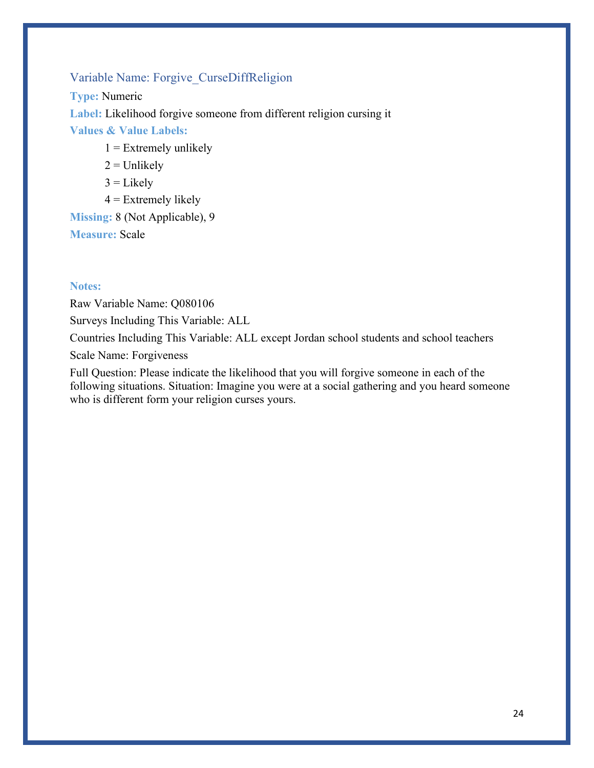### Variable Name: Forgive\_CurseDiffReligion

**Type:** Numeric **Label:** Likelihood forgive someone from different religion cursing it **Values & Value Labels:**

- $1 =$  Extremely unlikely
- $2 =$  Unlikely
- $3 =$ Likely
- $4$  = Extremely likely

### **Missing:** 8 (Not Applicable), 9 **Measure:** Scale

#### **Notes:**

Raw Variable Name: Q080106

Surveys Including This Variable: ALL

Countries Including This Variable: ALL except Jordan school students and school teachers

Scale Name: Forgiveness

Full Question: Please indicate the likelihood that you will forgive someone in each of the following situations. Situation: Imagine you were at a social gathering and you heard someone who is different form your religion curses yours.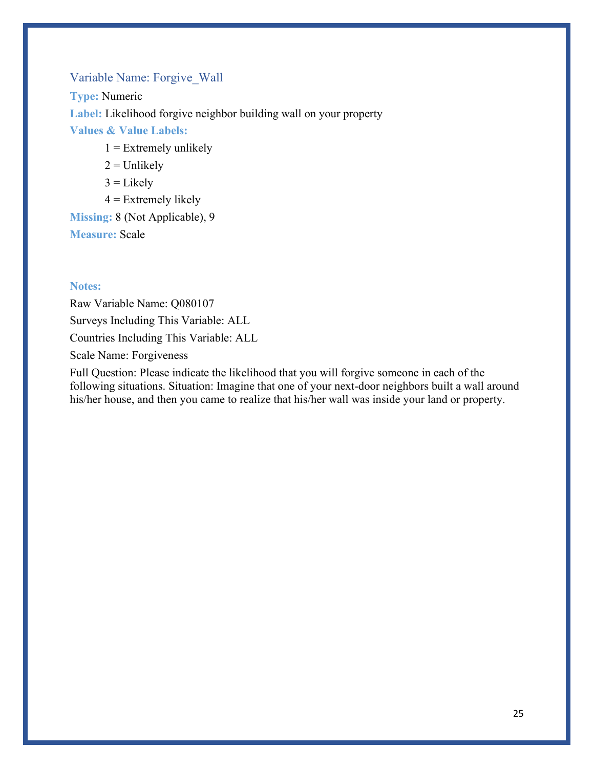### Variable Name: Forgive\_Wall

**Type:** Numeric **Label:** Likelihood forgive neighbor building wall on your property **Values & Value Labels:**

- $1 =$  Extremely unlikely
- $2 =$  Unlikely
- $3 =$  Likely
- $4$  = Extremely likely

## **Missing:** 8 (Not Applicable), 9 **Measure:** Scale

#### **Notes:**

Raw Variable Name: Q080107 Surveys Including This Variable: ALL Countries Including This Variable: ALL Scale Name: Forgiveness

Full Question: Please indicate the likelihood that you will forgive someone in each of the following situations. Situation: Imagine that one of your next-door neighbors built a wall around his/her house, and then you came to realize that his/her wall was inside your land or property.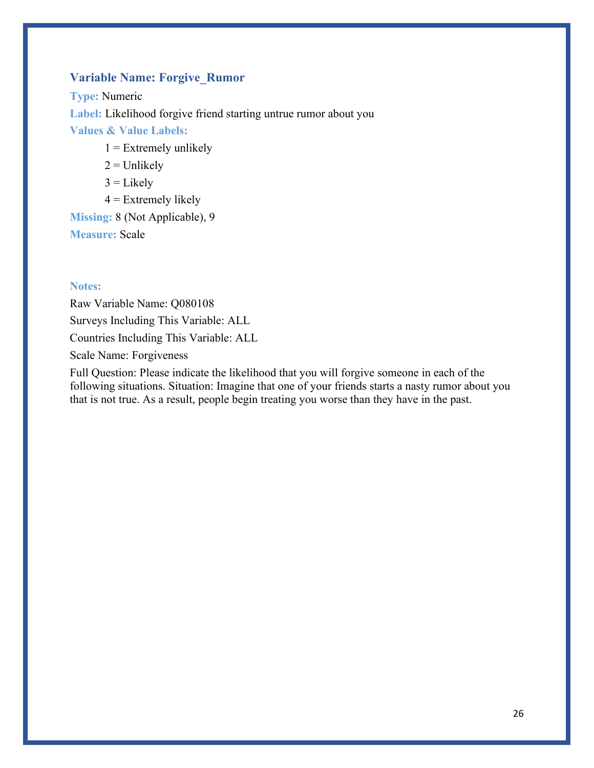### **Variable Name: Forgive\_Rumor**

**Type:** Numeric **Label:** Likelihood forgive friend starting untrue rumor about you **Values & Value Labels:**

- $1 =$  Extremely unlikely
- $2 =$  Unlikely
- $3 =$  Likely
- $4$  = Extremely likely

**Missing:** 8 (Not Applicable), 9 **Measure:** Scale

#### **Notes:**

Raw Variable Name: Q080108 Surveys Including This Variable: ALL Countries Including This Variable: ALL Scale Name: Forgiveness

Full Question: Please indicate the likelihood that you will forgive someone in each of the following situations. Situation: Imagine that one of your friends starts a nasty rumor about you that is not true. As a result, people begin treating you worse than they have in the past.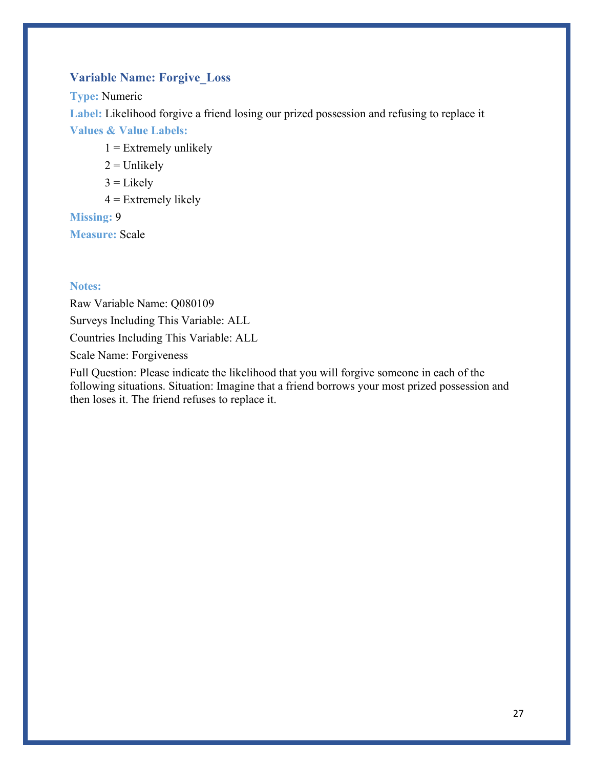### **Variable Name: Forgive\_Loss**

**Type:** Numeric

**Label:** Likelihood forgive a friend losing our prized possession and refusing to replace it

**Values & Value Labels:**

- $1 =$  Extremely unlikely
- $2 =$  Unlikely
- $3 =$ Likely
- $4$  = Extremely likely

**Missing:** 9

**Measure:** Scale

### **Notes:**

Raw Variable Name: Q080109 Surveys Including This Variable: ALL Countries Including This Variable: ALL Scale Name: Forgiveness

Full Question: Please indicate the likelihood that you will forgive someone in each of the following situations. Situation: Imagine that a friend borrows your most prized possession and then loses it. The friend refuses to replace it.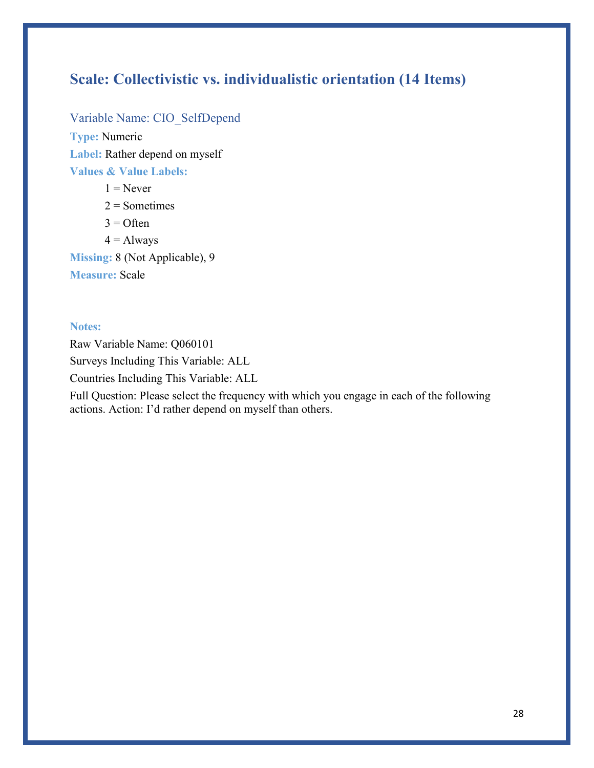## **Scale: Collectivistic vs. individualistic orientation (14 Items)**

Variable Name: CIO\_SelfDepend **Type:** Numeric **Label:** Rather depend on myself **Values & Value Labels:**

 $1 =$ Never  $2 =$  Sometimes  $3 =$  Often  $4 =$  Always

**Missing:** 8 (Not Applicable), 9 **Measure:** Scale

#### **Notes:**

Raw Variable Name: Q060101 Surveys Including This Variable: ALL Countries Including This Variable: ALL

Full Question: Please select the frequency with which you engage in each of the following actions. Action: I'd rather depend on myself than others.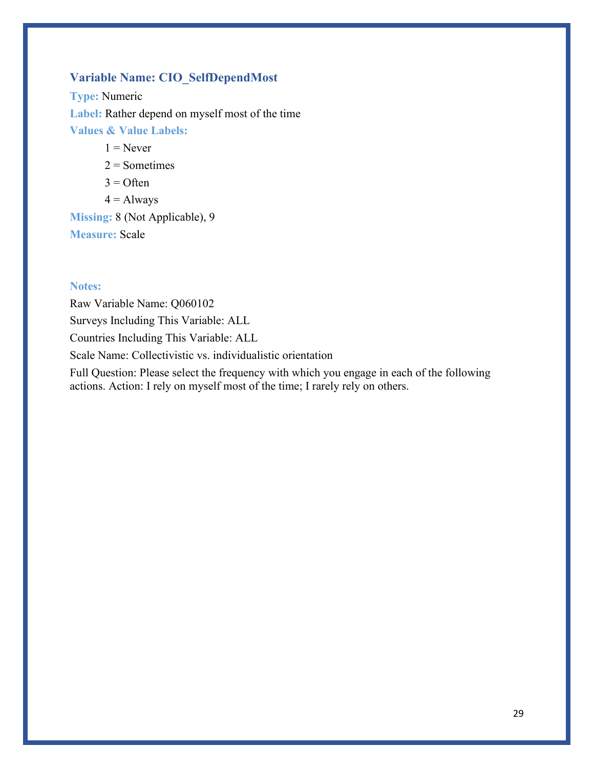## **Variable Name: CIO\_SelfDependMost**

**Type:** Numeric **Label:** Rather depend on myself most of the time **Values & Value Labels:**

 $1 =$ Never

 $2 =$ Sometimes

 $3 =$  Often

 $4 =$  Always

**Missing:** 8 (Not Applicable), 9 **Measure:** Scale

#### **Notes:**

Raw Variable Name: Q060102 Surveys Including This Variable: ALL Countries Including This Variable: ALL Scale Name: Collectivistic vs. individualistic orientation

Full Question: Please select the frequency with which you engage in each of the following actions. Action: I rely on myself most of the time; I rarely rely on others.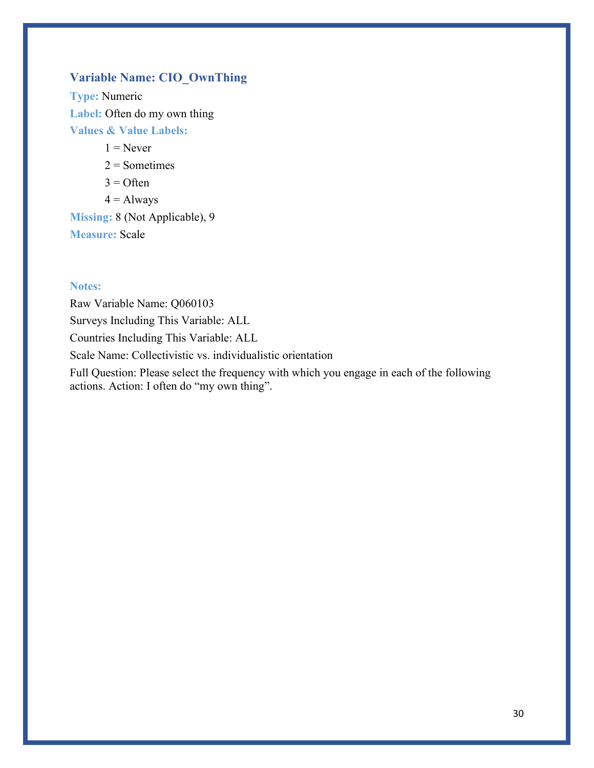## **Variable Name: CIO\_OwnThing**

**Type:** Numeric Label: Often do my own thing **Values & Value Labels:**

 $1 =$ Never

 $2 =$  Sometimes

 $3 =$  Often

 $4 =$  Always

**Missing:** 8 (Not Applicable), 9 **Measure:** Scale

#### **Notes:**

Raw Variable Name: Q060103 Surveys Including This Variable: ALL Countries Including This Variable: ALL Scale Name: Collectivistic vs. individualistic orientation

Full Question: Please select the frequency with which you engage in each of the following actions. Action: I often do "my own thing".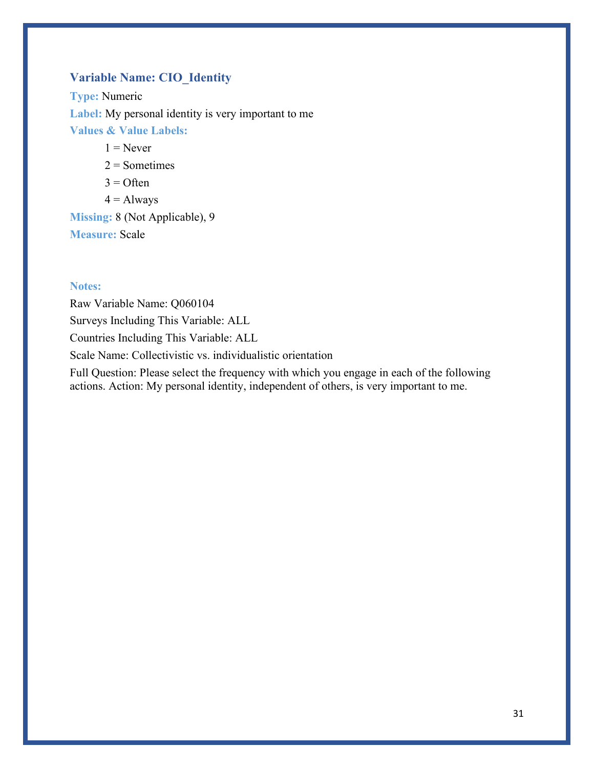## **Variable Name: CIO\_Identity**

**Type:** Numeric **Label:** My personal identity is very important to me **Values & Value Labels:**

 $1 =$ Never

 $2 =$ Sometimes

 $3 =$  Often

 $4 =$  Always

**Missing:** 8 (Not Applicable), 9 **Measure:** Scale

#### **Notes:**

Raw Variable Name: Q060104 Surveys Including This Variable: ALL Countries Including This Variable: ALL Scale Name: Collectivistic vs. individualistic orientation

Full Question: Please select the frequency with which you engage in each of the following actions. Action: My personal identity, independent of others, is very important to me.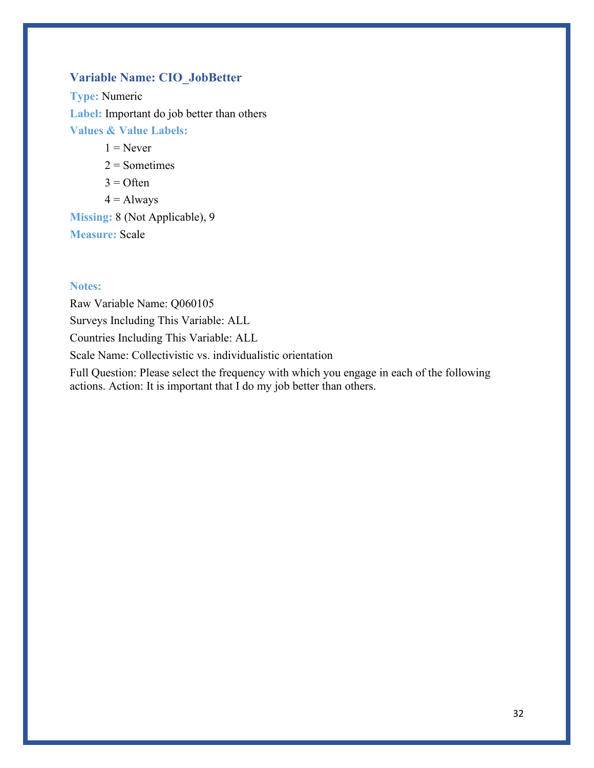## **Variable Name: CIO\_JobBetter**

**Type:** Numeric **Label:** Important do job better than others **Values & Value Labels:**

 $1 =$ Never

 $2 =$  Sometimes

 $3 =$  Often

 $4 =$  Always

**Missing:** 8 (Not Applicable), 9 **Measure:** Scale

#### **Notes:**

Raw Variable Name: Q060105 Surveys Including This Variable: ALL Countries Including This Variable: ALL Scale Name: Collectivistic vs. individualistic orientation

Full Question: Please select the frequency with which you engage in each of the following actions. Action: It is important that I do my job better than others.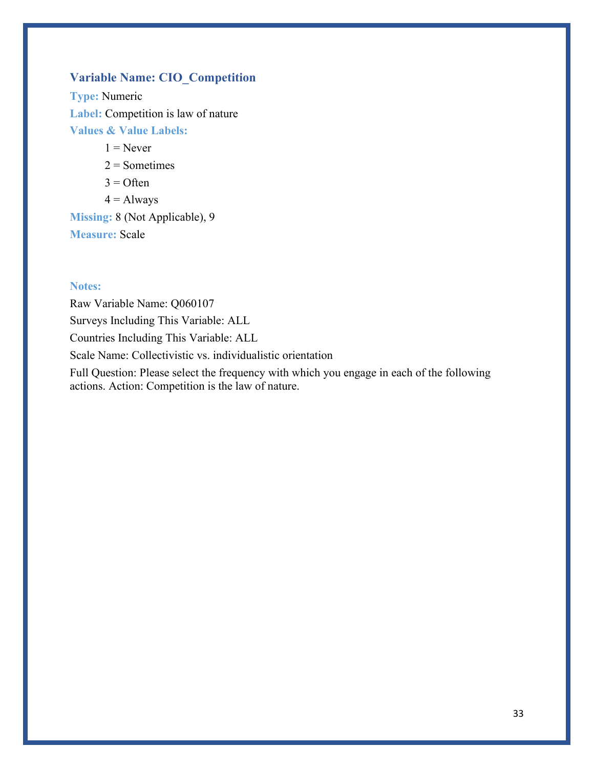## **Variable Name: CIO\_Competition**

**Type:** Numeric **Label:** Competition is law of nature **Values & Value Labels:**

 $1 =$ Never

 $2 =$  Sometimes

- $3 =$  Often
- $4 =$  Always

**Missing:** 8 (Not Applicable), 9 **Measure:** Scale

#### **Notes:**

Raw Variable Name: Q060107 Surveys Including This Variable: ALL Countries Including This Variable: ALL Scale Name: Collectivistic vs. individualistic orientation

Full Question: Please select the frequency with which you engage in each of the following actions. Action: Competition is the law of nature.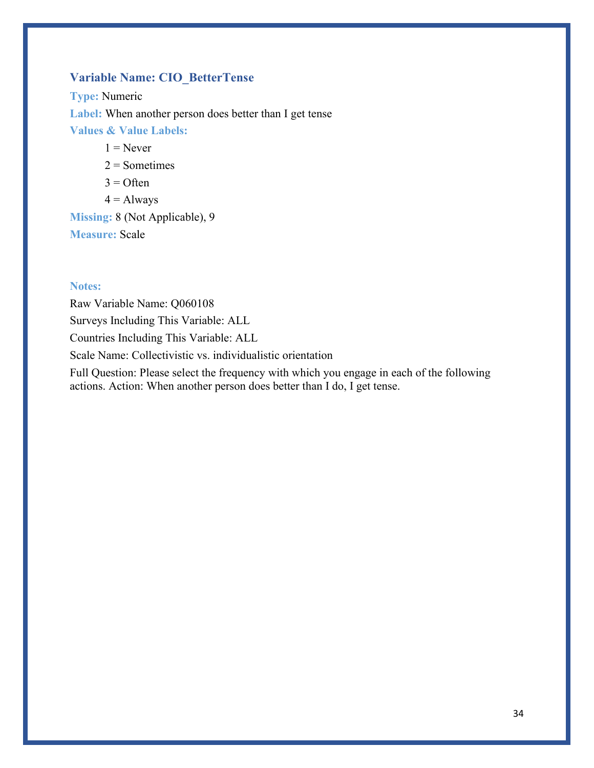## **Variable Name: CIO\_BetterTense**

**Type:** Numeric **Label:** When another person does better than I get tense **Values & Value Labels:**  $1 =$ Never

 $2 =$ Sometimes

- $3 =$  Often
- $4 =$  Always

**Missing:** 8 (Not Applicable), 9 **Measure:** Scale

#### **Notes:**

Raw Variable Name: Q060108 Surveys Including This Variable: ALL Countries Including This Variable: ALL Scale Name: Collectivistic vs. individualistic orientation

Full Question: Please select the frequency with which you engage in each of the following actions. Action: When another person does better than I do, I get tense.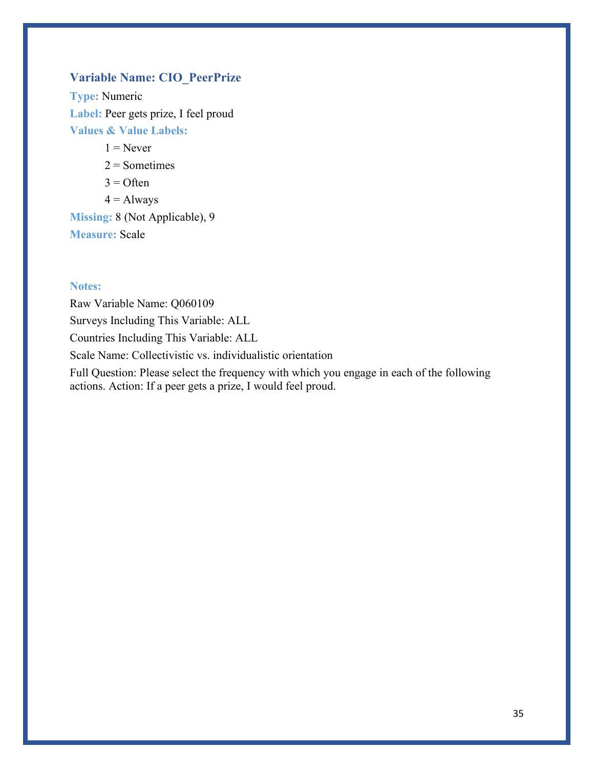## **Variable Name: CIO\_PeerPrize**

**Type:** Numeric **Label:** Peer gets prize, I feel proud **Values & Value Labels:**

 $1 =$ Never

 $2 =$  Sometimes

- $3 =$  Often
- $4 =$  Always

**Missing:** 8 (Not Applicable), 9 **Measure:** Scale

#### **Notes:**

Raw Variable Name: Q060109 Surveys Including This Variable: ALL Countries Including This Variable: ALL Scale Name: Collectivistic vs. individualistic orientation

Full Question: Please select the frequency with which you engage in each of the following actions. Action: If a peer gets a prize, I would feel proud.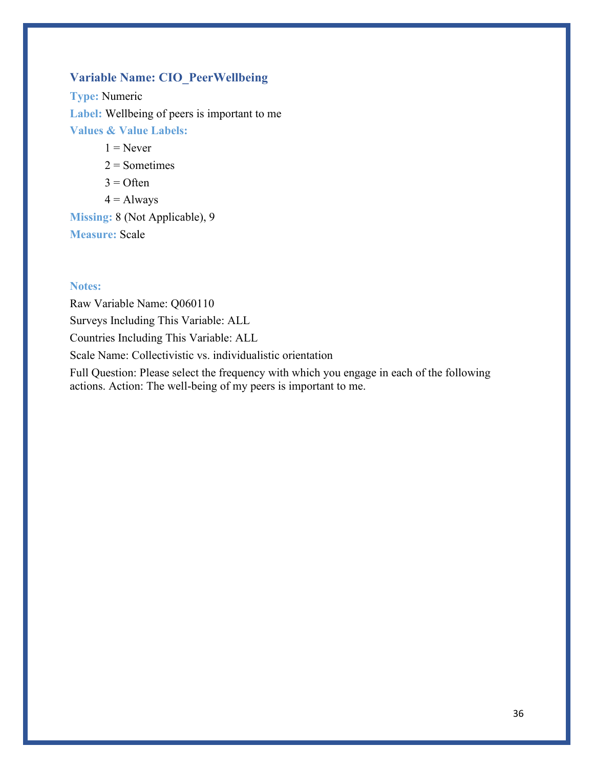## **Variable Name: CIO\_PeerWellbeing**

**Type:** Numeric **Label:** Wellbeing of peers is important to me **Values & Value Labels:**

 $1 =$ Never

 $2 =$ Sometimes

 $3 =$  Often

 $4 =$  Always

**Missing:** 8 (Not Applicable), 9 **Measure:** Scale

#### **Notes:**

Raw Variable Name: Q060110 Surveys Including This Variable: ALL Countries Including This Variable: ALL Scale Name: Collectivistic vs. individualistic orientation

Full Question: Please select the frequency with which you engage in each of the following actions. Action: The well-being of my peers is important to me.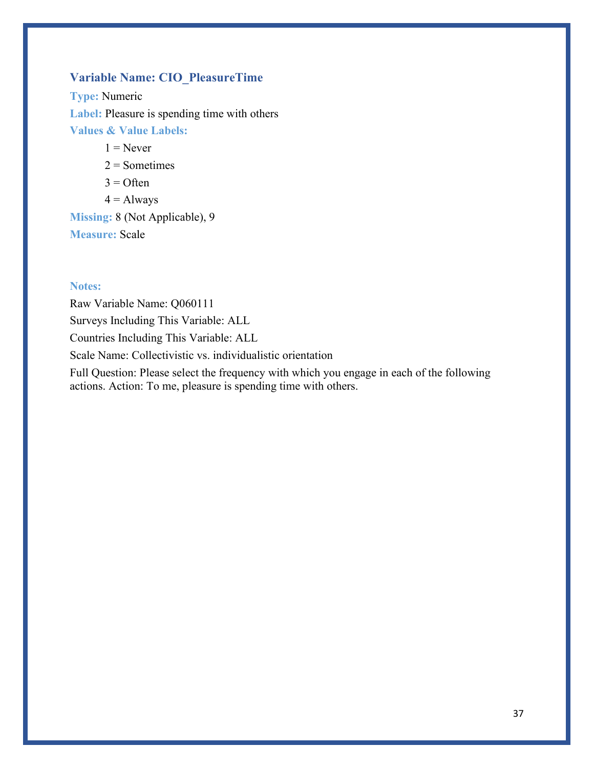# **Variable Name: CIO\_PleasureTime**

**Type:** Numeric **Label:** Pleasure is spending time with others **Values & Value Labels:**

 $1 =$ Never

 $2 =$ Sometimes

 $3 =$  Often

 $4 =$  Always

**Missing:** 8 (Not Applicable), 9 **Measure:** Scale

#### **Notes:**

Raw Variable Name: Q060111 Surveys Including This Variable: ALL Countries Including This Variable: ALL Scale Name: Collectivistic vs. individualistic orientation

Full Question: Please select the frequency with which you engage in each of the following actions. Action: To me, pleasure is spending time with others.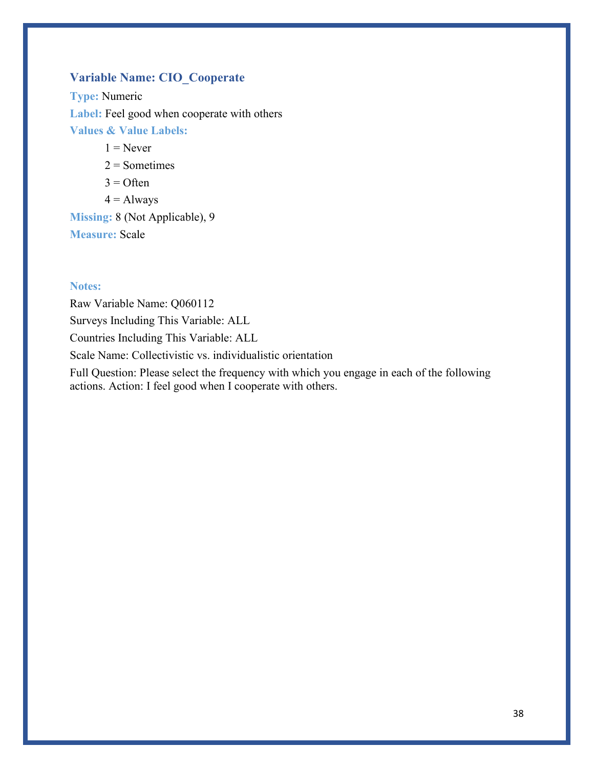# **Variable Name: CIO\_Cooperate**

**Type:** Numeric **Label:** Feel good when cooperate with others **Values & Value Labels:**

 $1 =$ Never

 $2 =$ Sometimes

 $3 =$  Often

 $4 =$  Always

**Missing:** 8 (Not Applicable), 9 **Measure:** Scale

#### **Notes:**

Raw Variable Name: Q060112 Surveys Including This Variable: ALL Countries Including This Variable: ALL Scale Name: Collectivistic vs. individualistic orientation

Full Question: Please select the frequency with which you engage in each of the following actions. Action: I feel good when I cooperate with others.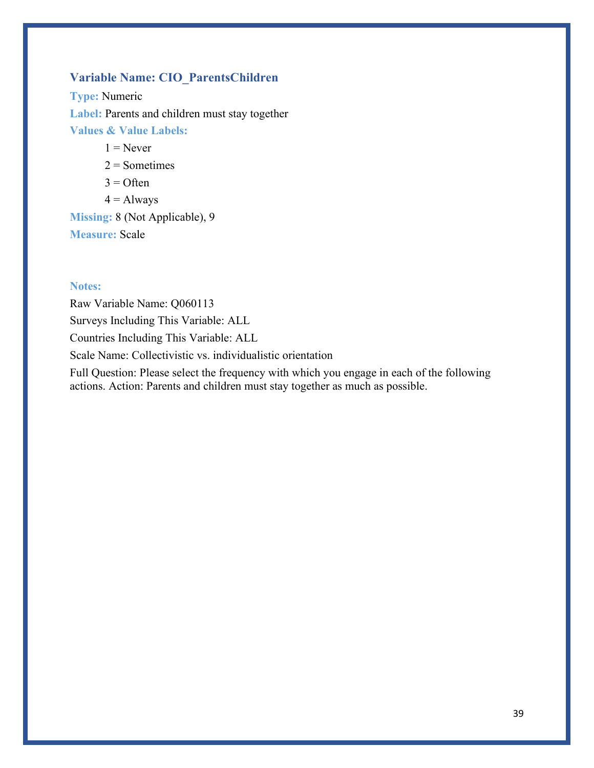# **Variable Name: CIO\_ParentsChildren**

**Type:** Numeric **Label:** Parents and children must stay together **Values & Value Labels:**

 $1 =$ Never

 $2 =$ Sometimes

 $3 =$  Often

 $4 =$  Always

**Missing:** 8 (Not Applicable), 9 **Measure:** Scale

#### **Notes:**

Raw Variable Name: Q060113 Surveys Including This Variable: ALL Countries Including This Variable: ALL Scale Name: Collectivistic vs. individualistic orientation

Full Question: Please select the frequency with which you engage in each of the following actions. Action: Parents and children must stay together as much as possible.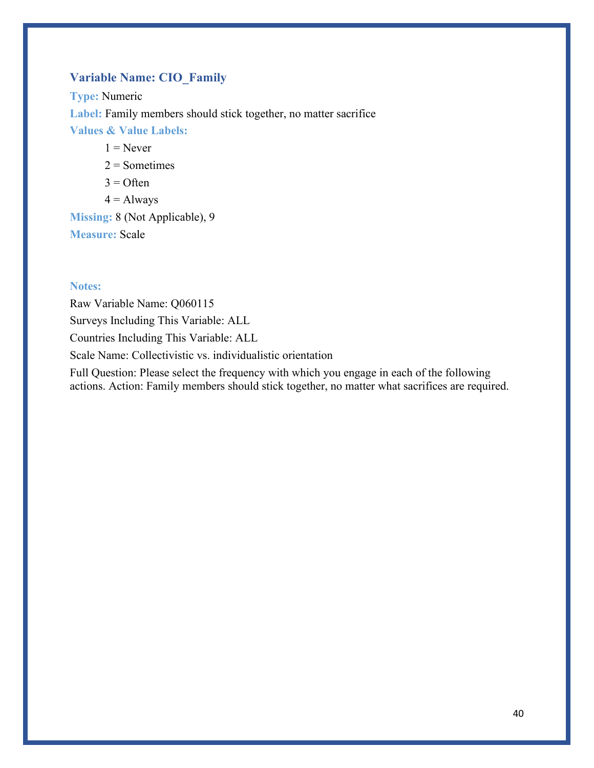# **Variable Name: CIO\_Family**

**Type:** Numeric **Label:** Family members should stick together, no matter sacrifice **Values & Value Labels:**  $1 =$ Never

 $2 =$ Sometimes

- $3 =$  Often
- $4 =$  Always

**Missing:** 8 (Not Applicable), 9 **Measure:** Scale

#### **Notes:**

Raw Variable Name: Q060115 Surveys Including This Variable: ALL Countries Including This Variable: ALL Scale Name: Collectivistic vs. individualistic orientation

Full Question: Please select the frequency with which you engage in each of the following actions. Action: Family members should stick together, no matter what sacrifices are required.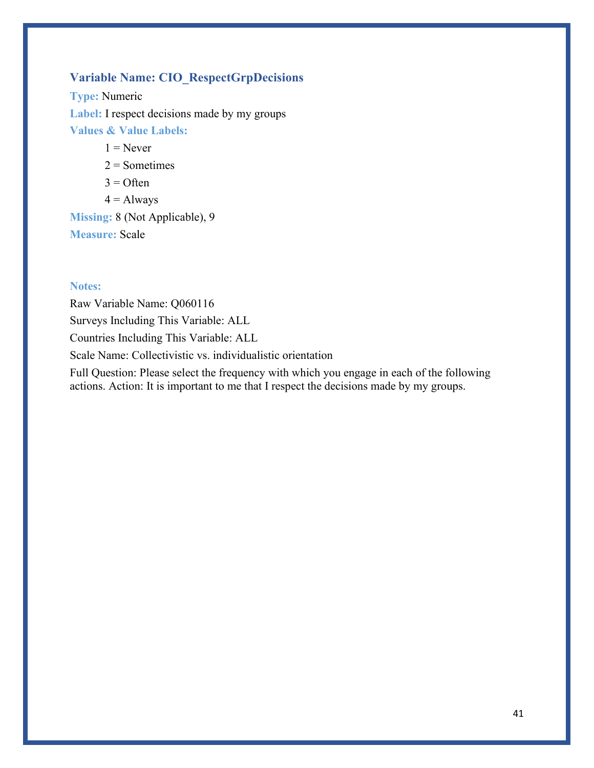# **Variable Name: CIO\_RespectGrpDecisions**

**Type:** Numeric **Label:** I respect decisions made by my groups **Values & Value Labels:**

 $1 =$ Never

 $2 =$ Sometimes

 $3 =$  Often

 $4 =$  Always

**Missing:** 8 (Not Applicable), 9 **Measure:** Scale

#### **Notes:**

Raw Variable Name: Q060116 Surveys Including This Variable: ALL Countries Including This Variable: ALL Scale Name: Collectivistic vs. individualistic orientation

Full Question: Please select the frequency with which you engage in each of the following actions. Action: It is important to me that I respect the decisions made by my groups.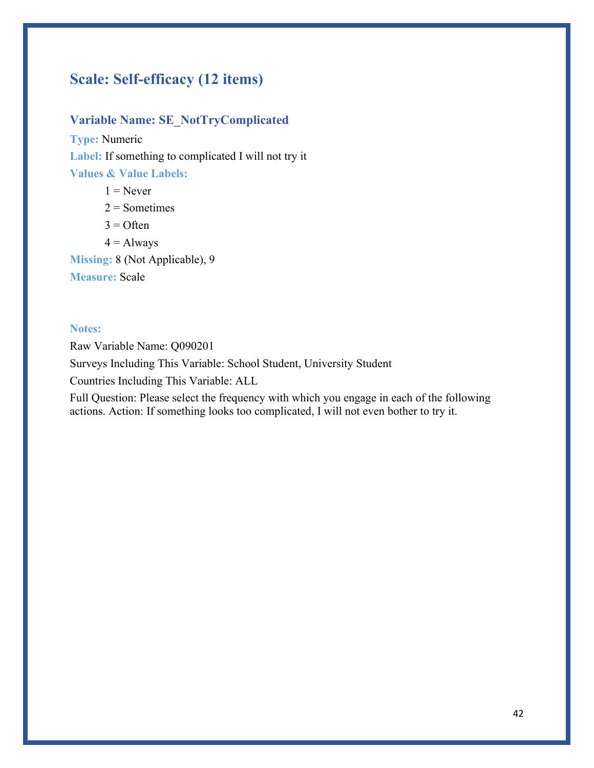# **Scale: Self-efficacy (12 items)**

### **Variable Name: SE\_NotTryComplicated**

**Type:** Numeric **Label:** If something to complicated I will not try it **Values & Value Labels:**

 $1 =$ Never  $2 =$ Sometimes  $3 =$  Often  $4 =$  Always **Missing:** 8 (Not Applicable), 9 **Measure:** Scale

#### **Notes:**

Raw Variable Name: Q090201

Surveys Including This Variable: School Student, University Student

Countries Including This Variable: ALL

Full Question: Please select the frequency with which you engage in each of the following actions. Action: If something looks too complicated, I will not even bother to try it.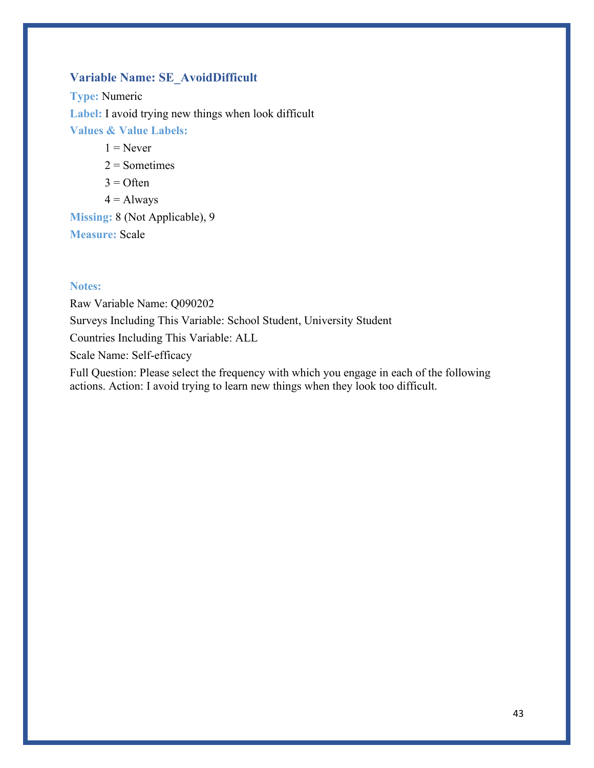# **Variable Name: SE\_AvoidDifficult**

**Type:** Numeric **Label:** I avoid trying new things when look difficult **Values & Value Labels:**

 $1 =$ Never

 $2 =$ Sometimes

 $3 =$  Often

 $4 =$  Always

**Missing:** 8 (Not Applicable), 9 **Measure:** Scale

#### **Notes:**

Raw Variable Name: Q090202 Surveys Including This Variable: School Student, University Student Countries Including This Variable: ALL Scale Name: Self-efficacy Full Question: Please select the frequency with which you engage in each of the following

actions. Action: I avoid trying to learn new things when they look too difficult.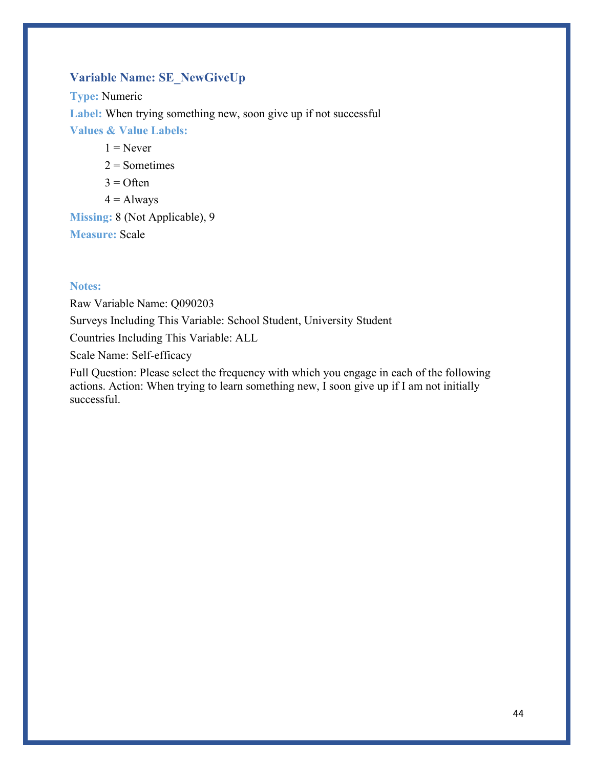# **Variable Name: SE\_NewGiveUp**

**Type:** Numeric **Label:** When trying something new, soon give up if not successful **Values & Value Labels:**

 $1 =$ Never

 $2 =$ Sometimes

 $3 =$  Often

 $4 =$  Always

**Missing:** 8 (Not Applicable), 9 **Measure:** Scale

#### **Notes:**

Raw Variable Name: Q090203 Surveys Including This Variable: School Student, University Student

Countries Including This Variable: ALL

Scale Name: Self-efficacy

Full Question: Please select the frequency with which you engage in each of the following actions. Action: When trying to learn something new, I soon give up if I am not initially successful.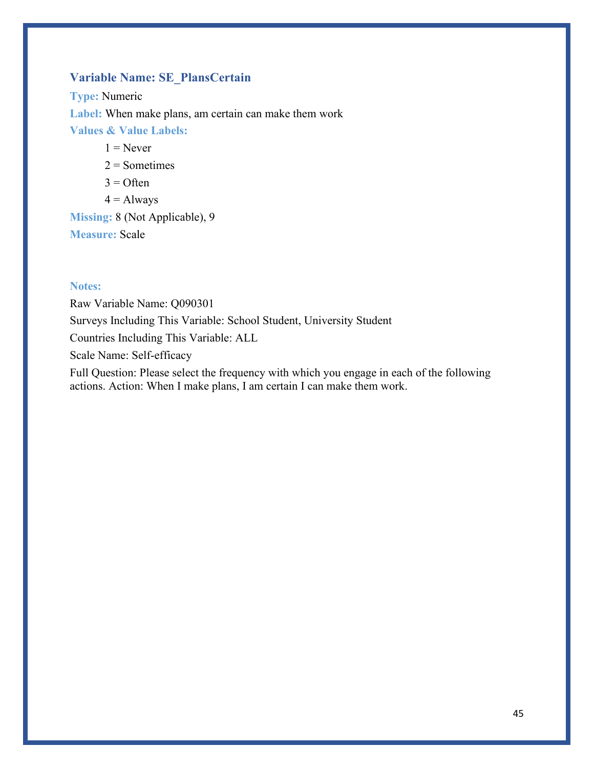# **Variable Name: SE\_PlansCertain**

**Type:** Numeric **Label:** When make plans, am certain can make them work **Values & Value Labels:**

 $1 =$ Never

 $2 =$ Sometimes

 $3 =$  Often

 $4 =$  Always

**Missing:** 8 (Not Applicable), 9 **Measure:** Scale

#### **Notes:**

Raw Variable Name: Q090301 Surveys Including This Variable: School Student, University Student Countries Including This Variable: ALL Scale Name: Self-efficacy Full Question: Please select the frequency with which you engage in each of the following actions. Action: When I make plans, I am certain I can make them work.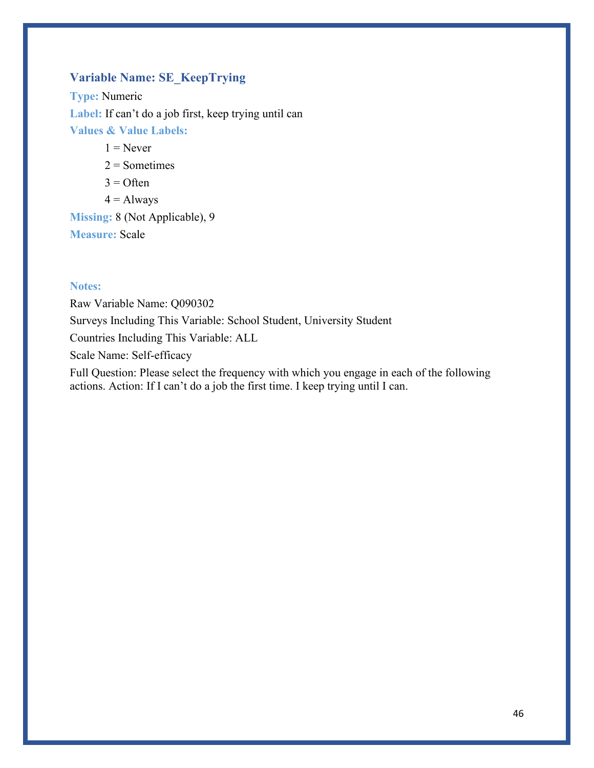# **Variable Name: SE\_KeepTrying**

**Type:** Numeric Label: If can't do a job first, keep trying until can **Values & Value Labels:**

 $1 =$ Never

 $2 =$ Sometimes

 $3 =$  Often

 $4 =$  Always

**Missing:** 8 (Not Applicable), 9 **Measure:** Scale

#### **Notes:**

Raw Variable Name: Q090302 Surveys Including This Variable: School Student, University Student Countries Including This Variable: ALL Scale Name: Self-efficacy Full Question: Please select the frequency with which you engage in each of the following actions. Action: If I can't do a job the first time. I keep trying until I can.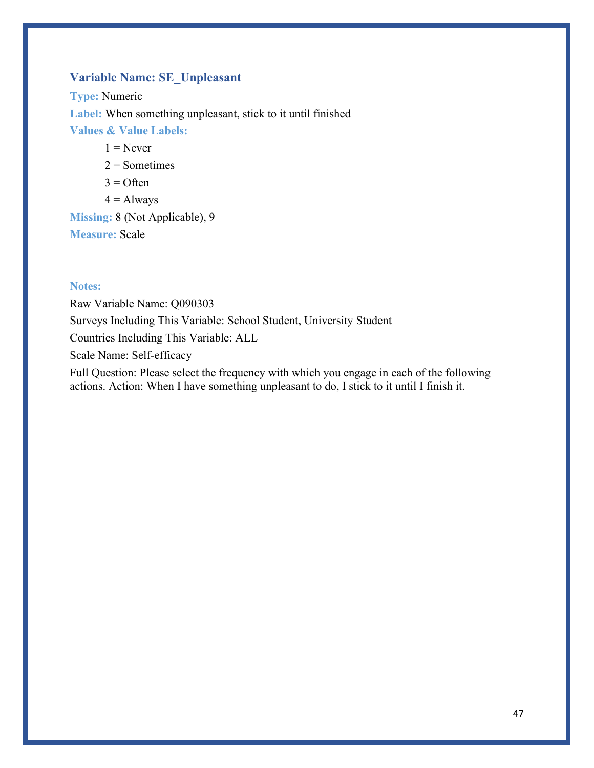### **Variable Name: SE\_Unpleasant**

**Type:** Numeric **Label:** When something unpleasant, stick to it until finished **Values & Value Labels:**

 $1 =$ Never

 $2 =$ Sometimes

 $3 =$  Often

 $4 =$  Always

**Missing:** 8 (Not Applicable), 9 **Measure:** Scale

#### **Notes:**

Raw Variable Name: Q090303 Surveys Including This Variable: School Student, University Student Countries Including This Variable: ALL Scale Name: Self-efficacy Full Question: Please select the frequency with which you engage in each of the following actions. Action: When I have something unpleasant to do, I stick to it until I finish it.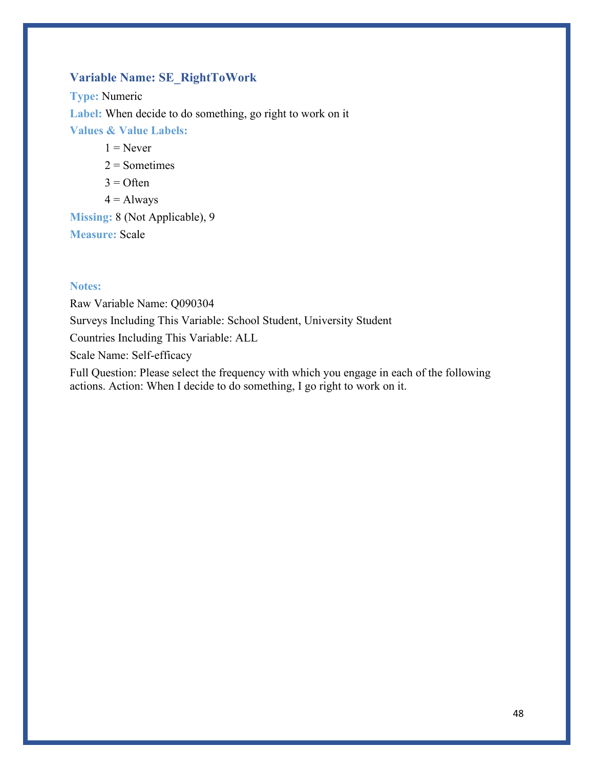# **Variable Name: SE\_RightToWork**

**Type:** Numeric **Label:** When decide to do something, go right to work on it **Values & Value Labels:**

 $1 =$ Never

 $2 =$ Sometimes

 $3 =$  Often

 $4 =$  Always

**Missing:** 8 (Not Applicable), 9 **Measure:** Scale

#### **Notes:**

Raw Variable Name: Q090304 Surveys Including This Variable: School Student, University Student Countries Including This Variable: ALL Scale Name: Self-efficacy Full Question: Please select the frequency with which you engage in each of the following

actions. Action: When I decide to do something, I go right to work on it.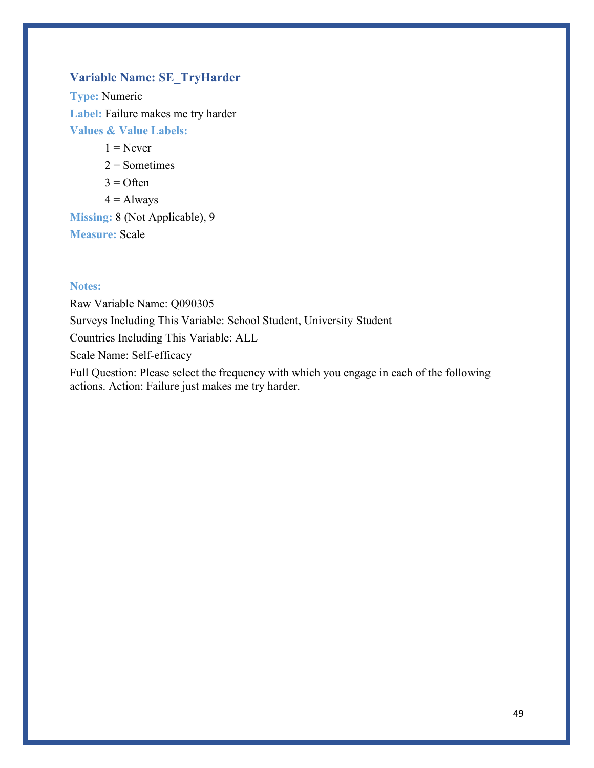# **Variable Name: SE\_TryHarder**

**Type:** Numeric **Label:** Failure makes me try harder **Values & Value Labels:**

 $1 =$ Never

 $2 =$ Sometimes

- $3 =$  Often
- $4 =$  Always

**Missing:** 8 (Not Applicable), 9 **Measure:** Scale

#### **Notes:**

Raw Variable Name: Q090305 Surveys Including This Variable: School Student, University Student Countries Including This Variable: ALL Scale Name: Self-efficacy Full Question: Please select the frequency with which you engage in each of the following

actions. Action: Failure just makes me try harder.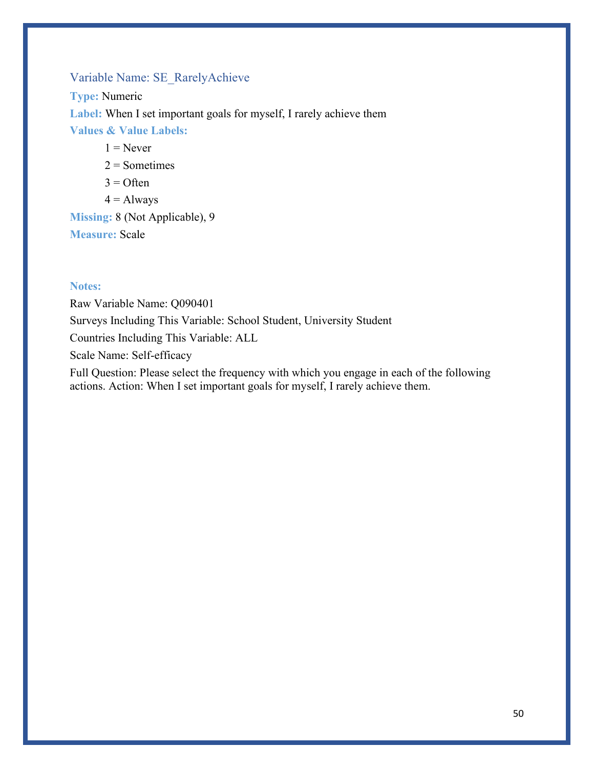### Variable Name: SE\_RarelyAchieve

**Type:** Numeric **Label:** When I set important goals for myself, I rarely achieve them **Values & Value Labels:**

 $1 =$ Never

 $2 =$ Sometimes

 $3 =$  Often

 $4 =$  Always

**Missing:** 8 (Not Applicable), 9 **Measure:** Scale

#### **Notes:**

Raw Variable Name: Q090401 Surveys Including This Variable: School Student, University Student Countries Including This Variable: ALL Scale Name: Self-efficacy Full Question: Please select the frequency with which you engage in each of the following actions. Action: When I set important goals for myself, I rarely achieve them.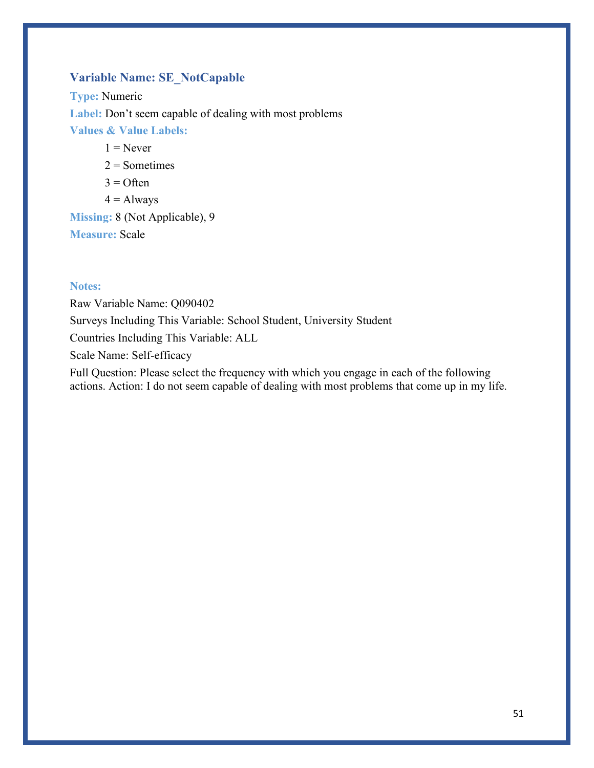### **Variable Name: SE\_NotCapable**

**Type:** Numeric **Label:** Don't seem capable of dealing with most problems **Values & Value Labels:**  $1 =$ Never

 $2 =$ Sometimes

- $3 =$  Often
- $4 =$  Always

**Missing:** 8 (Not Applicable), 9 **Measure:** Scale

#### **Notes:**

Raw Variable Name: Q090402 Surveys Including This Variable: School Student, University Student Countries Including This Variable: ALL Scale Name: Self-efficacy Full Question: Please select the frequency with which you engage in each of the following

actions. Action: I do not seem capable of dealing with most problems that come up in my life.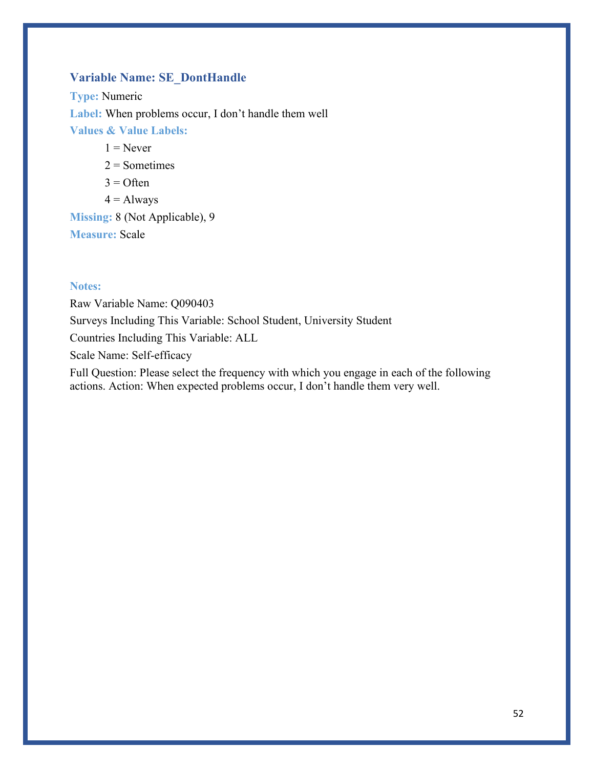### **Variable Name: SE\_DontHandle**

**Type:** Numeric Label: When problems occur, I don't handle them well **Values & Value Labels:**

 $1 =$ Never

 $2 =$ Sometimes

 $3 =$  Often

 $4 =$  Always

**Missing:** 8 (Not Applicable), 9 **Measure:** Scale

#### **Notes:**

Raw Variable Name: Q090403 Surveys Including This Variable: School Student, University Student Countries Including This Variable: ALL Scale Name: Self-efficacy Full Question: Please select the frequency with which you engage in each of the following

actions. Action: When expected problems occur, I don't handle them very well.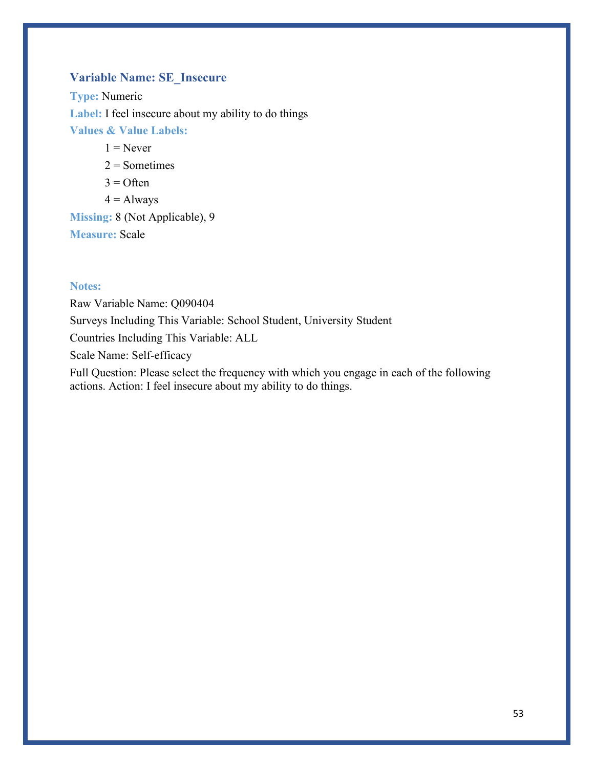# **Variable Name: SE\_Insecure**

**Type:** Numeric Label: I feel insecure about my ability to do things **Values & Value Labels:**

 $1 =$ Never

 $2 =$ Sometimes

 $3 =$  Often

 $4 =$  Always

**Missing:** 8 (Not Applicable), 9 **Measure:** Scale

#### **Notes:**

Raw Variable Name: Q090404 Surveys Including This Variable: School Student, University Student Countries Including This Variable: ALL Scale Name: Self-efficacy Full Question: Please select the frequency with which you engage in each of the following

actions. Action: I feel insecure about my ability to do things.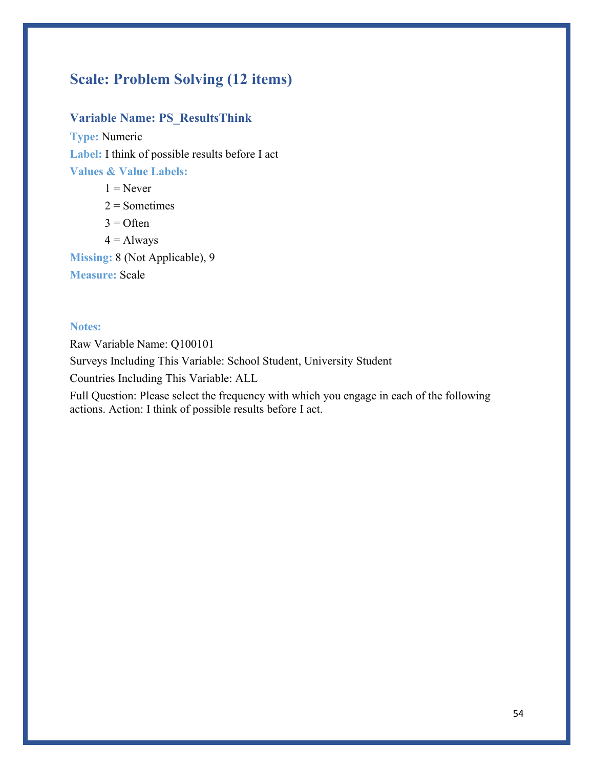# **Scale: Problem Solving (12 items)**

### **Variable Name: PS\_ResultsThink**

**Type:** Numeric **Label:** I think of possible results before I act **Values & Value Labels:**

 $1 =$ Never  $2 =$  Sometimes  $3 =$  Often  $4 =$  Always **Missing:** 8 (Not Applicable), 9 **Measure:** Scale

#### **Notes:**

Raw Variable Name: Q100101

Surveys Including This Variable: School Student, University Student

Countries Including This Variable: ALL

Full Question: Please select the frequency with which you engage in each of the following actions. Action: I think of possible results before I act.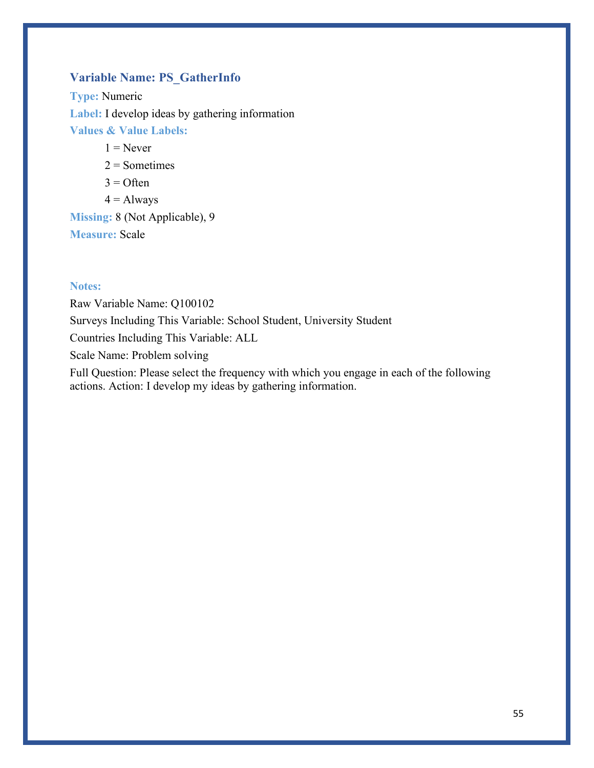# **Variable Name: PS\_GatherInfo**

**Type:** Numeric **Label:** I develop ideas by gathering information **Values & Value Labels:**

 $1 =$ Never

 $2 =$ Sometimes

 $3 =$  Often

 $4 =$  Always

**Missing:** 8 (Not Applicable), 9 **Measure:** Scale

#### **Notes:**

Raw Variable Name: Q100102 Surveys Including This Variable: School Student, University Student Countries Including This Variable: ALL Scale Name: Problem solving Full Question: Please select the frequency with which you engage in each of the following

actions. Action: I develop my ideas by gathering information.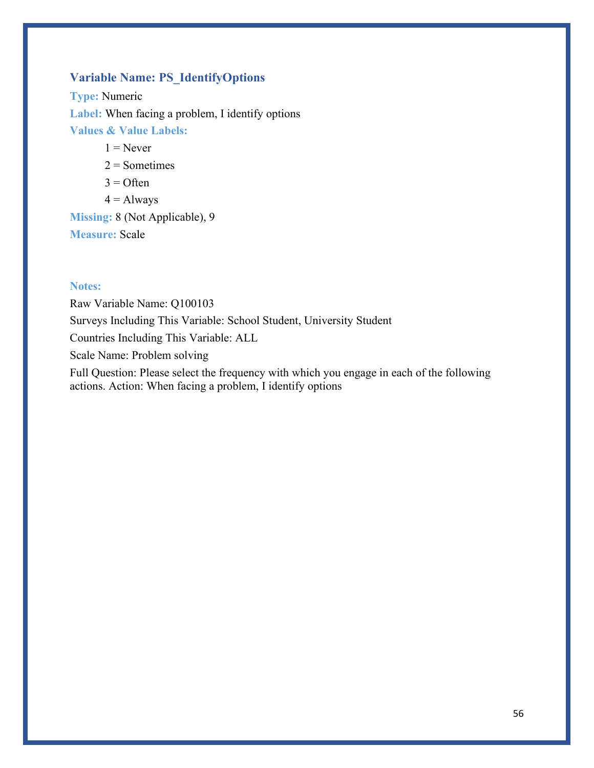### **Variable Name: PS\_IdentifyOptions**

**Type:** Numeric **Label:** When facing a problem, I identify options **Values & Value Labels:**

 $1 =$ Never

 $2 =$ Sometimes

 $3 =$  Often

 $4 =$  Always

**Missing:** 8 (Not Applicable), 9 **Measure:** Scale

#### **Notes:**

Raw Variable Name: Q100103 Surveys Including This Variable: School Student, University Student Countries Including This Variable: ALL Scale Name: Problem solving Full Question: Please select the frequency with which you engage in each of the following

actions. Action: When facing a problem, I identify options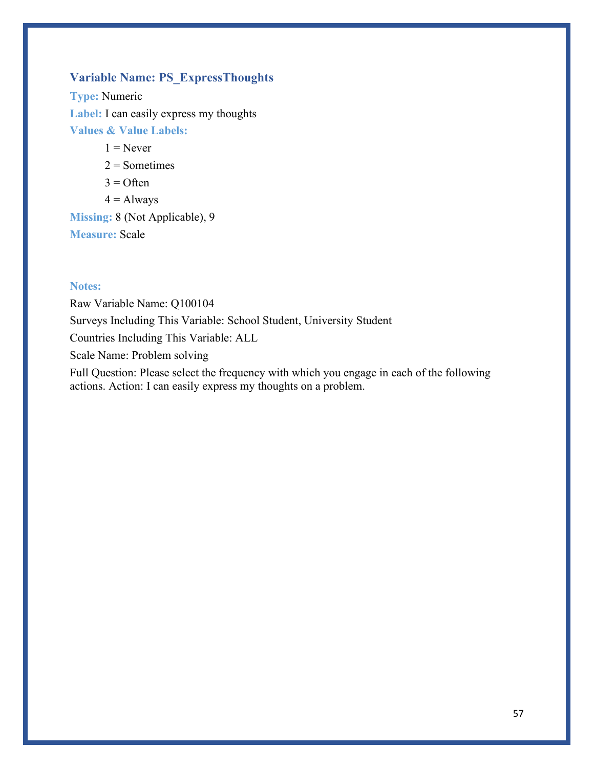### **Variable Name: PS\_ExpressThoughts**

**Type:** Numeric **Label:** I can easily express my thoughts **Values & Value Labels:**

 $1 =$ Never

 $2 =$ Sometimes

 $3 =$  Often

 $4 =$  Always

**Missing:** 8 (Not Applicable), 9 **Measure:** Scale

#### **Notes:**

Raw Variable Name: Q100104 Surveys Including This Variable: School Student, University Student Countries Including This Variable: ALL Scale Name: Problem solving Full Question: Please select the frequency with which you engage in each of the following

actions. Action: I can easily express my thoughts on a problem.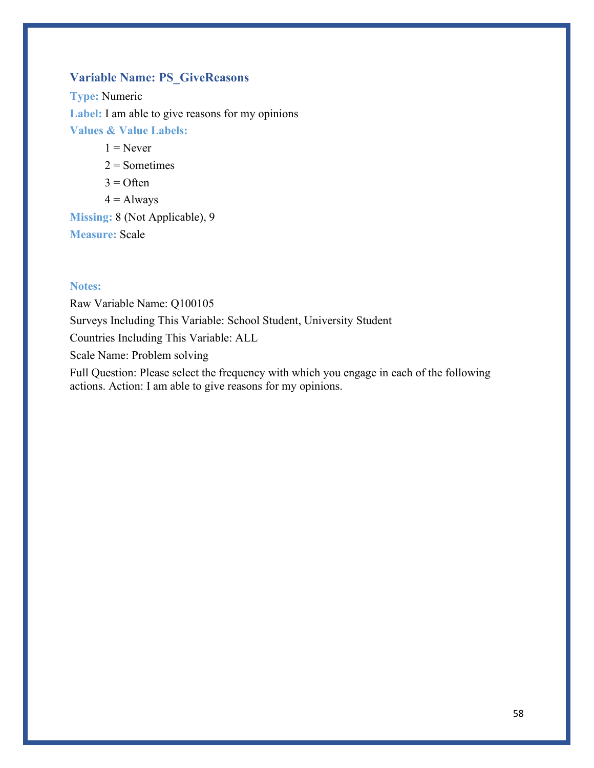### **Variable Name: PS\_GiveReasons**

**Type:** Numeric Label: I am able to give reasons for my opinions **Values & Value Labels:**

 $1 =$ Never

 $2 =$ Sometimes

 $3 =$  Often

 $4 =$  Always

**Missing:** 8 (Not Applicable), 9 **Measure:** Scale

#### **Notes:**

Raw Variable Name: Q100105 Surveys Including This Variable: School Student, University Student Countries Including This Variable: ALL Scale Name: Problem solving Full Question: Please select the frequency with which you engage in each of the following

actions. Action: I am able to give reasons for my opinions.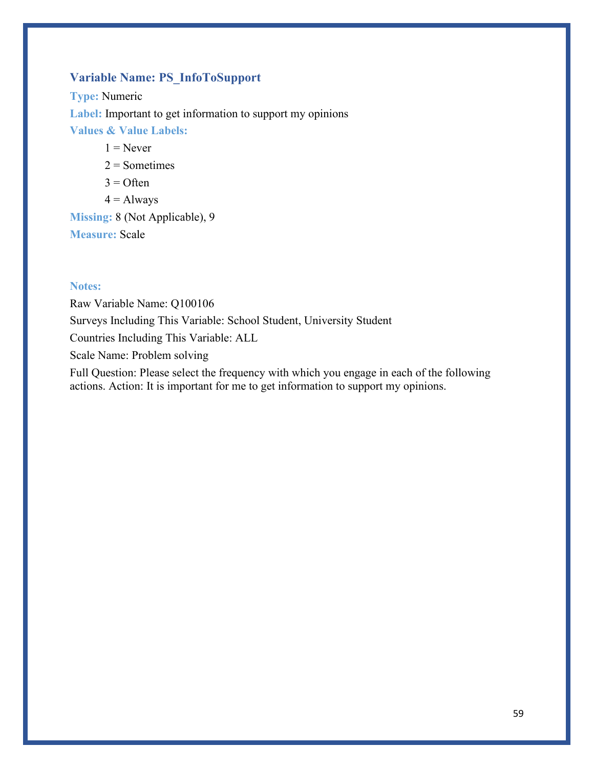## **Variable Name: PS\_InfoToSupport**

**Type:** Numeric **Label:** Important to get information to support my opinions **Values & Value Labels:**

 $1 =$ Never

 $2 =$ Sometimes

 $3 =$  Often

 $4 =$  Always

**Missing:** 8 (Not Applicable), 9 **Measure:** Scale

#### **Notes:**

Raw Variable Name: Q100106 Surveys Including This Variable: School Student, University Student Countries Including This Variable: ALL Scale Name: Problem solving Full Question: Please select the frequency with which you engage in each of the following actions. Action: It is important for me to get information to support my opinions.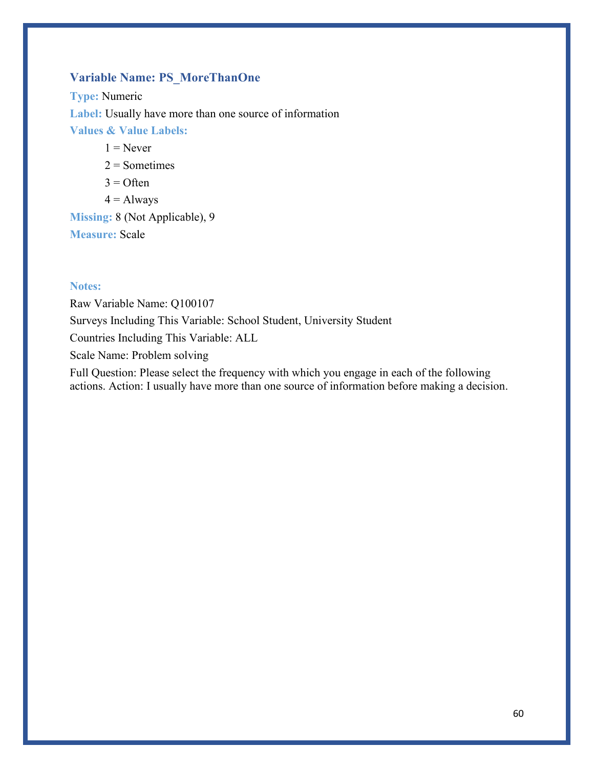### **Variable Name: PS\_MoreThanOne**

**Type:** Numeric **Label:** Usually have more than one source of information **Values & Value Labels:**  $1 =$ Never

 $2 =$ Sometimes

 $3 =$  Often

 $4 =$  Always

**Missing:** 8 (Not Applicable), 9 **Measure:** Scale

#### **Notes:**

Raw Variable Name: Q100107 Surveys Including This Variable: School Student, University Student Countries Including This Variable: ALL Scale Name: Problem solving Full Question: Please select the frequency with which you engage in each of the following

actions. Action: I usually have more than one source of information before making a decision.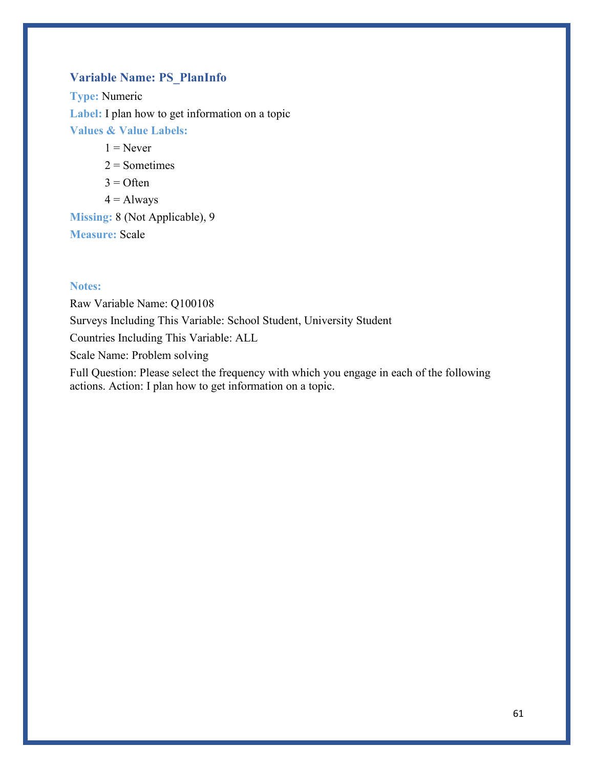### **Variable Name: PS\_PlanInfo**

**Type:** Numeric **Label:** I plan how to get information on a topic **Values & Value Labels:**

 $1 =$ Never

 $2 =$ Sometimes

 $3 =$  Often

 $4 =$  Always

**Missing:** 8 (Not Applicable), 9 **Measure:** Scale

#### **Notes:**

Raw Variable Name: Q100108 Surveys Including This Variable: School Student, University Student Countries Including This Variable: ALL Scale Name: Problem solving Full Question: Please select the frequency with which you engage in each of the following

actions. Action: I plan how to get information on a topic.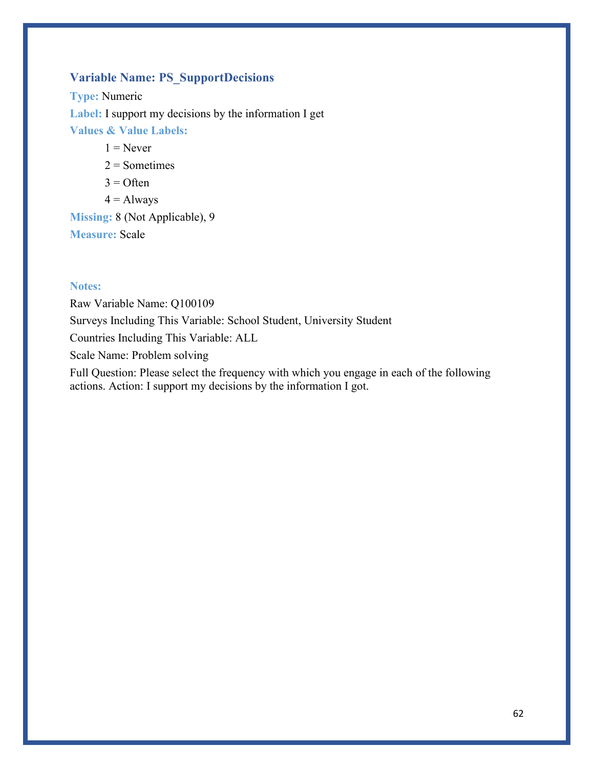### **Variable Name: PS\_SupportDecisions**

**Type:** Numeric **Label:** I support my decisions by the information I get **Values & Value Labels:**

 $1 =$ Never

 $2 =$ Sometimes

 $3 =$  Often

 $4 =$  Always

**Missing:** 8 (Not Applicable), 9 **Measure:** Scale

#### **Notes:**

Raw Variable Name: Q100109 Surveys Including This Variable: School Student, University Student Countries Including This Variable: ALL Scale Name: Problem solving Full Question: Please select the frequency with which you engage in each of the following

actions. Action: I support my decisions by the information I got.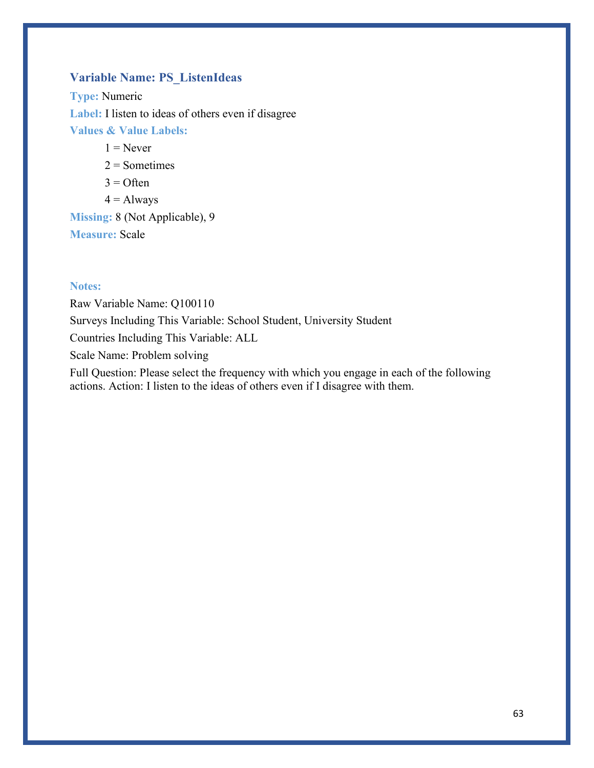# **Variable Name: PS\_ListenIdeas**

**Type:** Numeric **Label:** I listen to ideas of others even if disagree **Values & Value Labels:**

 $1 =$ Never

 $2 =$ Sometimes

 $3 =$  Often

 $4 =$  Always

**Missing:** 8 (Not Applicable), 9 **Measure:** Scale

#### **Notes:**

Raw Variable Name: Q100110 Surveys Including This Variable: School Student, University Student Countries Including This Variable: ALL Scale Name: Problem solving Full Question: Please select the frequency with which you engage in each of the following

actions. Action: I listen to the ideas of others even if I disagree with them.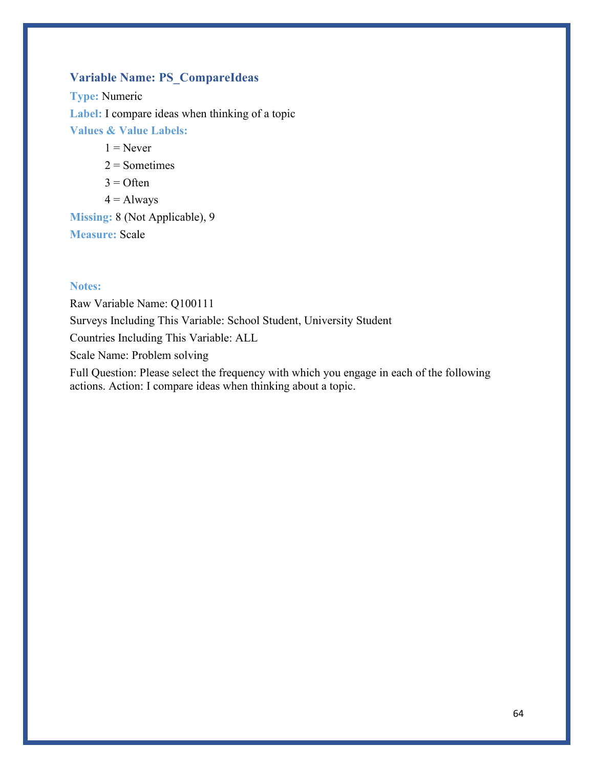### **Variable Name: PS\_CompareIdeas**

**Type:** Numeric **Label:** I compare ideas when thinking of a topic **Values & Value Labels:**

 $1 =$ Never

 $2 =$ Sometimes

 $3 =$  Often

 $4 =$  Always

**Missing:** 8 (Not Applicable), 9 **Measure:** Scale

#### **Notes:**

Raw Variable Name: Q100111 Surveys Including This Variable: School Student, University Student Countries Including This Variable: ALL Scale Name: Problem solving Full Question: Please select the frequency with which you engage in each of the following

actions. Action: I compare ideas when thinking about a topic.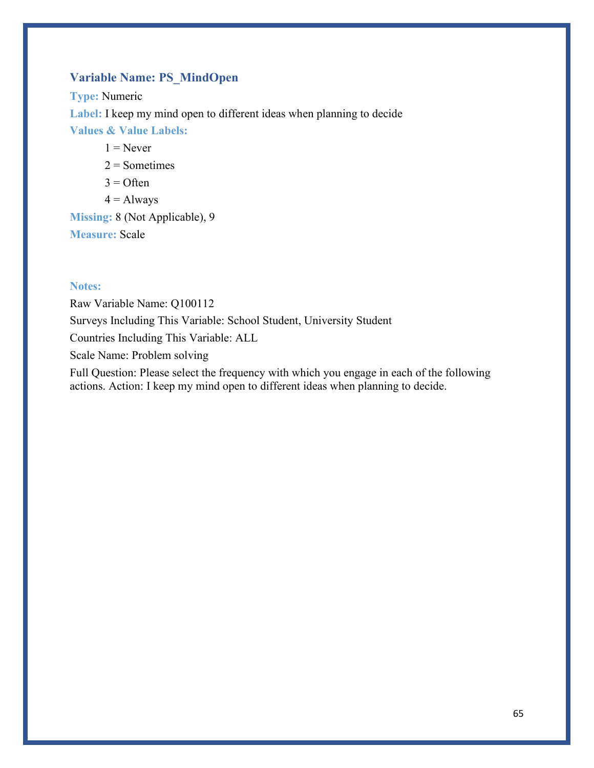### **Variable Name: PS\_MindOpen**

**Type:** Numeric **Label:** I keep my mind open to different ideas when planning to decide **Values & Value Labels:**

 $1 =$ Never

 $2 =$ Sometimes

- $3 =$  Often
- $4 =$  Always

**Missing:** 8 (Not Applicable), 9 **Measure:** Scale

#### **Notes:**

Raw Variable Name: Q100112 Surveys Including This Variable: School Student, University Student Countries Including This Variable: ALL Scale Name: Problem solving Full Question: Please select the frequency with which you engage in each of the following

actions. Action: I keep my mind open to different ideas when planning to decide.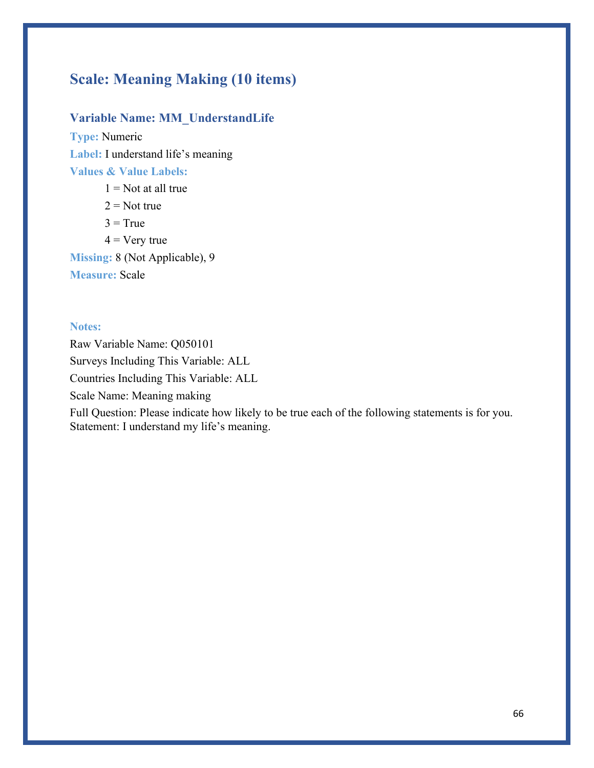# **Scale: Meaning Making (10 items)**

### **Variable Name: MM\_UnderstandLife**

Statement: I understand my life's meaning.

**Type:** Numeric **Label:** I understand life's meaning **Values & Value Labels:**

 $1 = Not$  at all true  $2 = Not true$  $3 = True$  $4 = V$ ery true **Missing:** 8 (Not Applicable), 9 **Measure:** Scale

#### **Notes:**

Raw Variable Name: Q050101 Surveys Including This Variable: ALL Countries Including This Variable: ALL Scale Name: Meaning making Full Question: Please indicate how likely to be true each of the following statements is for you.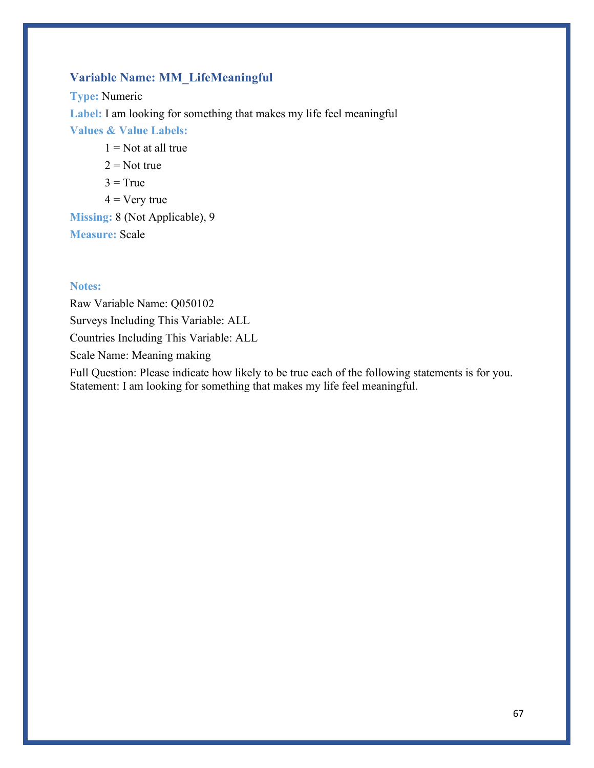## **Variable Name: MM\_LifeMeaningful**

**Type:** Numeric **Label:** I am looking for something that makes my life feel meaningful **Values & Value Labels:**  $1 =$  Not at all true

- $2 = Not true$
- $3 = True$
- $4 = V$ ery true

**Missing:** 8 (Not Applicable), 9 **Measure:** Scale

#### **Notes:**

Raw Variable Name: Q050102 Surveys Including This Variable: ALL Countries Including This Variable: ALL Scale Name: Meaning making

Full Question: Please indicate how likely to be true each of the following statements is for you. Statement: I am looking for something that makes my life feel meaningful.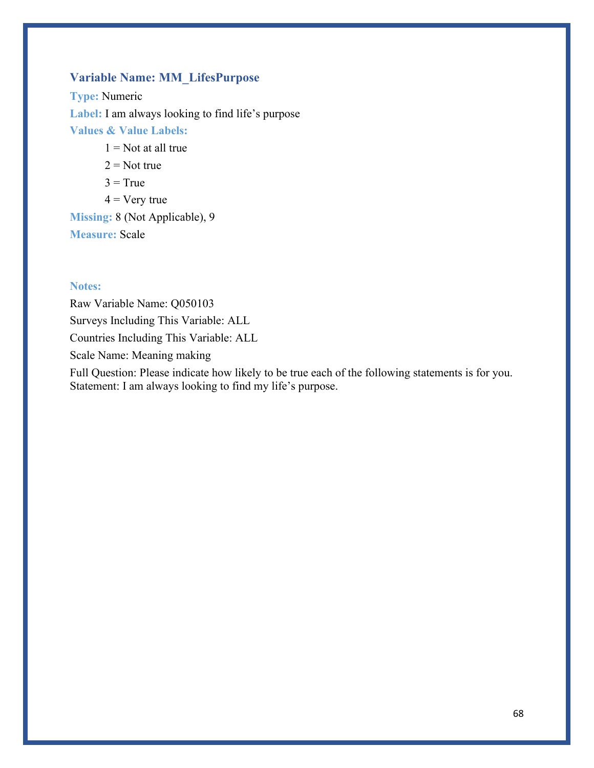### **Variable Name: MM\_LifesPurpose**

**Type:** Numeric **Label:** I am always looking to find life's purpose **Values & Value Labels:**

- $1 =$  Not at all true
- $2 = Not true$
- $3 = True$
- $4 = V$ ery true

**Missing:** 8 (Not Applicable), 9 **Measure:** Scale

#### **Notes:**

Raw Variable Name: Q050103 Surveys Including This Variable: ALL Countries Including This Variable: ALL Scale Name: Meaning making

Full Question: Please indicate how likely to be true each of the following statements is for you. Statement: I am always looking to find my life's purpose.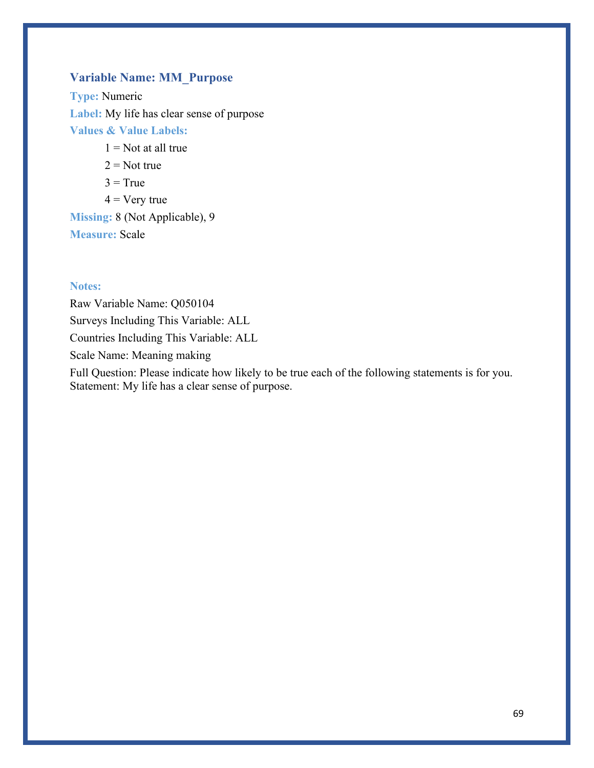### **Variable Name: MM\_Purpose**

**Type:** Numeric **Label:** My life has clear sense of purpose **Values & Value Labels:**

- $1 =$  Not at all true
- $2 = Not true$
- $3 = True$
- $4 = V$ ery true

**Missing:** 8 (Not Applicable), 9 **Measure:** Scale

#### **Notes:**

Raw Variable Name: Q050104 Surveys Including This Variable: ALL Countries Including This Variable: ALL Scale Name: Meaning making

Full Question: Please indicate how likely to be true each of the following statements is for you. Statement: My life has a clear sense of purpose.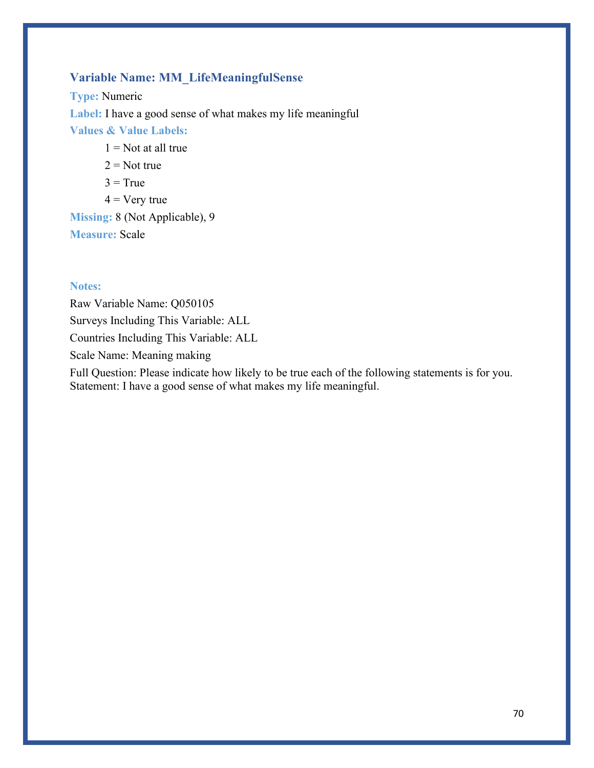# **Variable Name: MM\_LifeMeaningfulSense**

**Type:** Numeric **Label:** I have a good sense of what makes my life meaningful **Values & Value Labels:**  $1 =$  Not at all true

- $2 = Not true$
- $3 = True$
- $4 = V$ ery true

**Missing:** 8 (Not Applicable), 9 **Measure:** Scale

#### **Notes:**

Raw Variable Name: Q050105 Surveys Including This Variable: ALL Countries Including This Variable: ALL Scale Name: Meaning making

Full Question: Please indicate how likely to be true each of the following statements is for you. Statement: I have a good sense of what makes my life meaningful.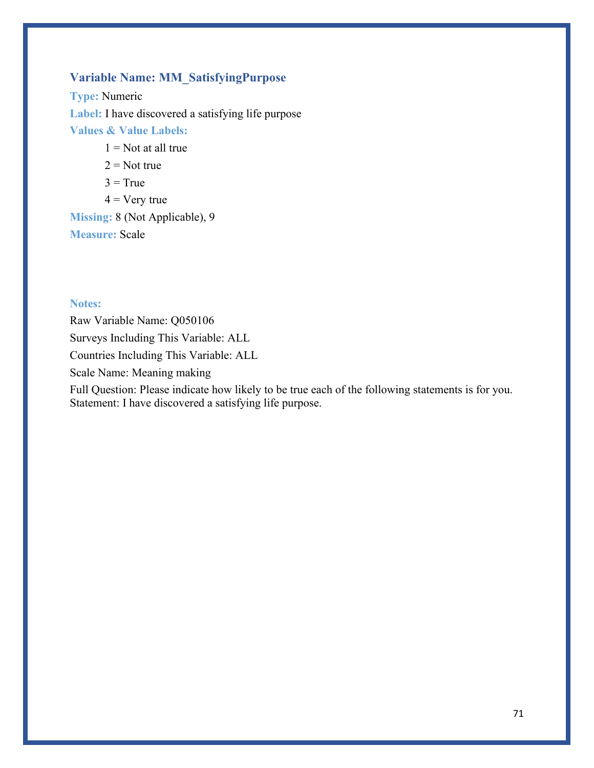# **Variable Name: MM\_SatisfyingPurpose**

**Type:** Numeric **Label:** I have discovered a satisfying life purpose **Values & Value Labels:**

- $1 =$  Not at all true
- $2 = Not true$
- $3 = True$
- $4 = \text{Very true}$

**Missing:** 8 (Not Applicable), 9 **Measure:** Scale

#### **Notes:**

Raw Variable Name: Q050106 Surveys Including This Variable: ALL Countries Including This Variable: ALL Scale Name: Meaning making Full Question: Please indicate how likely to be true each of the following statements is for you. Statement: I have discovered a satisfying life purpose.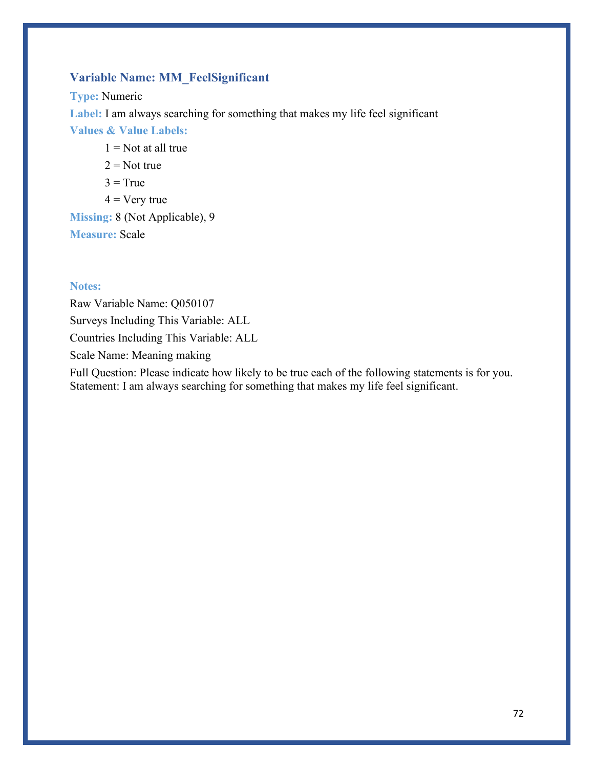## **Variable Name: MM\_FeelSignificant**

**Type:** Numeric **Label:** I am always searching for something that makes my life feel significant **Values & Value Labels:**  $1 =$  Not at all true

- $2 = Not true$
- $3 = True$
- $4 = V$ ery true

**Missing:** 8 (Not Applicable), 9 **Measure:** Scale

#### **Notes:**

Raw Variable Name: Q050107 Surveys Including This Variable: ALL Countries Including This Variable: ALL Scale Name: Meaning making

Full Question: Please indicate how likely to be true each of the following statements is for you. Statement: I am always searching for something that makes my life feel significant.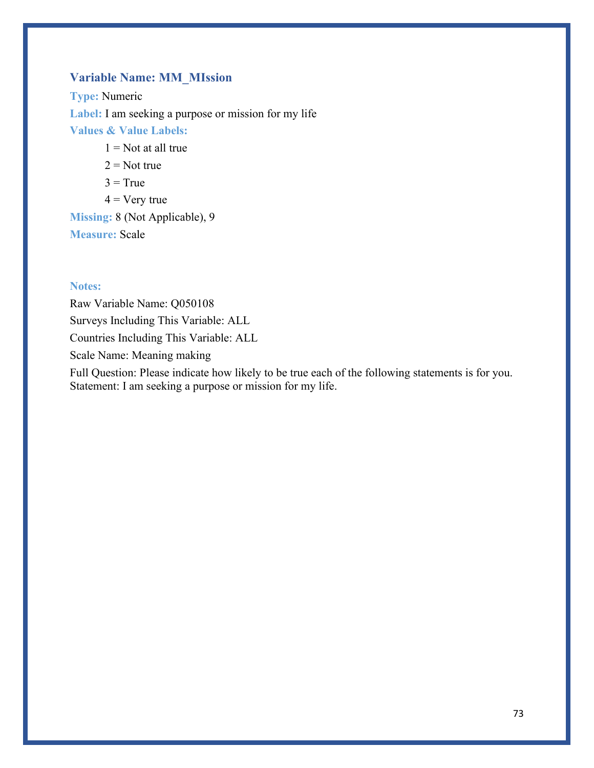# **Variable Name: MM\_MIssion**

**Type:** Numeric Label: I am seeking a purpose or mission for my life **Values & Value Labels:**  $1 =$  Not at all true

- $2 = Not true$
- $3 = True$
- $4 = V$ ery true

**Missing:** 8 (Not Applicable), 9 **Measure:** Scale

### **Notes:**

Raw Variable Name: Q050108 Surveys Including This Variable: ALL Countries Including This Variable: ALL Scale Name: Meaning making

Full Question: Please indicate how likely to be true each of the following statements is for you. Statement: I am seeking a purpose or mission for my life.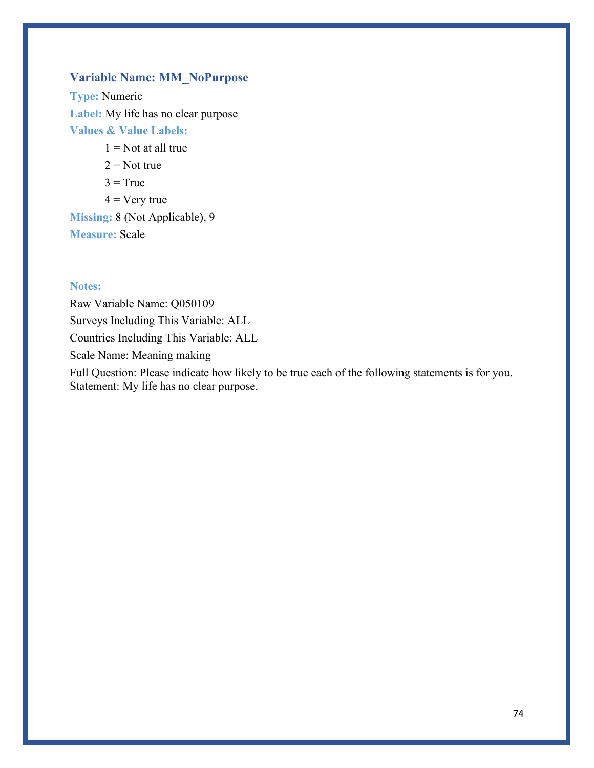# **Variable Name: MM\_NoPurpose**

**Type:** Numeric **Label:** My life has no clear purpose **Values & Value Labels:**

- $1 =$  Not at all true
- $2 = Not true$
- $3 = True$
- $4 = V$ ery true

**Missing:** 8 (Not Applicable), 9 **Measure:** Scale

### **Notes:**

Raw Variable Name: Q050109 Surveys Including This Variable: ALL Countries Including This Variable: ALL Scale Name: Meaning making

Full Question: Please indicate how likely to be true each of the following statements is for you. Statement: My life has no clear purpose.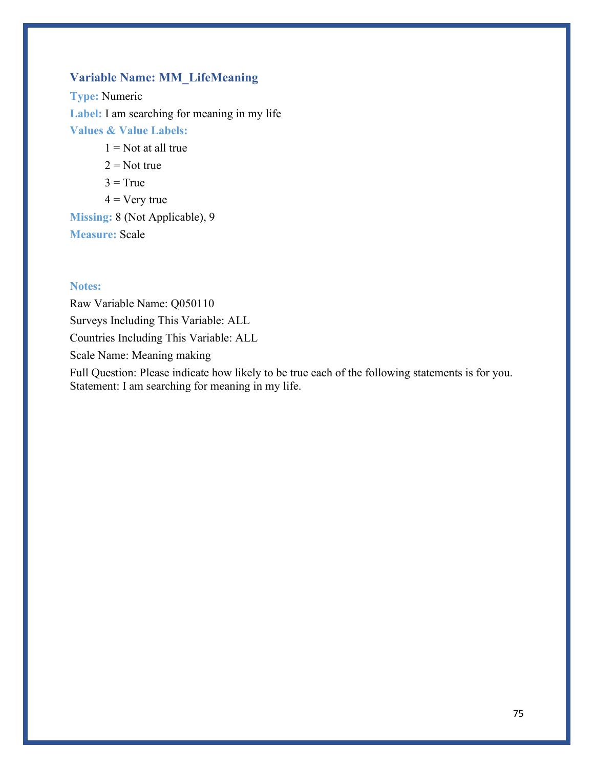# **Variable Name: MM\_LifeMeaning**

**Type:** Numeric **Label:** I am searching for meaning in my life **Values & Value Labels:**

- $1 =$  Not at all true
- $2 = Not true$
- $3 = True$
- $4 = V$ ery true

**Missing:** 8 (Not Applicable), 9 **Measure:** Scale

### **Notes:**

Raw Variable Name: Q050110 Surveys Including This Variable: ALL Countries Including This Variable: ALL Scale Name: Meaning making

Full Question: Please indicate how likely to be true each of the following statements is for you. Statement: I am searching for meaning in my life.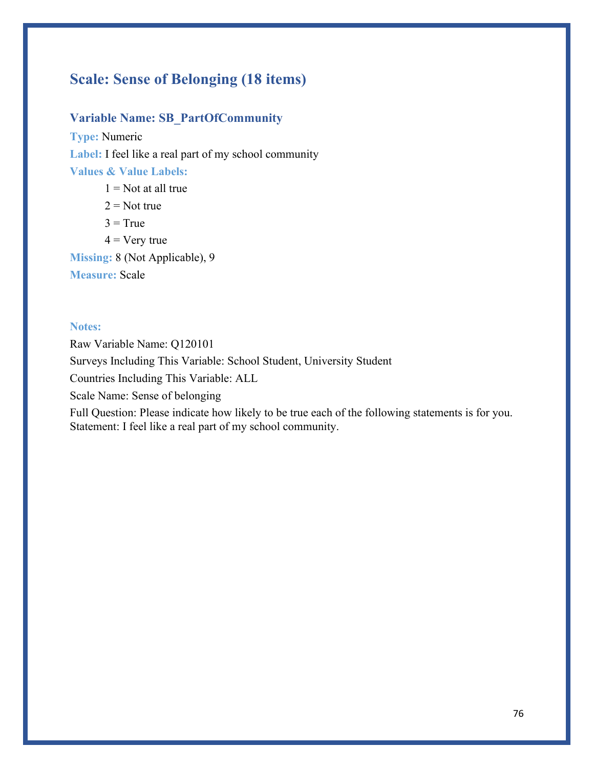# **Scale: Sense of Belonging (18 items)**

# **Variable Name: SB\_PartOfCommunity**

**Type:** Numeric Label: I feel like a real part of my school community **Values & Value Labels:**

 $1 = Not$  at all true

 $2 = Not true$ 

 $3 = True$ 

 $4 = V$ ery true

**Missing:** 8 (Not Applicable), 9

**Measure:** Scale

### **Notes:**

Raw Variable Name: Q120101 Surveys Including This Variable: School Student, University Student Countries Including This Variable: ALL Scale Name: Sense of belonging Full Question: Please indicate how likely to be true each of the following statements is for you.

Statement: I feel like a real part of my school community.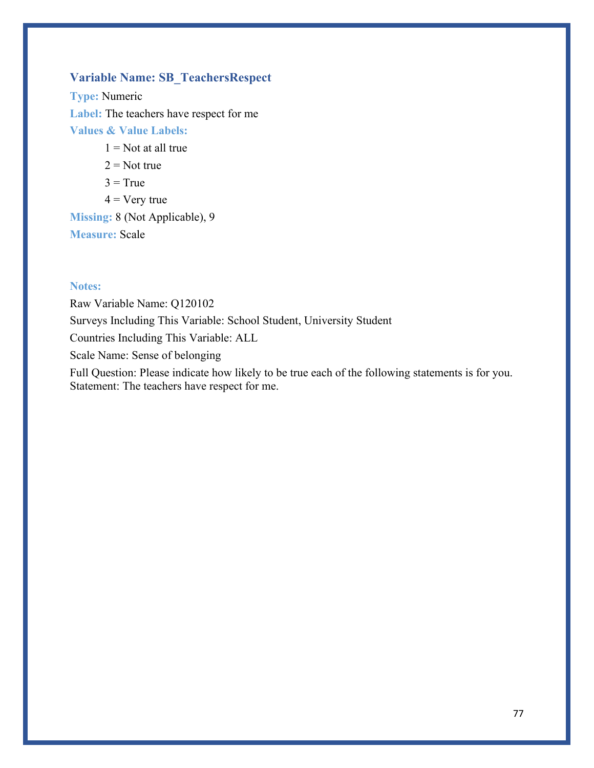# **Variable Name: SB\_TeachersRespect**

**Type:** Numeric **Label:** The teachers have respect for me **Values & Value Labels:**

- $1 =$  Not at all true
- $2 = Not true$
- $3 = True$
- $4 = V$ ery true

**Missing:** 8 (Not Applicable), 9 **Measure:** Scale

### **Notes:**

Raw Variable Name: Q120102 Surveys Including This Variable: School Student, University Student Countries Including This Variable: ALL Scale Name: Sense of belonging Full Question: Please indicate how likely to be true each of the following statements is for you.

Statement: The teachers have respect for me.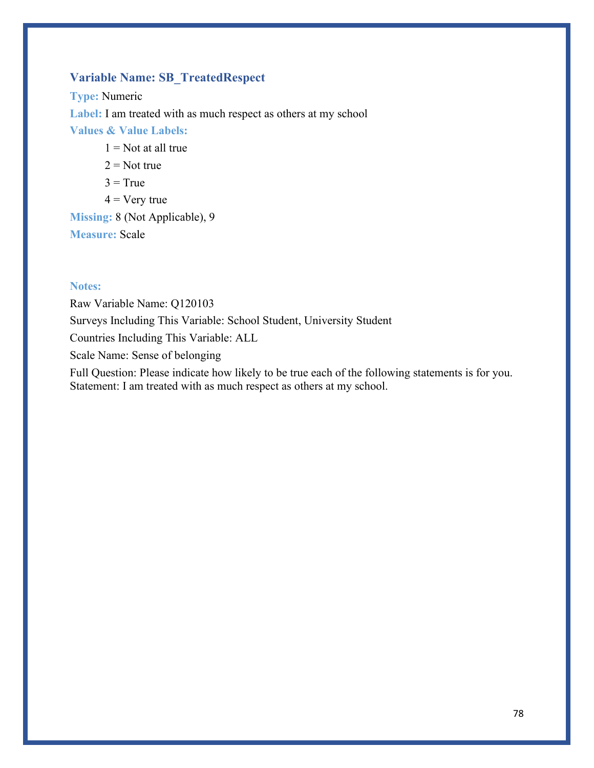# **Variable Name: SB\_TreatedRespect**

**Type:** Numeric **Label:** I am treated with as much respect as others at my school **Values & Value Labels:**  $1 =$  Not at all true  $2 = Not true$ 

- 
- $3 = True$
- $4 = V$ ery true

**Missing:** 8 (Not Applicable), 9 **Measure:** Scale

### **Notes:**

Raw Variable Name: Q120103 Surveys Including This Variable: School Student, University Student Countries Including This Variable: ALL Scale Name: Sense of belonging Full Question: Please indicate how likely to be true each of the following statements is for you. Statement: I am treated with as much respect as others at my school.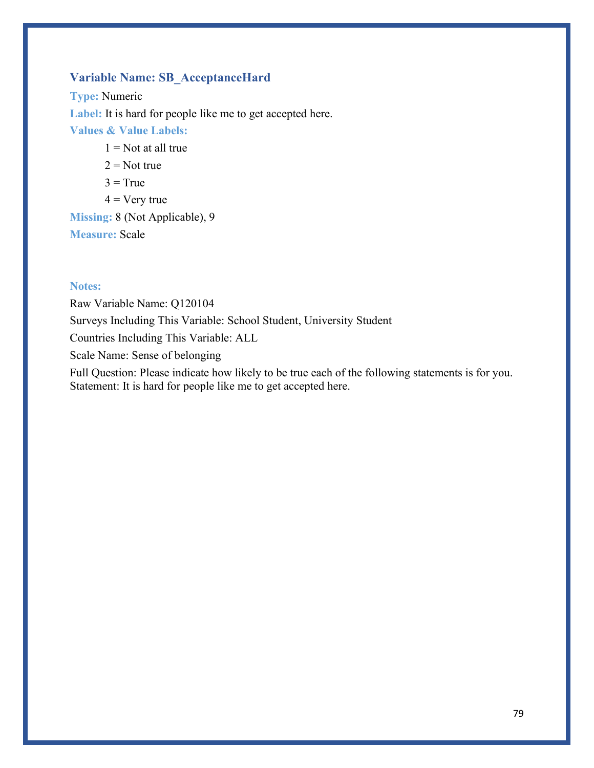# **Variable Name: SB\_AcceptanceHard**

**Type:** Numeric Label: It is hard for people like me to get accepted here. **Values & Value Labels:**  $1 =$  Not at all true

- $2 = Not true$
- $3 = True$
- $4 = V$ ery true

**Missing:** 8 (Not Applicable), 9 **Measure:** Scale

### **Notes:**

Raw Variable Name: Q120104 Surveys Including This Variable: School Student, University Student Countries Including This Variable: ALL Scale Name: Sense of belonging Full Question: Please indicate how likely to be true each of the following statements is for you. Statement: It is hard for people like me to get accepted here.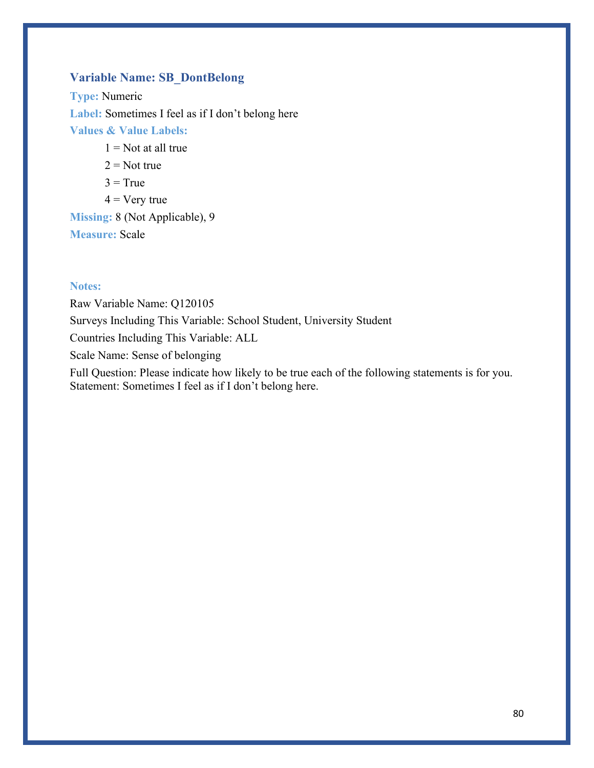# **Variable Name: SB\_DontBelong**

**Type:** Numeric Label: Sometimes I feel as if I don't belong here **Values & Value Labels:**  $1 =$  Not at all true

- $2 = Not true$
- $3 = True$
- $4 = V$ ery true

**Missing:** 8 (Not Applicable), 9 **Measure:** Scale

### **Notes:**

Raw Variable Name: Q120105 Surveys Including This Variable: School Student, University Student Countries Including This Variable: ALL Scale Name: Sense of belonging Full Question: Please indicate how likely to be true each of the following statements is for you. Statement: Sometimes I feel as if I don't belong here.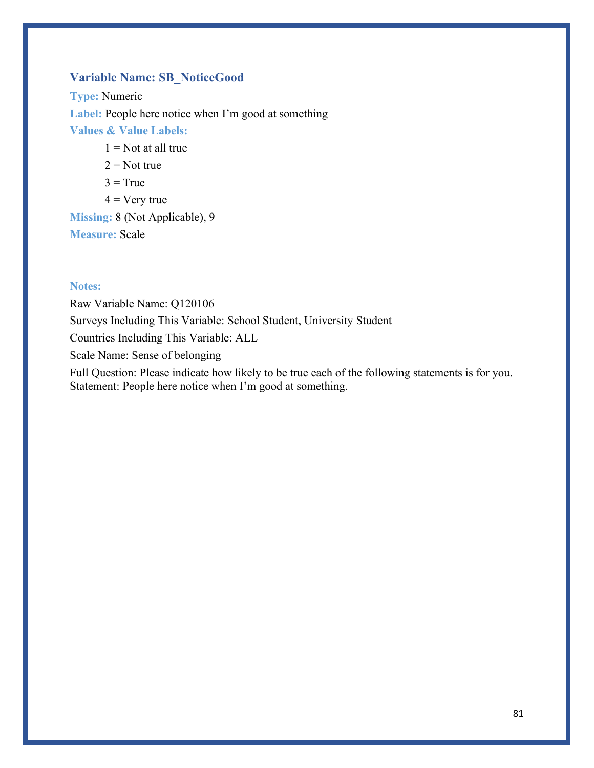# **Variable Name: SB\_NoticeGood**

**Type:** Numeric Label: People here notice when I'm good at something **Values & Value Labels:**  $1 =$  Not at all true  $2 = Not true$ 

- $3 = True$
- $4 = V$ ery true

**Missing:** 8 (Not Applicable), 9 **Measure:** Scale

### **Notes:**

Raw Variable Name: Q120106 Surveys Including This Variable: School Student, University Student Countries Including This Variable: ALL Scale Name: Sense of belonging Full Question: Please indicate how likely to be true each of the following statements is for you.

Statement: People here notice when I'm good at something.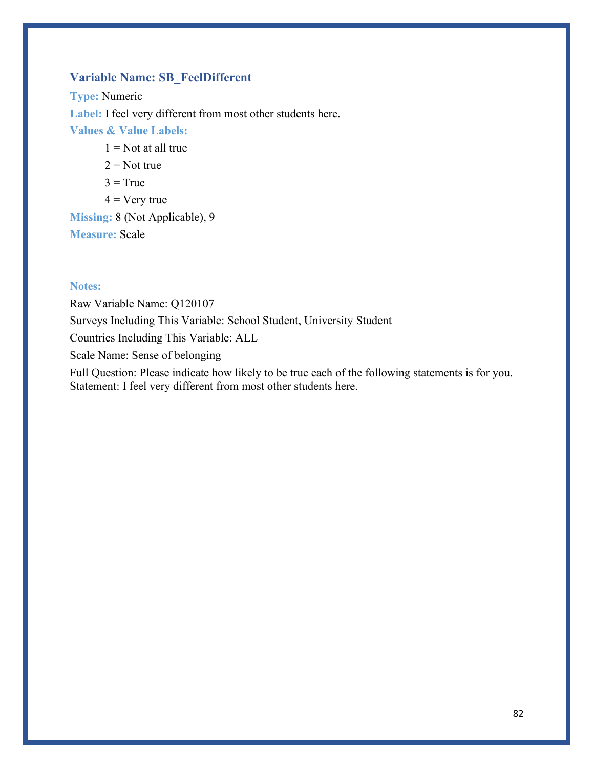# **Variable Name: SB\_FeelDifferent**

**Type:** Numeric **Label:** I feel very different from most other students here. **Values & Value Labels:**  $1 =$  Not at all true

- $2 = Not true$
- $3 = True$
- $4 = V$ ery true

**Missing:** 8 (Not Applicable), 9 **Measure:** Scale

### **Notes:**

Raw Variable Name: Q120107 Surveys Including This Variable: School Student, University Student Countries Including This Variable: ALL Scale Name: Sense of belonging Full Question: Please indicate how likely to be true each of the following statements is for you. Statement: I feel very different from most other students here.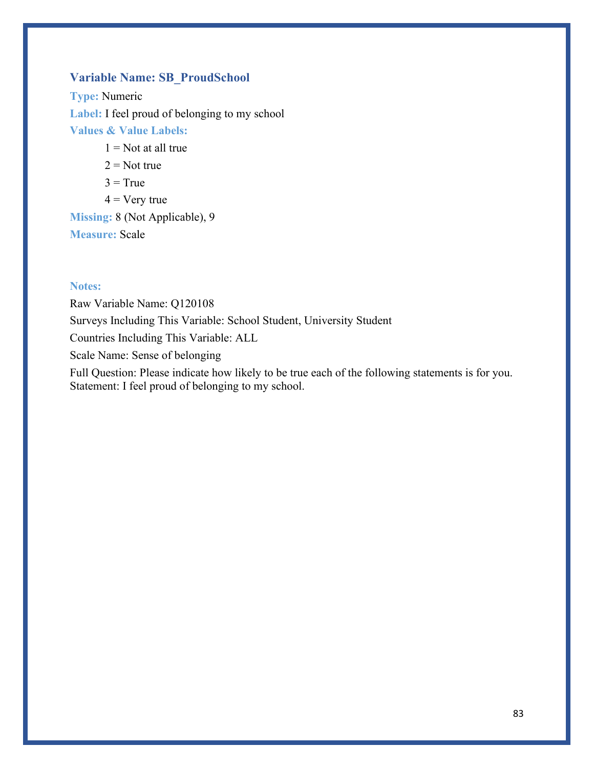# **Variable Name: SB\_ProudSchool**

**Type:** Numeric Label: I feel proud of belonging to my school **Values & Value Labels:**

- $1 =$  Not at all true
- $2 = Not true$
- $3 = True$
- $4 = V$ ery true

**Missing:** 8 (Not Applicable), 9 **Measure:** Scale

### **Notes:**

Raw Variable Name: Q120108 Surveys Including This Variable: School Student, University Student Countries Including This Variable: ALL Scale Name: Sense of belonging Full Question: Please indicate how likely to be true each of the following statements is for you. Statement: I feel proud of belonging to my school.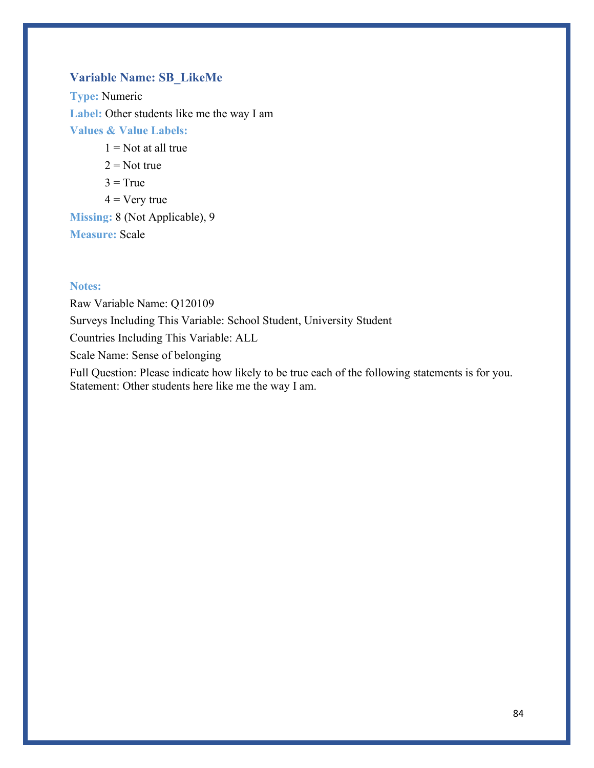# **Variable Name: SB\_LikeMe**

**Type:** Numeric **Label:** Other students like me the way I am **Values & Value Labels:**

 $1 =$  Not at all true

 $2 = Not true$ 

 $3 = True$ 

 $4 = V$ ery true

**Missing:** 8 (Not Applicable), 9 **Measure:** Scale

### **Notes:**

Raw Variable Name: Q120109 Surveys Including This Variable: School Student, University Student Countries Including This Variable: ALL Scale Name: Sense of belonging

Full Question: Please indicate how likely to be true each of the following statements is for you. Statement: Other students here like me the way I am.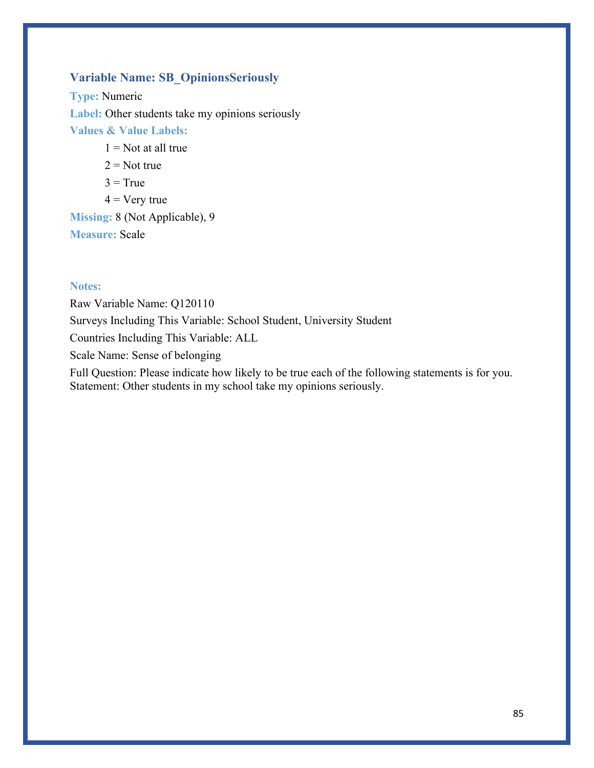# **Variable Name: SB\_OpinionsSeriously**

**Type:** Numeric **Label:** Other students take my opinions seriously **Values & Value Labels:**  $1 =$  Not at all true

- $2 = Not true$
- $3 = True$
- $4 = V$ ery true

**Missing:** 8 (Not Applicable), 9 **Measure:** Scale

### **Notes:**

Raw Variable Name: Q120110 Surveys Including This Variable: School Student, University Student Countries Including This Variable: ALL Scale Name: Sense of belonging Full Question: Please indicate how likely to be true each of the following statements is for you.

Statement: Other students in my school take my opinions seriously.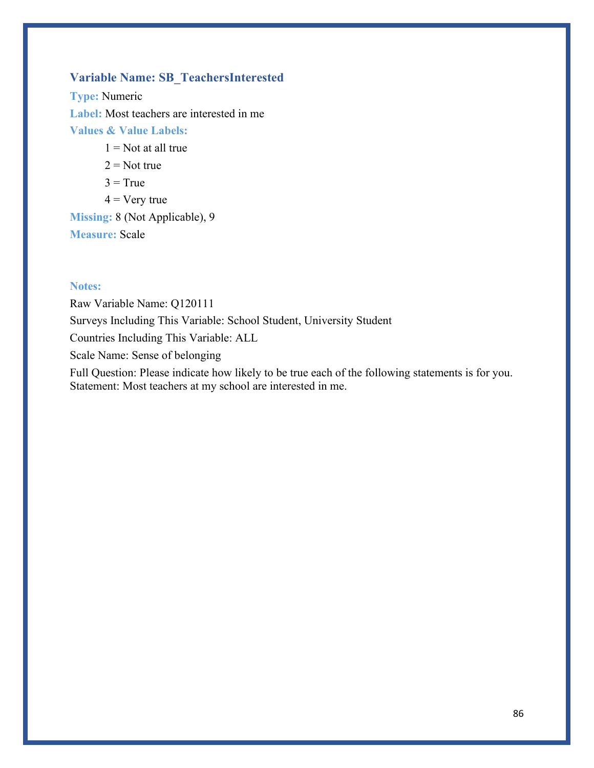# **Variable Name: SB\_TeachersInterested**

**Type:** Numeric **Label:** Most teachers are interested in me **Values & Value Labels:**

- $1 =$  Not at all true
- $2 = Not true$
- $3 = True$
- $4 = V$ ery true

**Missing:** 8 (Not Applicable), 9 **Measure:** Scale

### **Notes:**

Raw Variable Name: Q120111 Surveys Including This Variable: School Student, University Student Countries Including This Variable: ALL Scale Name: Sense of belonging Full Question: Please indicate how likely to be true each of the following statements is for you.

Statement: Most teachers at my school are interested in me.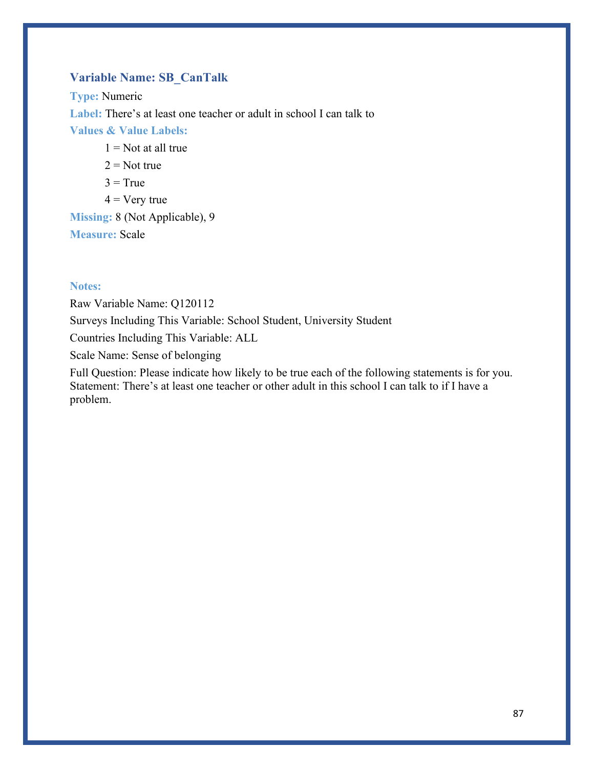# **Variable Name: SB\_CanTalk**

**Type:** Numeric **Label:** There's at least one teacher or adult in school I can talk to **Values & Value Labels:**  $1 =$  Not at all true  $2 = Not true$ 

- $3 = True$
- $4 = V$ ery true

**Missing:** 8 (Not Applicable), 9 **Measure:** Scale

### **Notes:**

Raw Variable Name: Q120112 Surveys Including This Variable: School Student, University Student Countries Including This Variable: ALL

Scale Name: Sense of belonging

Full Question: Please indicate how likely to be true each of the following statements is for you. Statement: There's at least one teacher or other adult in this school I can talk to if I have a problem.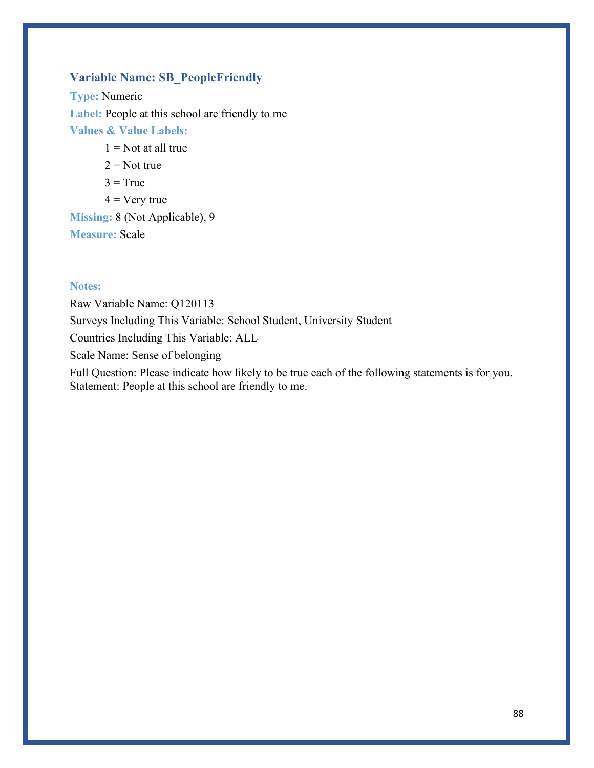# **Variable Name: SB\_PeopleFriendly**

**Type:** Numeric **Label:** People at this school are friendly to me **Values & Value Labels:**

- $1 =$  Not at all true
- $2 = Not true$
- $3 = True$
- $4 = V$ ery true

**Missing:** 8 (Not Applicable), 9 **Measure:** Scale

### **Notes:**

Raw Variable Name: Q120113 Surveys Including This Variable: School Student, University Student Countries Including This Variable: ALL Scale Name: Sense of belonging Full Question: Please indicate how likely to be true each of the following statements is for you.

Statement: People at this school are friendly to me.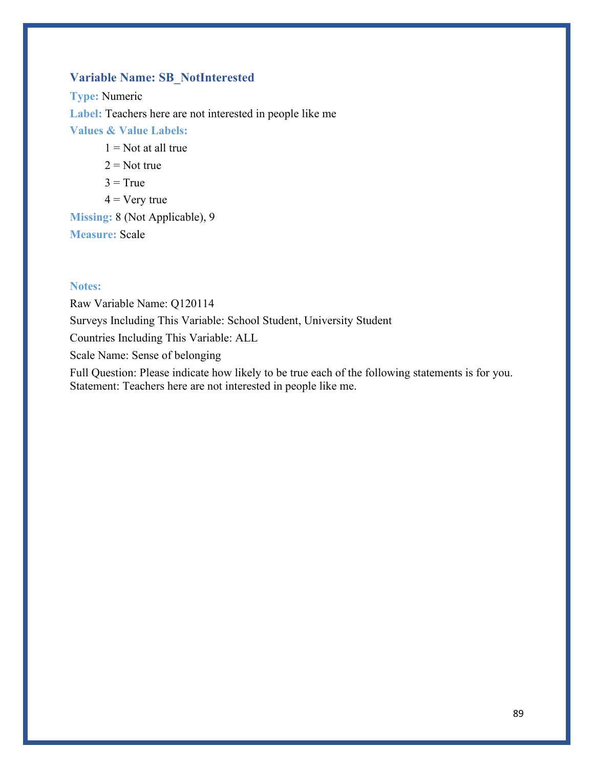# **Variable Name: SB\_NotInterested**

**Type:** Numeric **Label:** Teachers here are not interested in people like me **Values & Value Labels:**  $1 =$  Not at all true  $2 = Not true$ 

- $3 = True$
- $4 = V$ ery true

**Missing:** 8 (Not Applicable), 9 **Measure:** Scale

### **Notes:**

Raw Variable Name: Q120114 Surveys Including This Variable: School Student, University Student Countries Including This Variable: ALL Scale Name: Sense of belonging Full Question: Please indicate how likely to be true each of the following statements is for you.

Statement: Teachers here are not interested in people like me.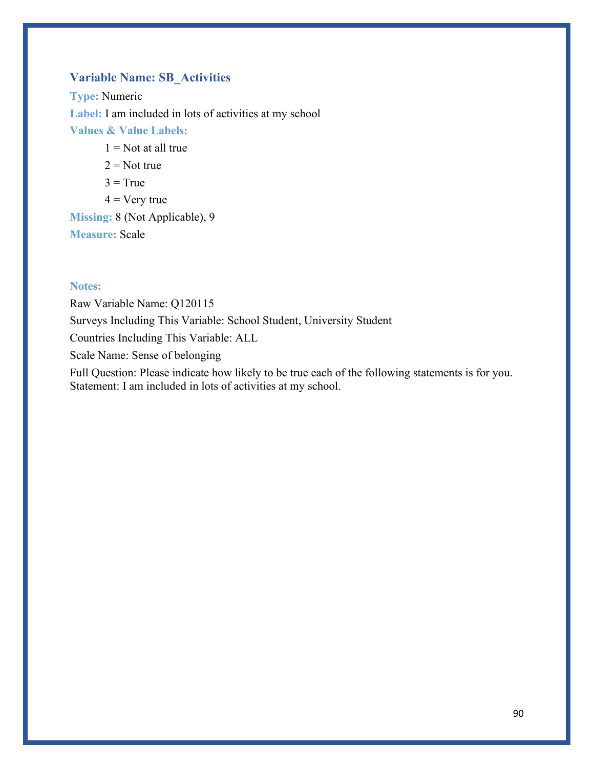# **Variable Name: SB\_Activities**

**Type:** Numeric Label: I am included in lots of activities at my school **Values & Value Labels:**  $1 =$  Not at all true  $2 = Not true$ 

- $3 = True$
- $4 = V$ ery true

**Missing:** 8 (Not Applicable), 9 **Measure:** Scale

### **Notes:**

Raw Variable Name: Q120115 Surveys Including This Variable: School Student, University Student Countries Including This Variable: ALL Scale Name: Sense of belonging Full Question: Please indicate how likely to be true each of the following statements is for you. Statement: I am included in lots of activities at my school.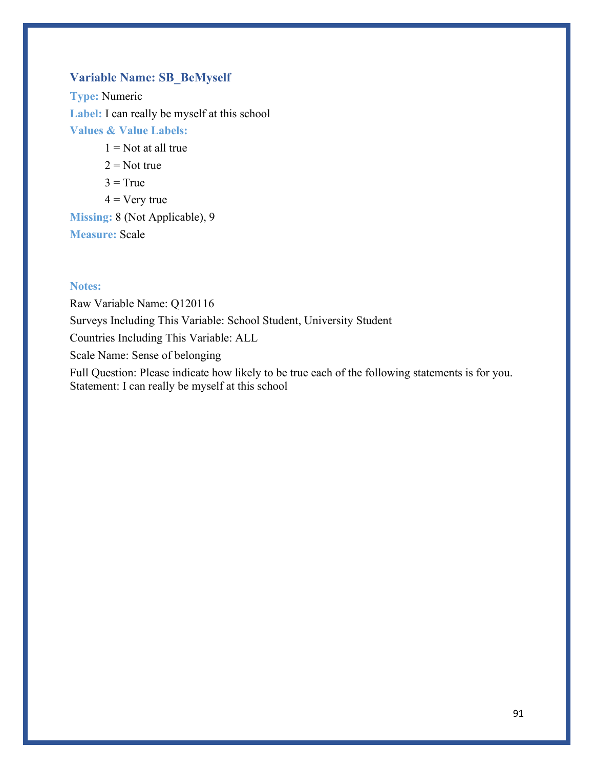# **Variable Name: SB\_BeMyself**

**Type:** Numeric **Label:** I can really be myself at this school **Values & Value Labels:**

- $1 =$ Not at all true
- $2 = Not true$
- $3 = True$
- $4 = V$ ery true

**Missing:** 8 (Not Applicable), 9 **Measure:** Scale

### **Notes:**

Raw Variable Name: Q120116 Surveys Including This Variable: School Student, University Student Countries Including This Variable: ALL Scale Name: Sense of belonging Full Question: Please indicate how likely to be true each of the following statements is for you. Statement: I can really be myself at this school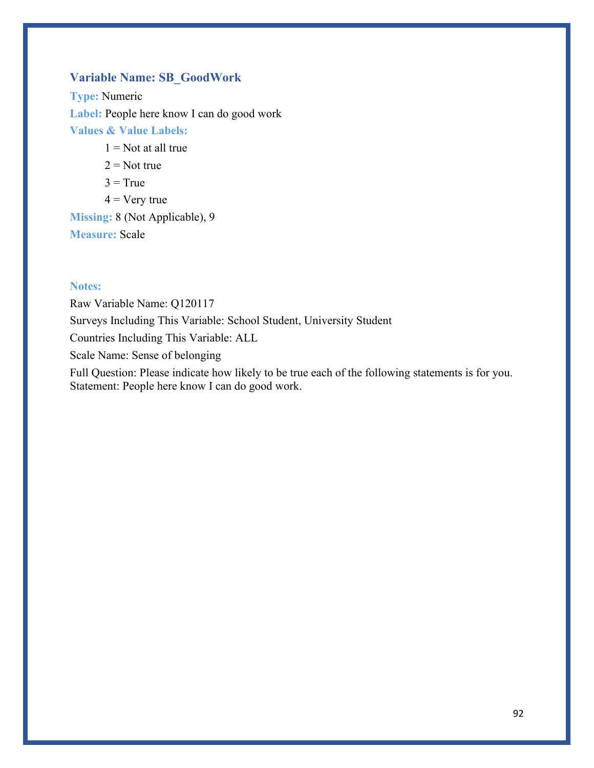# **Variable Name: SB\_GoodWork**

**Type:** Numeric **Label:** People here know I can do good work **Values & Value Labels:**

- $1 =$ Not at all true
- $2 = Not true$
- $3 = True$
- $4 = V$ ery true

**Missing:** 8 (Not Applicable), 9 **Measure:** Scale

### **Notes:**

Raw Variable Name: Q120117 Surveys Including This Variable: School Student, University Student Countries Including This Variable: ALL Scale Name: Sense of belonging Full Question: Please indicate how likely to be true each of the following statements is for you.

Statement: People here know I can do good work.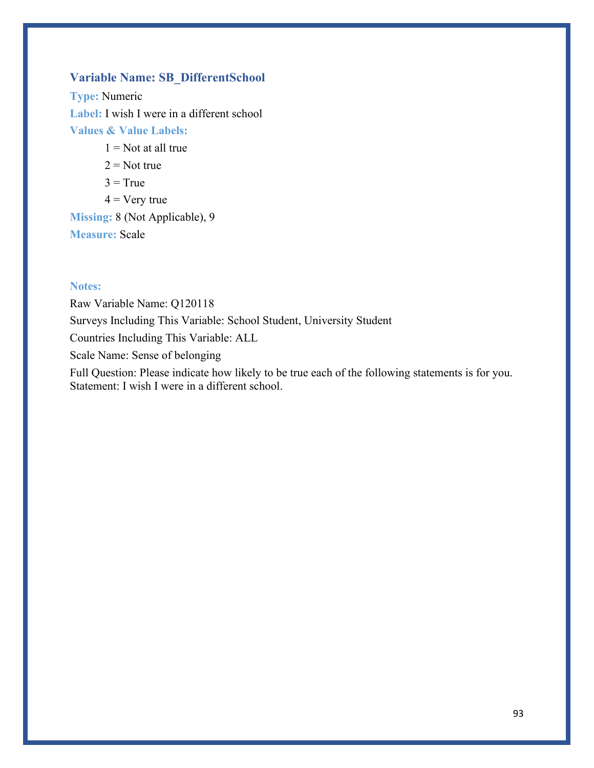# **Variable Name: SB\_DifferentSchool**

**Type:** Numeric **Label:** I wish I were in a different school **Values & Value Labels:**

- $1 =$ Not at all true
- $2 = Not true$
- $3 = True$
- $4 = V$ ery true

**Missing:** 8 (Not Applicable), 9 **Measure:** Scale

### **Notes:**

Raw Variable Name: Q120118 Surveys Including This Variable: School Student, University Student Countries Including This Variable: ALL Scale Name: Sense of belonging Full Question: Please indicate how likely to be true each of the following statements is for you. Statement: I wish I were in a different school.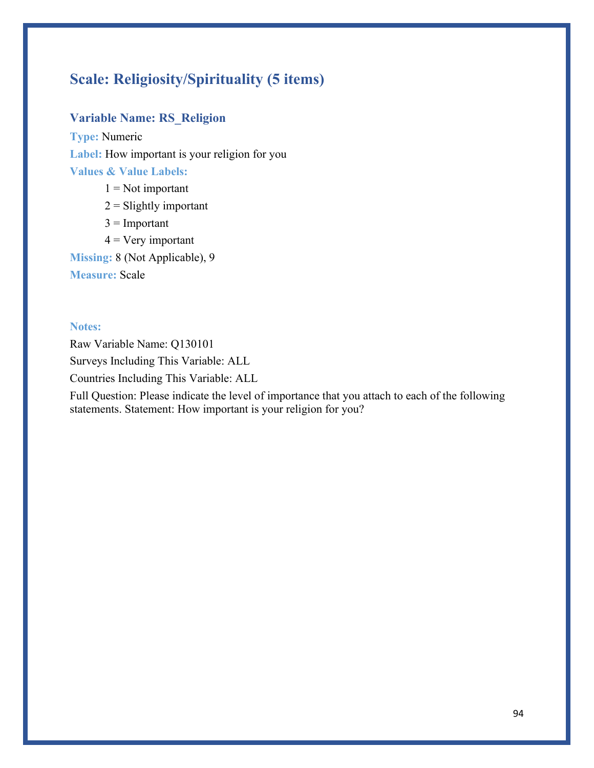# **Scale: Religiosity/Spirituality (5 items)**

# **Variable Name: RS\_Religion**

**Type:** Numeric **Label:** How important is your religion for you **Values & Value Labels:**

- $1 = Not important$
- $2 =$  Slightly important
- $3 =$  Important
- $4 = V$ ery important

**Missing:** 8 (Not Applicable), 9

**Measure:** Scale

### **Notes:**

Raw Variable Name: Q130101 Surveys Including This Variable: ALL Countries Including This Variable: ALL

Full Question: Please indicate the level of importance that you attach to each of the following statements. Statement: How important is your religion for you?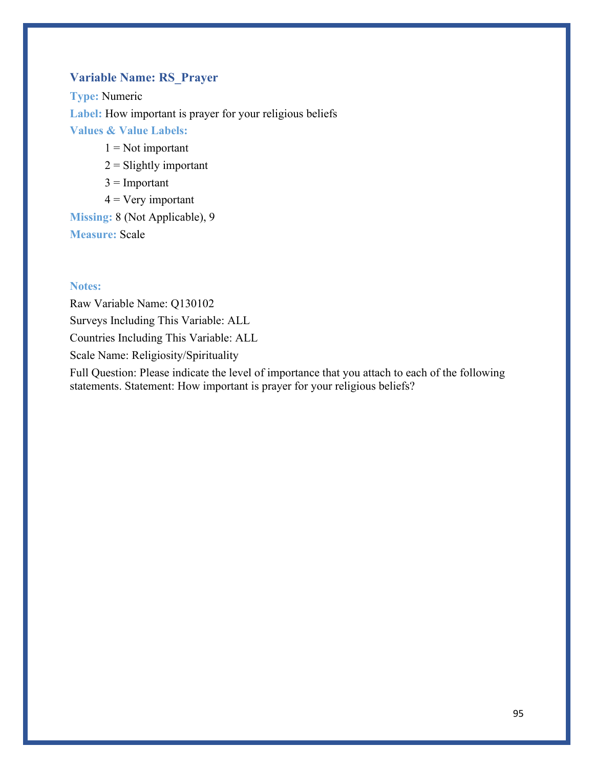# **Variable Name: RS\_Prayer**

**Type:** Numeric **Label:** How important is prayer for your religious beliefs **Values & Value Labels:**

- $1 = Not important$
- $2 =$  Slightly important
- $3 =$ Important
- $4 = V$ ery important

**Missing:** 8 (Not Applicable), 9 **Measure:** Scale

### **Notes:**

Raw Variable Name: Q130102 Surveys Including This Variable: ALL Countries Including This Variable: ALL Scale Name: Religiosity/Spirituality

Full Question: Please indicate the level of importance that you attach to each of the following statements. Statement: How important is prayer for your religious beliefs?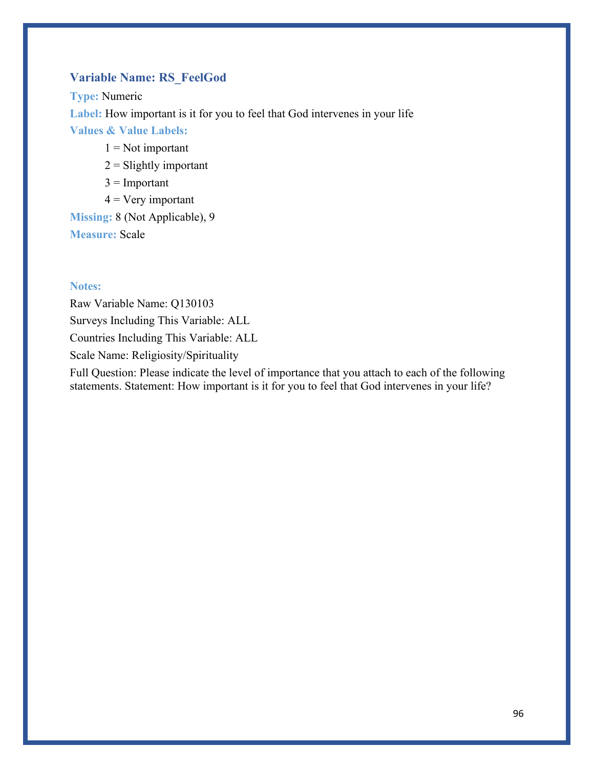# **Variable Name: RS\_FeelGod**

**Type:** Numeric **Label:** How important is it for you to feel that God intervenes in your life **Values & Value Labels:**

- $1 = Not important$
- $2 =$  Slightly important
- $3 =$ Important
- $4 = V$ ery important

**Missing:** 8 (Not Applicable), 9 **Measure:** Scale

### **Notes:**

Raw Variable Name: Q130103 Surveys Including This Variable: ALL Countries Including This Variable: ALL Scale Name: Religiosity/Spirituality

Full Question: Please indicate the level of importance that you attach to each of the following statements. Statement: How important is it for you to feel that God intervenes in your life?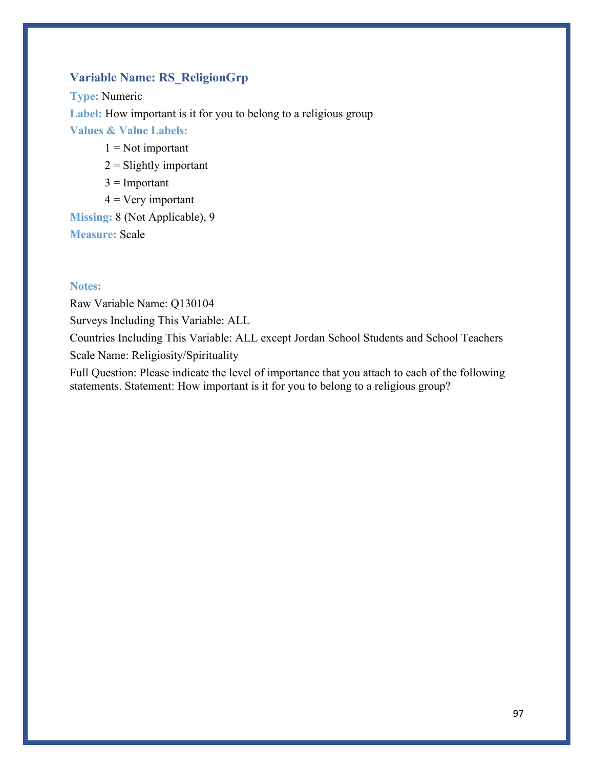# **Variable Name: RS\_ReligionGrp**

**Type:** Numeric **Label:** How important is it for you to belong to a religious group **Values & Value Labels:**

- $1 = Not important$
- $2 =$  Slightly important
- $3 =$ Important
- $4 = V$ ery important

**Missing:** 8 (Not Applicable), 9 **Measure:** Scale

### **Notes:**

Raw Variable Name: Q130104

Surveys Including This Variable: ALL

Countries Including This Variable: ALL except Jordan School Students and School Teachers Scale Name: Religiosity/Spirituality

Full Question: Please indicate the level of importance that you attach to each of the following statements. Statement: How important is it for you to belong to a religious group?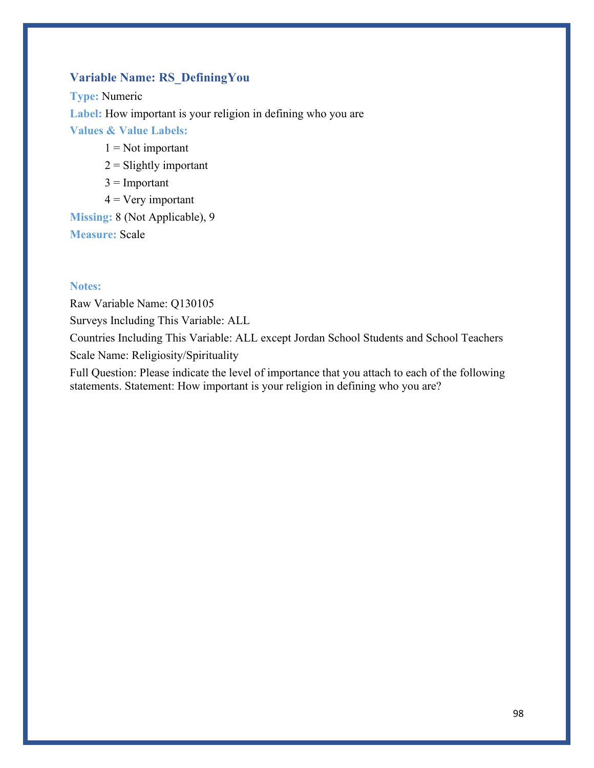# **Variable Name: RS\_DefiningYou**

**Type:** Numeric **Label:** How important is your religion in defining who you are **Values & Value Labels:**

- $1 = Not important$
- $2 =$  Slightly important
- $3 =$ Important
- $4 = V$ ery important

**Missing:** 8 (Not Applicable), 9 **Measure:** Scale

### **Notes:**

Raw Variable Name: Q130105

Surveys Including This Variable: ALL

Countries Including This Variable: ALL except Jordan School Students and School Teachers Scale Name: Religiosity/Spirituality

Full Question: Please indicate the level of importance that you attach to each of the following statements. Statement: How important is your religion in defining who you are?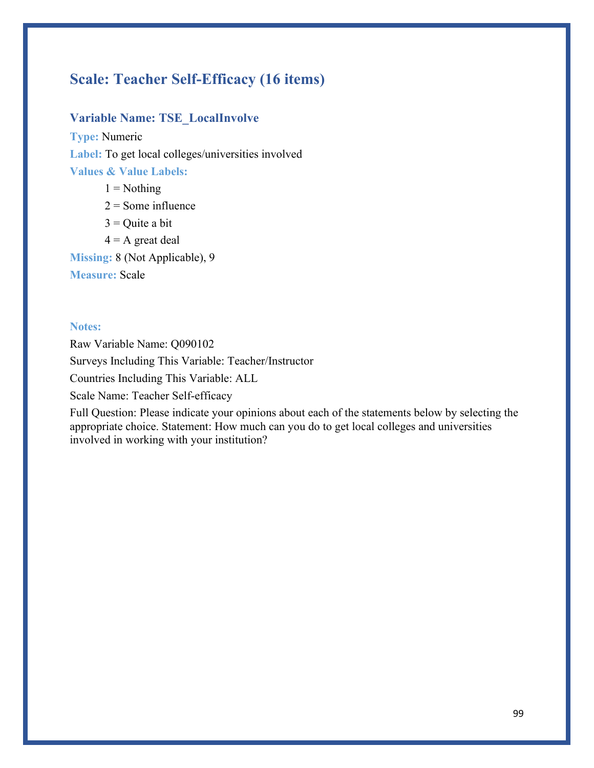# **Scale: Teacher Self-Efficacy (16 items)**

### **Variable Name: TSE\_LocalInvolve**

**Type:** Numeric Label: To get local colleges/universities involved **Values & Value Labels:**

 $1 =$  Nothing

 $2 =$  Some influence

 $3$  = Quite a bit

 $4 = A$  great deal

**Missing:** 8 (Not Applicable), 9

**Measure:** Scale

### **Notes:**

Raw Variable Name: Q090102 Surveys Including This Variable: Teacher/Instructor Countries Including This Variable: ALL Scale Name: Teacher Self-efficacy

Full Question: Please indicate your opinions about each of the statements below by selecting the appropriate choice. Statement: How much can you do to get local colleges and universities involved in working with your institution?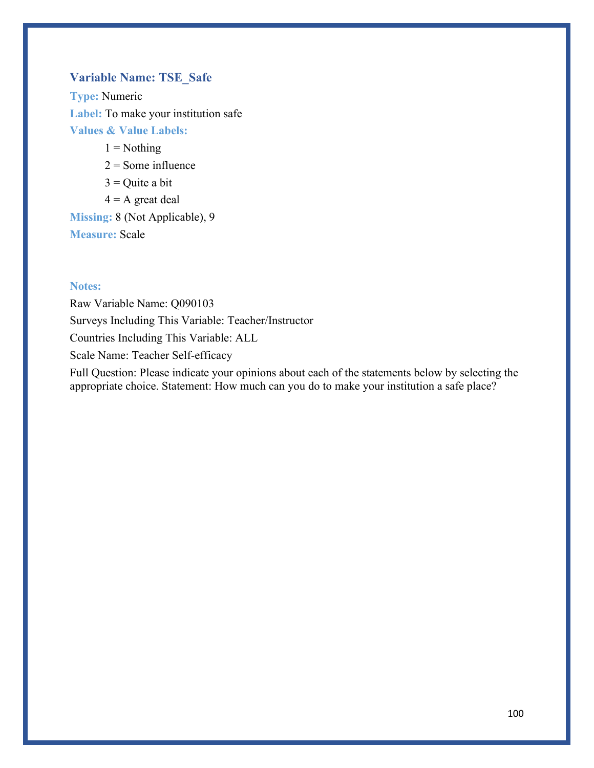# **Variable Name: TSE\_Safe**

**Type:** Numeric **Label:** To make your institution safe **Values & Value Labels:**

 $1 =$  Nothing

 $2 =$  Some influence

 $3$  = Quite a bit

 $4 = A$  great deal

**Missing:** 8 (Not Applicable), 9

**Measure:** Scale

### **Notes:**

Raw Variable Name: Q090103 Surveys Including This Variable: Teacher/Instructor Countries Including This Variable: ALL Scale Name: Teacher Self-efficacy

Full Question: Please indicate your opinions about each of the statements below by selecting the appropriate choice. Statement: How much can you do to make your institution a safe place?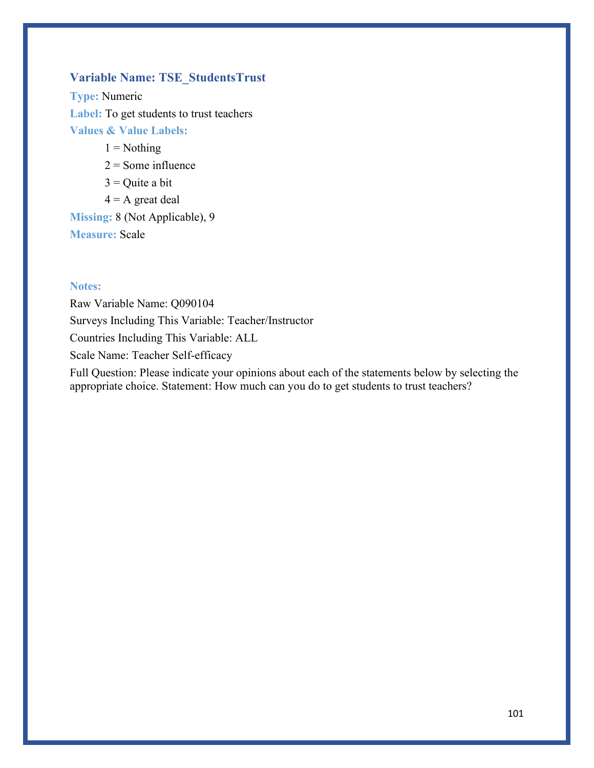# **Variable Name: TSE\_StudentsTrust**

**Type:** Numeric **Label:** To get students to trust teachers **Values & Value Labels:**

 $1 =$  Nothing

 $2 =$  Some influence

 $3$  = Quite a bit

 $4 = A$  great deal

**Missing:** 8 (Not Applicable), 9

**Measure:** Scale

### **Notes:**

Raw Variable Name: Q090104 Surveys Including This Variable: Teacher/Instructor Countries Including This Variable: ALL Scale Name: Teacher Self-efficacy

Full Question: Please indicate your opinions about each of the statements below by selecting the appropriate choice. Statement: How much can you do to get students to trust teachers?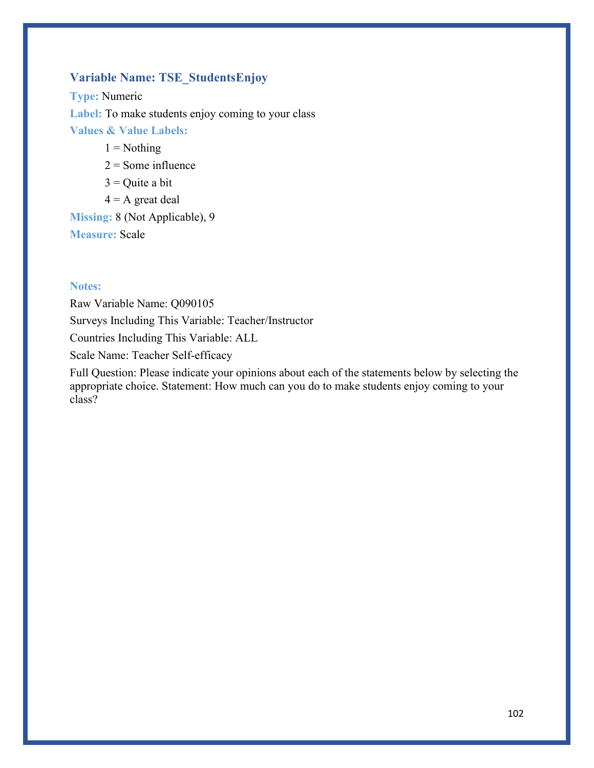# **Variable Name: TSE\_StudentsEnjoy**

**Type:** Numeric **Label:** To make students enjoy coming to your class **Values & Value Labels:**

 $1 =$  Nothing

 $2 =$  Some influence

 $3$  = Quite a bit

 $4 = A$  great deal

**Missing:** 8 (Not Applicable), 9

**Measure:** Scale

### **Notes:**

Raw Variable Name: Q090105 Surveys Including This Variable: Teacher/Instructor Countries Including This Variable: ALL Scale Name: Teacher Self-efficacy

Full Question: Please indicate your opinions about each of the statements below by selecting the appropriate choice. Statement: How much can you do to make students enjoy coming to your class?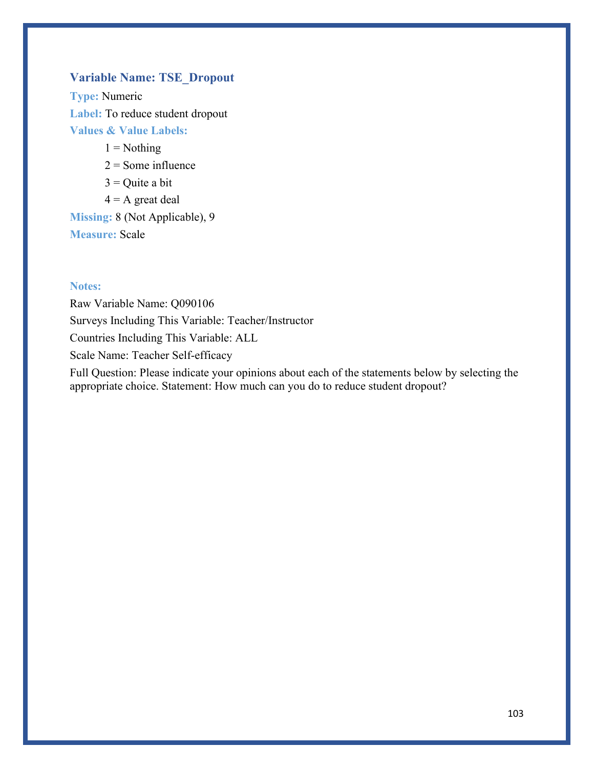## **Variable Name: TSE\_Dropout**

**Type:** Numeric **Label:** To reduce student dropout **Values & Value Labels:**

 $1 =$  Nothing

 $2 =$  Some influence

- $3$  = Quite a bit
- $4 = A$  great deal

**Missing:** 8 (Not Applicable), 9 **Measure:** Scale

#### **Notes:**

Raw Variable Name: Q090106 Surveys Including This Variable: Teacher/Instructor Countries Including This Variable: ALL Scale Name: Teacher Self-efficacy

Full Question: Please indicate your opinions about each of the statements below by selecting the appropriate choice. Statement: How much can you do to reduce student dropout?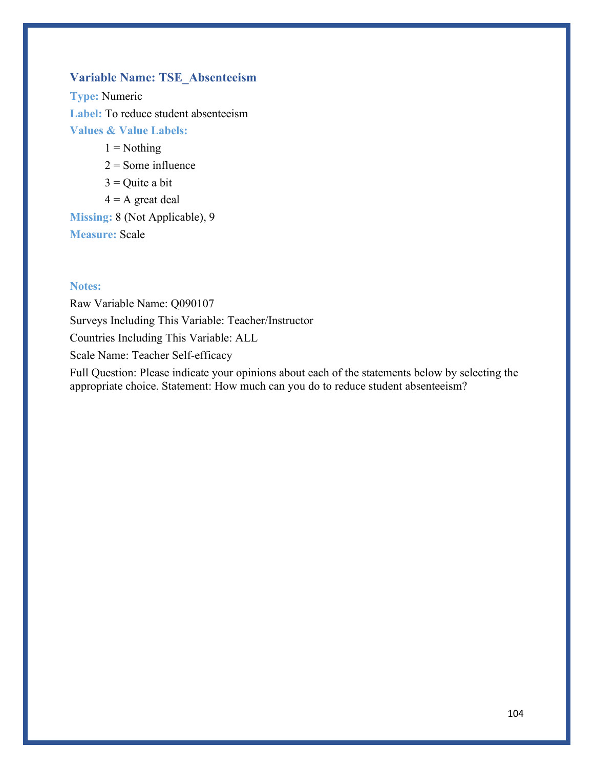# **Variable Name: TSE\_Absenteeism**

**Type:** Numeric **Label:** To reduce student absenteeism **Values & Value Labels:**

 $1 =$  Nothing

 $2 =$  Some influence

 $3$  = Quite a bit

 $4 = A$  great deal

**Missing:** 8 (Not Applicable), 9

**Measure:** Scale

### **Notes:**

Raw Variable Name: Q090107 Surveys Including This Variable: Teacher/Instructor Countries Including This Variable: ALL Scale Name: Teacher Self-efficacy

Full Question: Please indicate your opinions about each of the statements below by selecting the appropriate choice. Statement: How much can you do to reduce student absenteeism?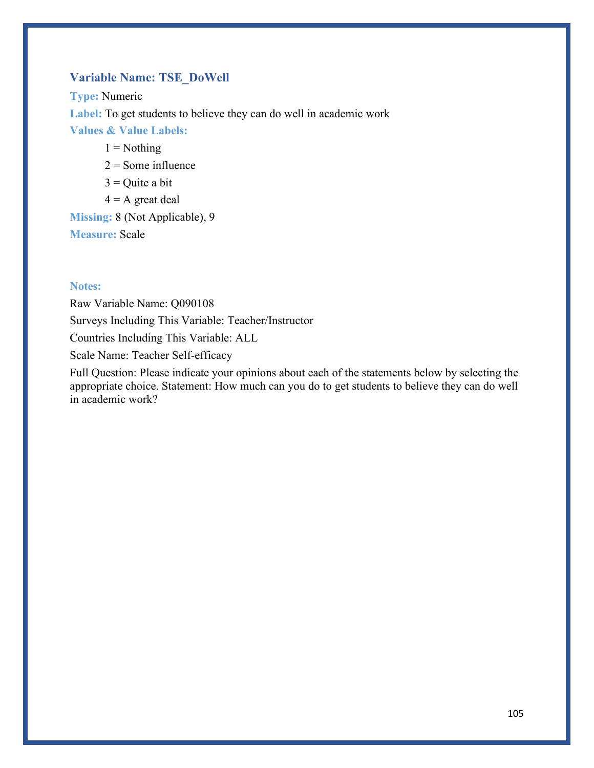# **Variable Name: TSE\_DoWell**

**Type:** Numeric **Label:** To get students to believe they can do well in academic work **Values & Value Labels:**

- $1 =$  Nothing
- $2 =$  Some influence
- $3$  = Quite a bit
- $4 = A$  great deal

**Missing:** 8 (Not Applicable), 9 **Measure:** Scale

### **Notes:**

Raw Variable Name: Q090108 Surveys Including This Variable: Teacher/Instructor Countries Including This Variable: ALL Scale Name: Teacher Self-efficacy

Full Question: Please indicate your opinions about each of the statements below by selecting the appropriate choice. Statement: How much can you do to get students to believe they can do well in academic work?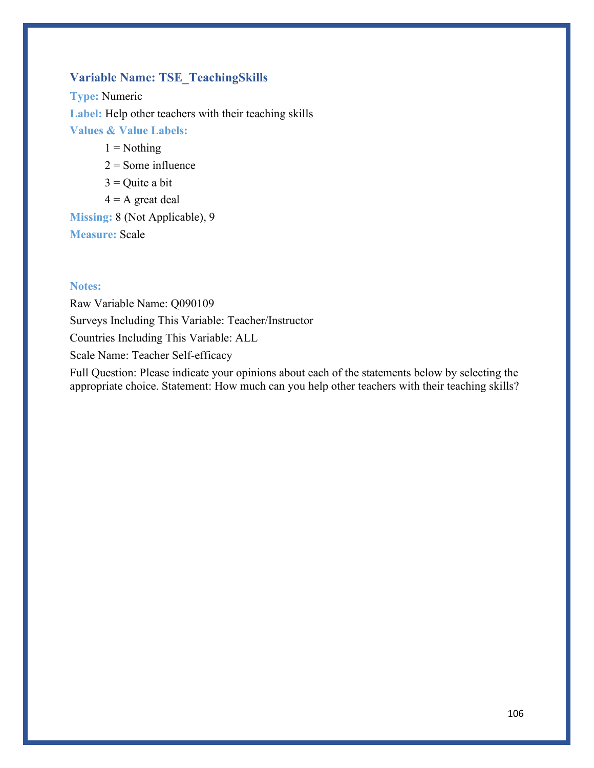# **Variable Name: TSE\_TeachingSkills**

**Type:** Numeric **Label:** Help other teachers with their teaching skills **Values & Value Labels:**

 $1 =$  Nothing

- $2 =$  Some influence
- $3$  = Quite a bit
- $4 = A$  great deal

**Missing:** 8 (Not Applicable), 9 **Measure:** Scale

#### **Notes:**

Raw Variable Name: Q090109 Surveys Including This Variable: Teacher/Instructor Countries Including This Variable: ALL Scale Name: Teacher Self-efficacy

Full Question: Please indicate your opinions about each of the statements below by selecting the appropriate choice. Statement: How much can you help other teachers with their teaching skills?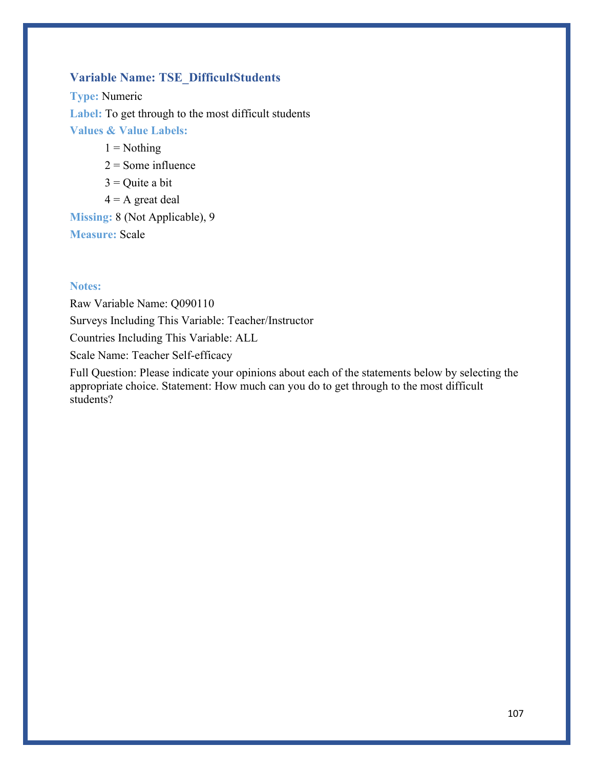# **Variable Name: TSE\_DifficultStudents**

**Type:** Numeric **Label:** To get through to the most difficult students **Values & Value Labels:**

 $1 =$  Nothing

- $2 =$  Some influence
- $3$  = Quite a bit
- $4 = A$  great deal

**Missing:** 8 (Not Applicable), 9 **Measure:** Scale

### **Notes:**

Raw Variable Name: Q090110 Surveys Including This Variable: Teacher/Instructor Countries Including This Variable: ALL Scale Name: Teacher Self-efficacy

Full Question: Please indicate your opinions about each of the statements below by selecting the appropriate choice. Statement: How much can you do to get through to the most difficult students?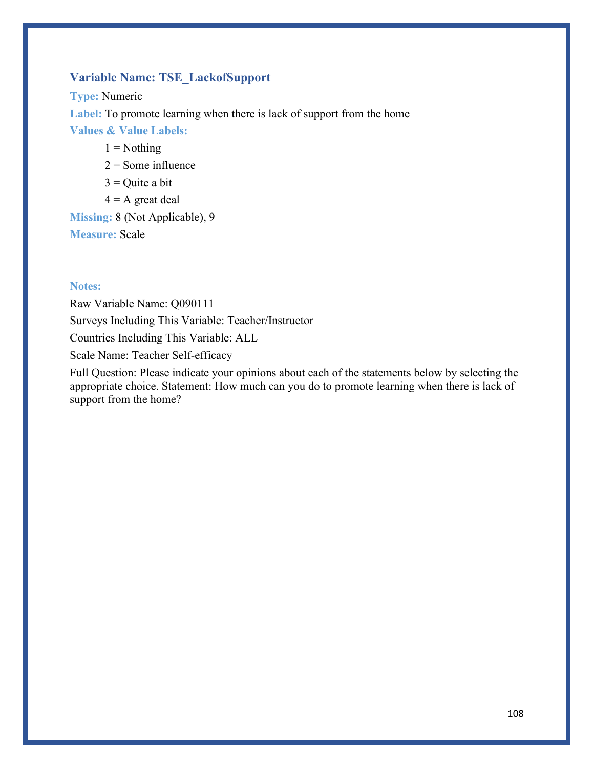# **Variable Name: TSE\_LackofSupport**

**Type:** Numeric **Label:** To promote learning when there is lack of support from the home **Values & Value Labels:**

 $1 =$  Nothing

 $2 =$  Some influence

 $3$  = Quite a bit

 $4 = A$  great deal

**Missing:** 8 (Not Applicable), 9

**Measure:** Scale

#### **Notes:**

Raw Variable Name: Q090111 Surveys Including This Variable: Teacher/Instructor Countries Including This Variable: ALL Scale Name: Teacher Self-efficacy

Full Question: Please indicate your opinions about each of the statements below by selecting the appropriate choice. Statement: How much can you do to promote learning when there is lack of support from the home?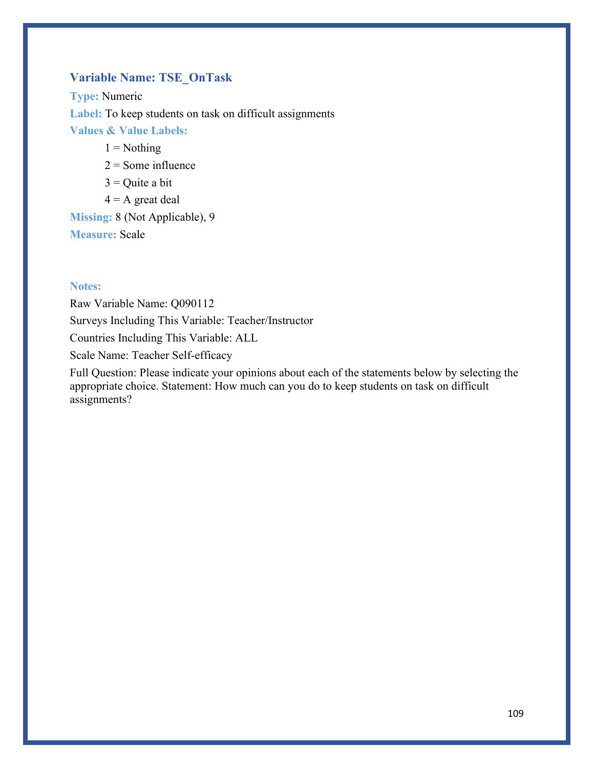## **Variable Name: TSE\_OnTask**

**Type:** Numeric Label: To keep students on task on difficult assignments **Values & Value Labels:**

 $1 =$  Nothing

- $2 =$  Some influence
- $3$  = Quite a bit
- $4 = A$  great deal

**Missing:** 8 (Not Applicable), 9 **Measure:** Scale

#### **Notes:**

Raw Variable Name: Q090112 Surveys Including This Variable: Teacher/Instructor Countries Including This Variable: ALL Scale Name: Teacher Self-efficacy

Full Question: Please indicate your opinions about each of the statements below by selecting the appropriate choice. Statement: How much can you do to keep students on task on difficult assignments?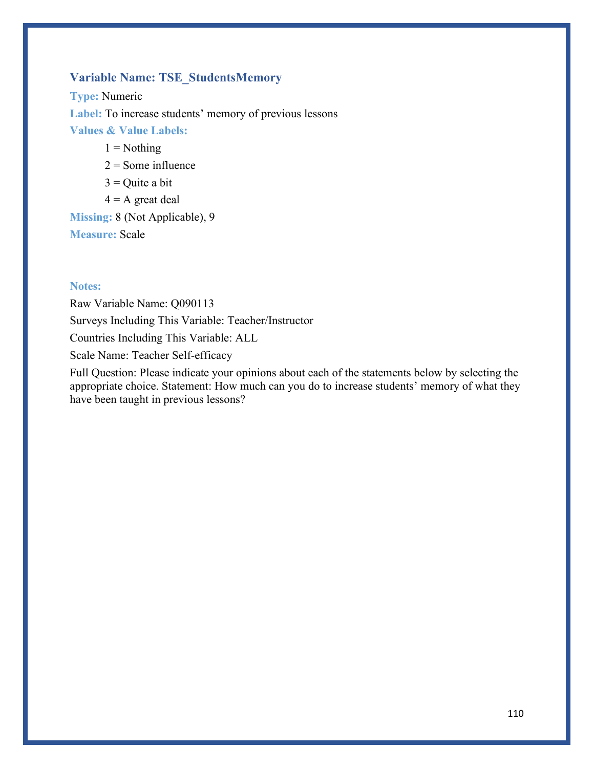## **Variable Name: TSE\_StudentsMemory**

**Type:** Numeric **Label:** To increase students' memory of previous lessons **Values & Value Labels:**

 $1 =$  Nothing

- $2 =$  Some influence
- $3$  = Quite a bit
- $4 = A$  great deal

**Missing:** 8 (Not Applicable), 9 **Measure:** Scale

#### **Notes:**

Raw Variable Name: Q090113 Surveys Including This Variable: Teacher/Instructor Countries Including This Variable: ALL Scale Name: Teacher Self-efficacy

Full Question: Please indicate your opinions about each of the statements below by selecting the appropriate choice. Statement: How much can you do to increase students' memory of what they have been taught in previous lessons?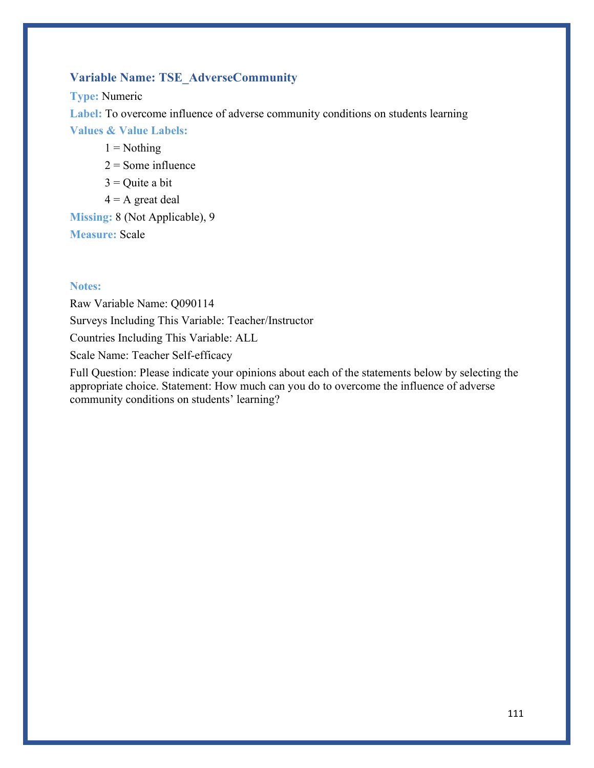## **Variable Name: TSE\_AdverseCommunity**

**Type:** Numeric

**Label:** To overcome influence of adverse community conditions on students learning

**Values & Value Labels:**

 $1 =$  Nothing

 $2 =$  Some influence

 $3$  = Quite a bit

 $4 = A$  great deal

**Missing:** 8 (Not Applicable), 9

**Measure:** Scale

#### **Notes:**

Raw Variable Name: Q090114 Surveys Including This Variable: Teacher/Instructor Countries Including This Variable: ALL Scale Name: Teacher Self-efficacy

Full Question: Please indicate your opinions about each of the statements below by selecting the appropriate choice. Statement: How much can you do to overcome the influence of adverse community conditions on students' learning?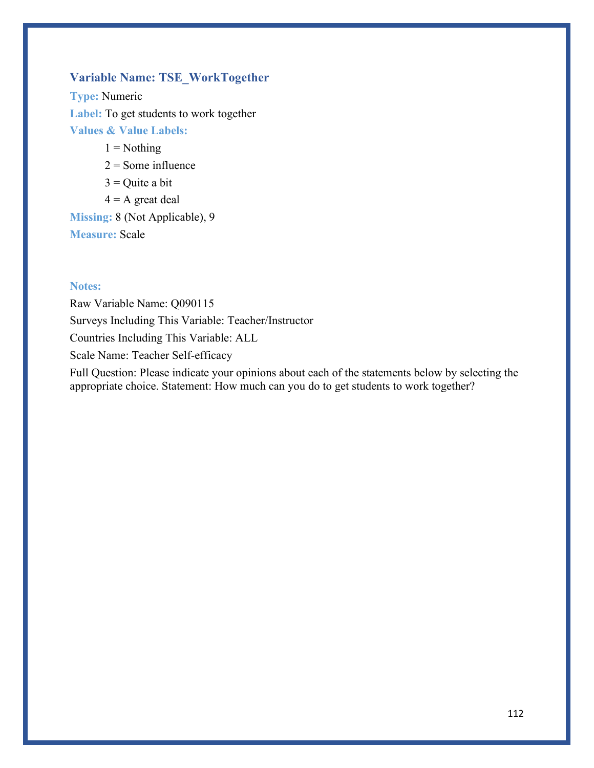### **Variable Name: TSE\_WorkTogether**

**Type:** Numeric **Label:** To get students to work together **Values & Value Labels:**

 $1 =$  Nothing

 $2 =$  Some influence

 $3$  = Quite a bit

 $4 = A$  great deal

**Missing:** 8 (Not Applicable), 9

**Measure:** Scale

### **Notes:**

Raw Variable Name: Q090115 Surveys Including This Variable: Teacher/Instructor Countries Including This Variable: ALL Scale Name: Teacher Self-efficacy

Full Question: Please indicate your opinions about each of the statements below by selecting the appropriate choice. Statement: How much can you do to get students to work together?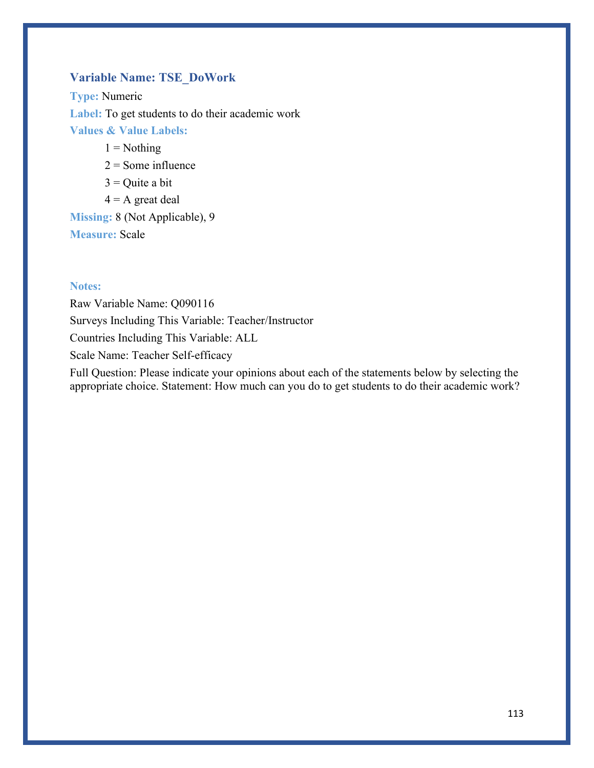### **Variable Name: TSE\_DoWork**

**Type:** Numeric **Label:** To get students to do their academic work **Values & Value Labels:**

 $1 =$  Nothing

 $2 =$  Some influence

 $3$  = Quite a bit

 $4 = A$  great deal

**Missing:** 8 (Not Applicable), 9

**Measure:** Scale

### **Notes:**

Raw Variable Name: Q090116 Surveys Including This Variable: Teacher/Instructor Countries Including This Variable: ALL Scale Name: Teacher Self-efficacy

Full Question: Please indicate your opinions about each of the statements below by selecting the appropriate choice. Statement: How much can you do to get students to do their academic work?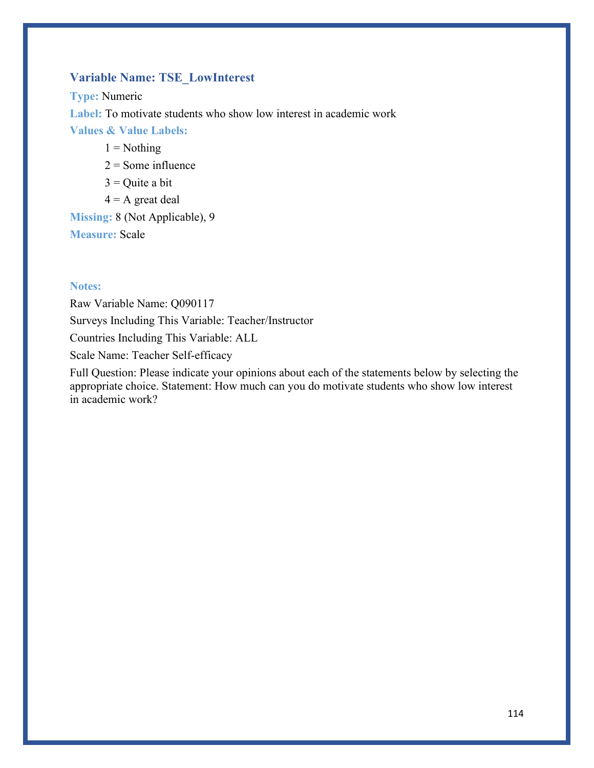## **Variable Name: TSE\_LowInterest**

**Type:** Numeric **Label:** To motivate students who show low interest in academic work **Values & Value Labels:**

- $1 =$  Nothing
- $2 =$  Some influence
- $3$  = Quite a bit
- $4 = A$  great deal

## **Missing:** 8 (Not Applicable), 9 **Measure:** Scale

#### **Notes:**

Raw Variable Name: Q090117 Surveys Including This Variable: Teacher/Instructor Countries Including This Variable: ALL Scale Name: Teacher Self-efficacy

Full Question: Please indicate your opinions about each of the statements below by selecting the appropriate choice. Statement: How much can you do motivate students who show low interest in academic work?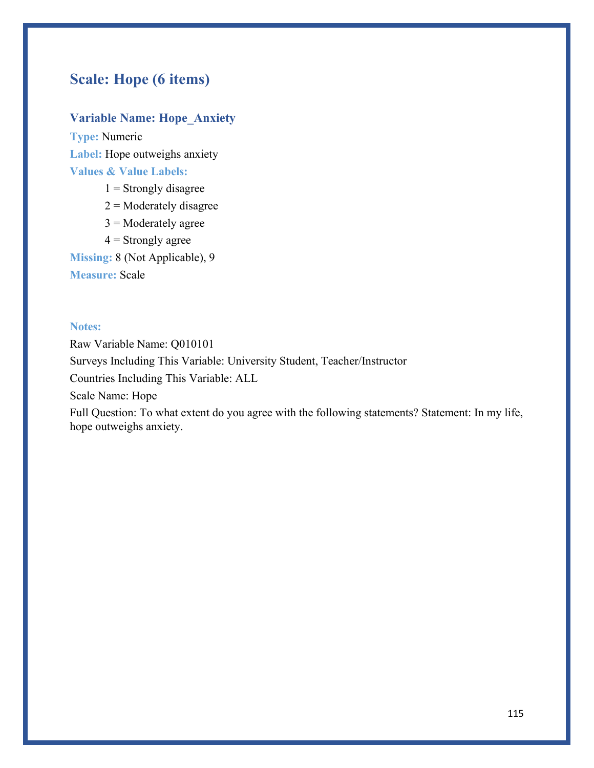# **Scale: Hope (6 items)**

## **Variable Name: Hope\_Anxiety**

**Type:** Numeric **Label:** Hope outweighs anxiety **Values & Value Labels:**

- $1$  = Strongly disagree
- $2$  = Moderately disagree
- $3$  = Moderately agree
- $4 =$  Strongly agree

**Missing:** 8 (Not Applicable), 9

**Measure:** Scale

### **Notes:**

Raw Variable Name: Q010101 Surveys Including This Variable: University Student, Teacher/Instructor Countries Including This Variable: ALL Scale Name: Hope Full Question: To what extent do you agree with the following statements? Statement: In my life,

hope outweighs anxiety.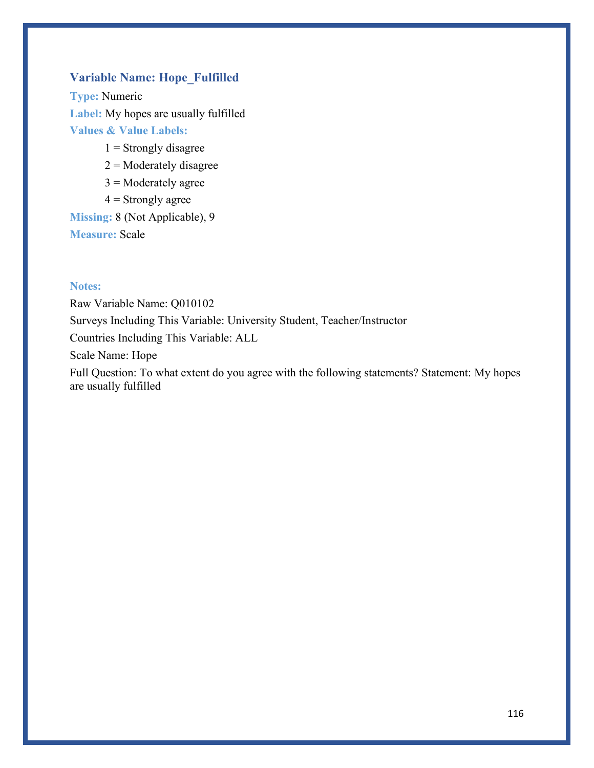## **Variable Name: Hope\_Fulfilled**

**Type:** Numeric **Label:** My hopes are usually fulfilled **Values & Value Labels:**

- $1 =$ Strongly disagree
- $2$  = Moderately disagree
- $3$  = Moderately agree
- $4 =$  Strongly agree

**Missing:** 8 (Not Applicable), 9 **Measure:** Scale

### **Notes:**

Raw Variable Name: Q010102 Surveys Including This Variable: University Student, Teacher/Instructor Countries Including This Variable: ALL Scale Name: Hope Full Question: To what extent do you agree with the following statements? Statement: My hopes

are usually fulfilled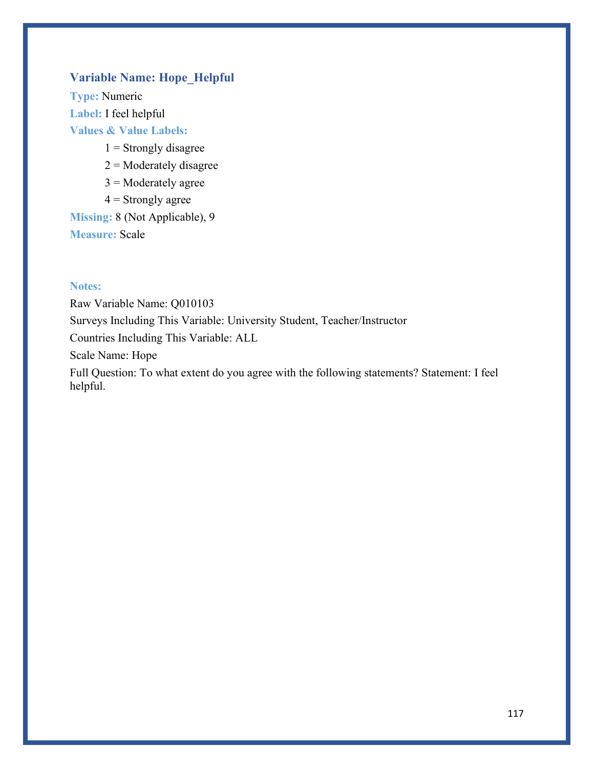## **Variable Name: Hope\_Helpful**

**Type:** Numeric **Label:** I feel helpful **Values & Value Labels:**

- $1 =$ Strongly disagree
- $2$  = Moderately disagree
- $3$  = Moderately agree
- $4 =$  Strongly agree

**Missing:** 8 (Not Applicable), 9 **Measure:** Scale

### **Notes:**

Raw Variable Name: Q010103 Surveys Including This Variable: University Student, Teacher/Instructor Countries Including This Variable: ALL Scale Name: Hope Full Question: To what extent do you agree with the following statements? Statement: I feel

helpful.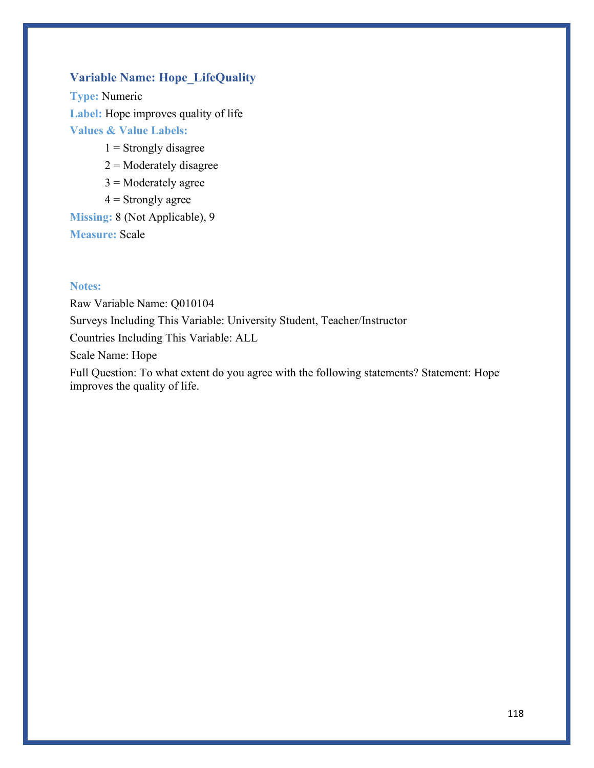## **Variable Name: Hope\_LifeQuality**

**Type:** Numeric **Label:** Hope improves quality of life **Values & Value Labels:**

- $1 =$ Strongly disagree
- $2$  = Moderately disagree
- $3$  = Moderately agree
- $4 =$  Strongly agree

**Missing:** 8 (Not Applicable), 9 **Measure:** Scale

### **Notes:**

Raw Variable Name: Q010104 Surveys Including This Variable: University Student, Teacher/Instructor Countries Including This Variable: ALL Scale Name: Hope Full Question: To what extent do you agree with the following statements? Statement: Hope

improves the quality of life.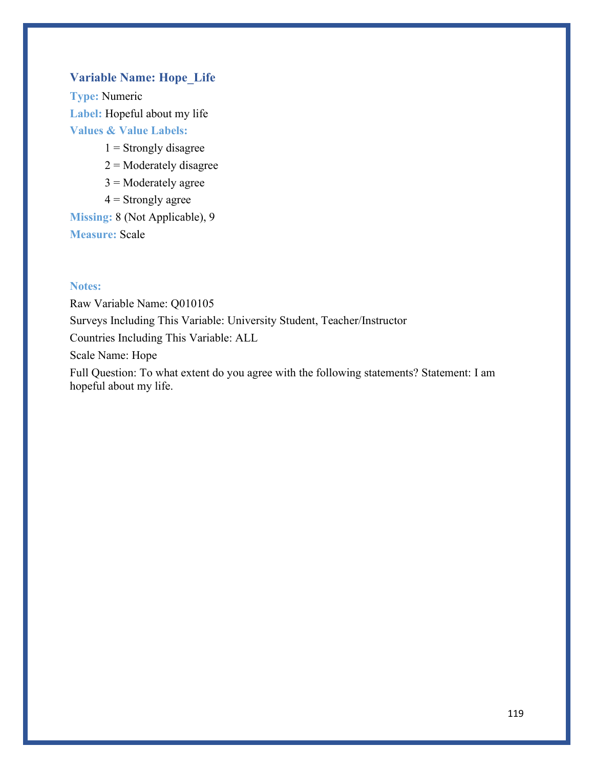## **Variable Name: Hope\_Life**

**Type:** Numeric **Label:** Hopeful about my life **Values & Value Labels:**

- $1 =$ Strongly disagree
- $2$  = Moderately disagree
- $3$  = Moderately agree
- $4 =$  Strongly agree

**Missing:** 8 (Not Applicable), 9 **Measure:** Scale

hopeful about my life.

### **Notes:**

Raw Variable Name: Q010105 Surveys Including This Variable: University Student, Teacher/Instructor Countries Including This Variable: ALL Scale Name: Hope Full Question: To what extent do you agree with the following statements? Statement: I am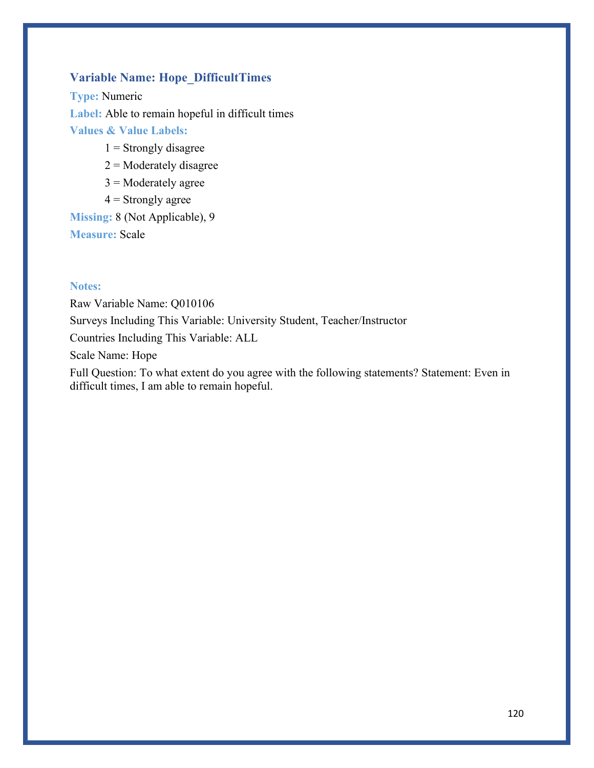## **Variable Name: Hope\_DifficultTimes**

**Type:** Numeric **Label:** Able to remain hopeful in difficult times **Values & Value Labels:**

- $1 =$  Strongly disagree
- $2$  = Moderately disagree
- $3$  = Moderately agree
- $4 =$  Strongly agree

**Missing:** 8 (Not Applicable), 9 **Measure:** Scale

### **Notes:**

Raw Variable Name: Q010106 Surveys Including This Variable: University Student, Teacher/Instructor Countries Including This Variable: ALL Scale Name: Hope

Full Question: To what extent do you agree with the following statements? Statement: Even in difficult times, I am able to remain hopeful.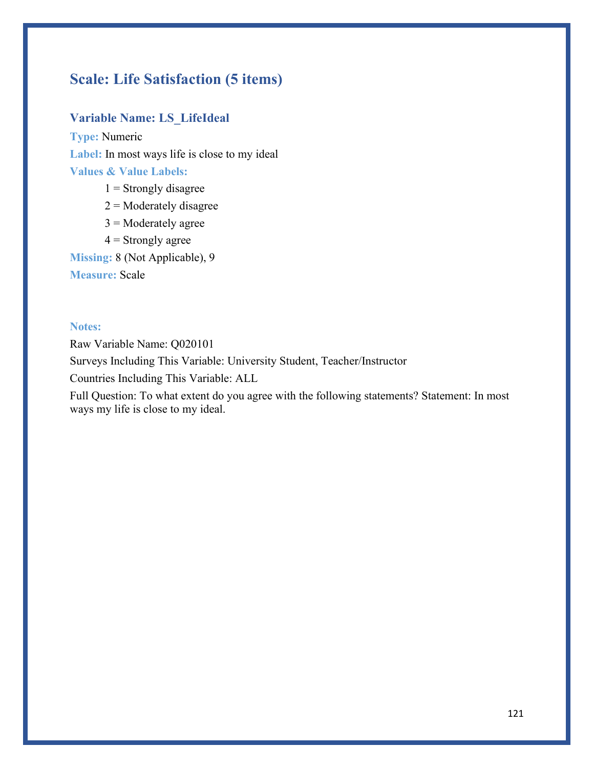# **Scale: Life Satisfaction (5 items)**

## **Variable Name: LS\_LifeIdeal**

**Type:** Numeric **Label:** In most ways life is close to my ideal **Values & Value Labels:**

- $1$  = Strongly disagree
- $2$  = Moderately disagree
- $3$  = Moderately agree
- $4 =$  Strongly agree

**Missing:** 8 (Not Applicable), 9

**Measure:** Scale

### **Notes:**

Raw Variable Name: Q020101

Surveys Including This Variable: University Student, Teacher/Instructor

Countries Including This Variable: ALL

Full Question: To what extent do you agree with the following statements? Statement: In most ways my life is close to my ideal.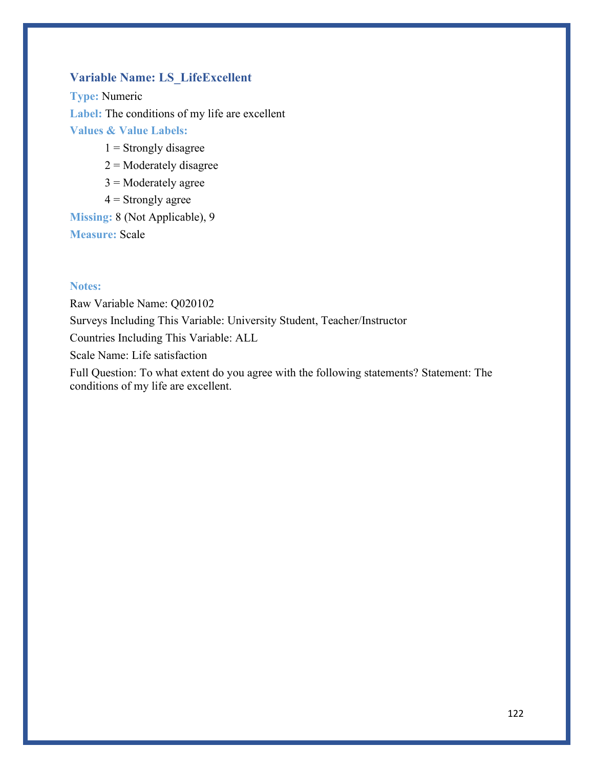### **Variable Name: LS\_LifeExcellent**

**Type:** Numeric Label: The conditions of my life are excellent **Values & Value Labels:**

- $1 =$  Strongly disagree
- $2$  = Moderately disagree
- $3$  = Moderately agree
- $4 =$  Strongly agree

**Missing:** 8 (Not Applicable), 9 **Measure:** Scale

### **Notes:**

Raw Variable Name: Q020102 Surveys Including This Variable: University Student, Teacher/Instructor Countries Including This Variable: ALL Scale Name: Life satisfaction Full Question: To what extent do you agree with the following statements? Statement: The conditions of my life are excellent.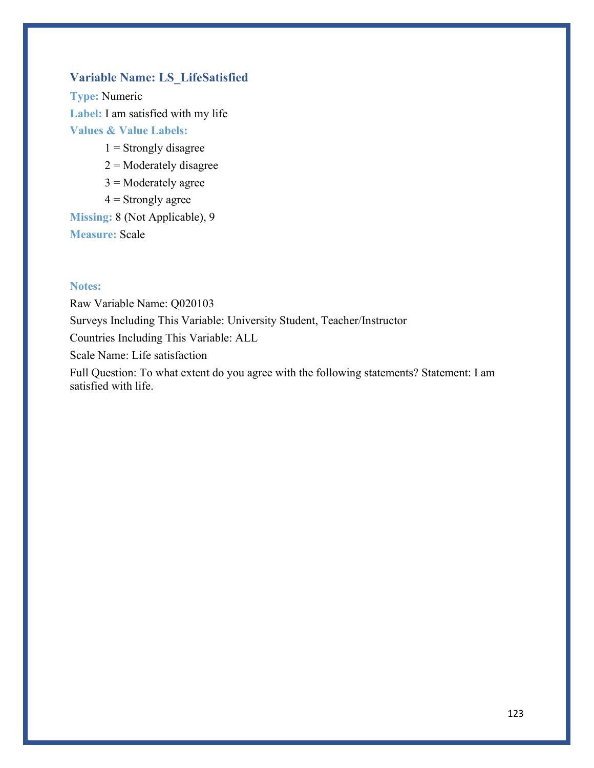### **Variable Name: LS\_LifeSatisfied**

**Type:** Numeric **Label:** I am satisfied with my life **Values & Value Labels:**

- $1 =$ Strongly disagree
- $2$  = Moderately disagree
- $3$  = Moderately agree
- $4 =$  Strongly agree

**Missing:** 8 (Not Applicable), 9 **Measure:** Scale

### **Notes:**

Raw Variable Name: Q020103 Surveys Including This Variable: University Student, Teacher/Instructor Countries Including This Variable: ALL Scale Name: Life satisfaction Full Question: To what extent do you agree with the following statements? Statement: I am

satisfied with life.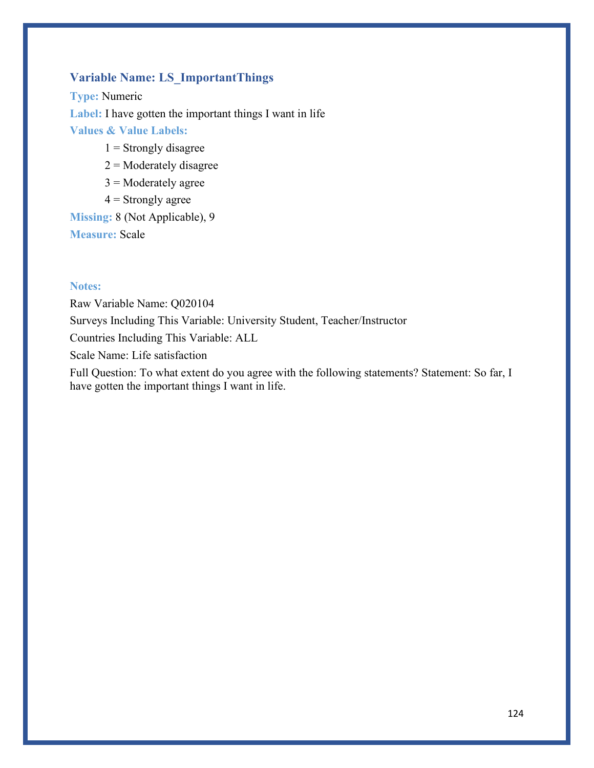## **Variable Name: LS\_ImportantThings**

**Type:** Numeric **Label:** I have gotten the important things I want in life **Values & Value Labels:**

- $1$  = Strongly disagree
- $2$  = Moderately disagree
- $3$  = Moderately agree
- $4 =$  Strongly agree

**Missing:** 8 (Not Applicable), 9 **Measure:** Scale

### **Notes:**

Raw Variable Name: Q020104 Surveys Including This Variable: University Student, Teacher/Instructor Countries Including This Variable: ALL Scale Name: Life satisfaction Full Question: To what extent do you agree with the following statements? Statement: So far, I

have gotten the important things I want in life.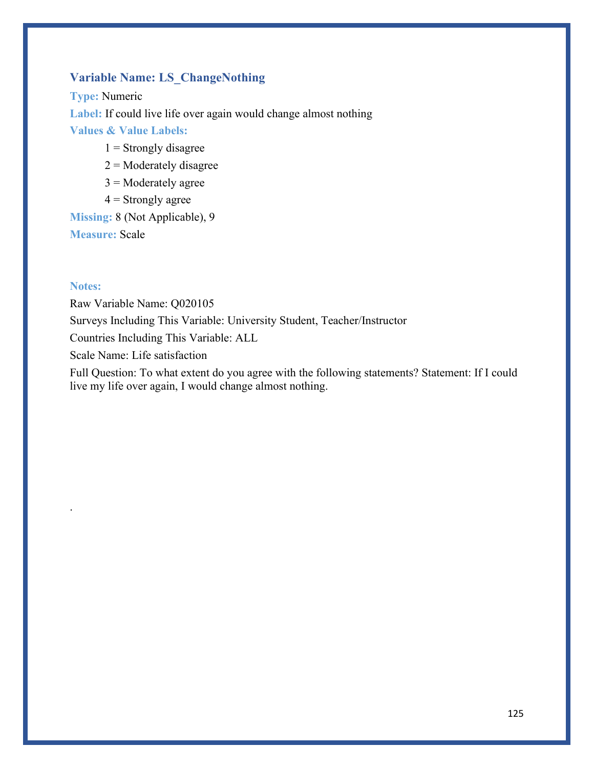## **Variable Name: LS\_ChangeNothing**

**Type:** Numeric **Label:** If could live life over again would change almost nothing **Values & Value Labels:**

- $1$  = Strongly disagree
- $2$  = Moderately disagree
- $3$  = Moderately agree
- $4 =$  Strongly agree

**Missing:** 8 (Not Applicable), 9 **Measure:** Scale

### **Notes:**

.

Raw Variable Name: Q020105 Surveys Including This Variable: University Student, Teacher/Instructor Countries Including This Variable: ALL Scale Name: Life satisfaction

Full Question: To what extent do you agree with the following statements? Statement: If I could live my life over again, I would change almost nothing.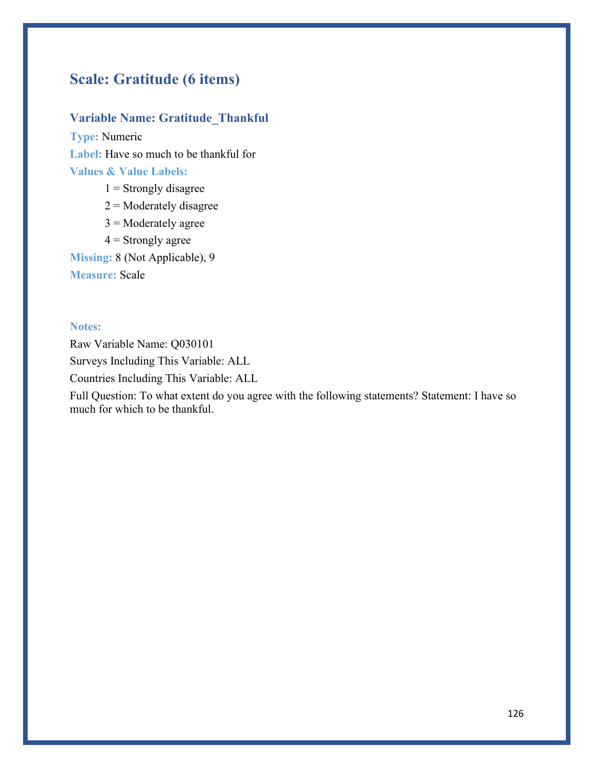# **Scale: Gratitude (6 items)**

## **Variable Name: Gratitude\_Thankful**

**Type:** Numeric **Label:** Have so much to be thankful for **Values & Value Labels:**

- $1 =$  Strongly disagree
- $2$  = Moderately disagree
- $3$  = Moderately agree
- $4 =$  Strongly agree

**Missing:** 8 (Not Applicable), 9

**Measure:** Scale

### **Notes:**

Raw Variable Name: Q030101 Surveys Including This Variable: ALL

Countries Including This Variable: ALL

Full Question: To what extent do you agree with the following statements? Statement: I have so much for which to be thankful.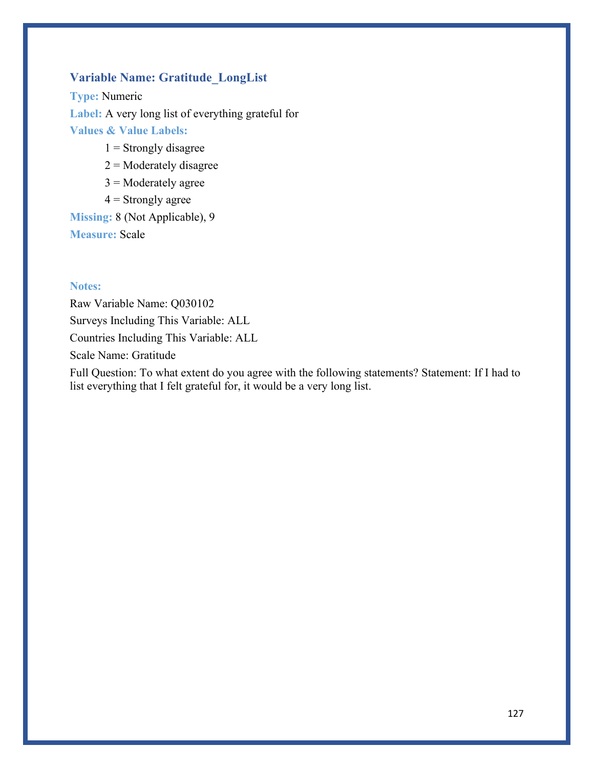## **Variable Name: Gratitude\_LongList**

**Type:** Numeric **Label:** A very long list of everything grateful for **Values & Value Labels:**

- $1$  = Strongly disagree
- $2$  = Moderately disagree
- $3$  = Moderately agree
- $4 =$  Strongly agree

**Missing:** 8 (Not Applicable), 9 **Measure:** Scale

### **Notes:**

Raw Variable Name: Q030102 Surveys Including This Variable: ALL Countries Including This Variable: ALL Scale Name: Gratitude

Full Question: To what extent do you agree with the following statements? Statement: If I had to list everything that I felt grateful for, it would be a very long list.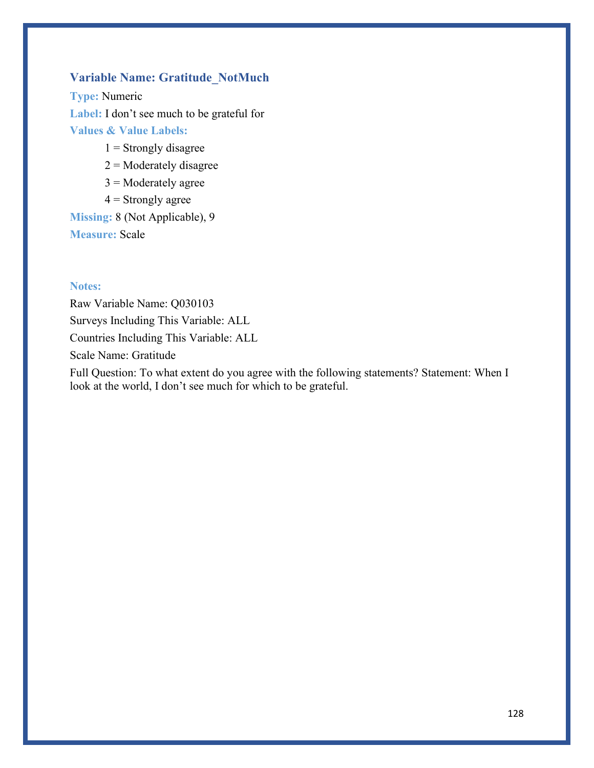## **Variable Name: Gratitude\_NotMuch**

**Type:** Numeric **Label:** I don't see much to be grateful for **Values & Value Labels:**

- $1$  = Strongly disagree
- $2$  = Moderately disagree
- $3$  = Moderately agree
- $4 =$  Strongly agree

**Missing:** 8 (Not Applicable), 9 **Measure:** Scale

### **Notes:**

Raw Variable Name: Q030103 Surveys Including This Variable: ALL Countries Including This Variable: ALL Scale Name: Gratitude

Full Question: To what extent do you agree with the following statements? Statement: When I look at the world, I don't see much for which to be grateful.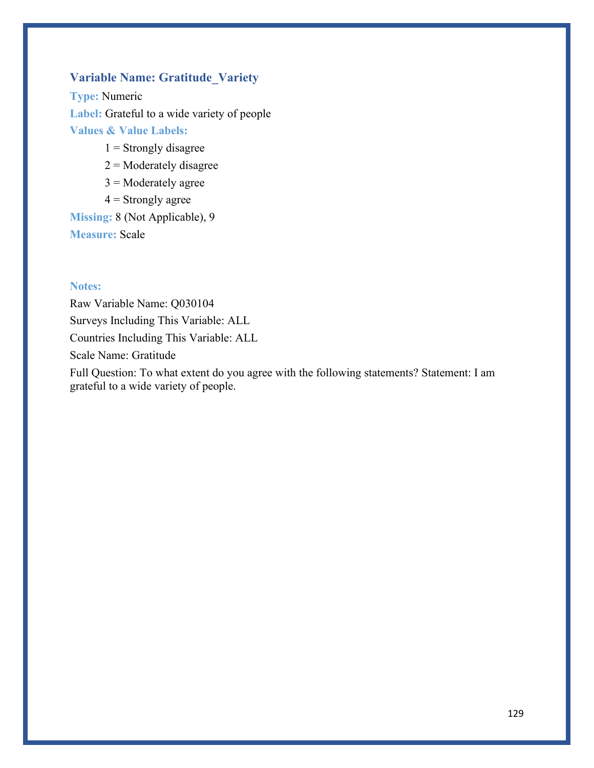## **Variable Name: Gratitude\_Variety**

**Type:** Numeric **Label:** Grateful to a wide variety of people **Values & Value Labels:**

- $1 =$ Strongly disagree
- $2$  = Moderately disagree
- $3$  = Moderately agree
- $4 =$  Strongly agree

**Missing:** 8 (Not Applicable), 9 **Measure:** Scale

#### **Notes:**

Raw Variable Name: Q030104 Surveys Including This Variable: ALL Countries Including This Variable: ALL Scale Name: Gratitude

Full Question: To what extent do you agree with the following statements? Statement: I am grateful to a wide variety of people.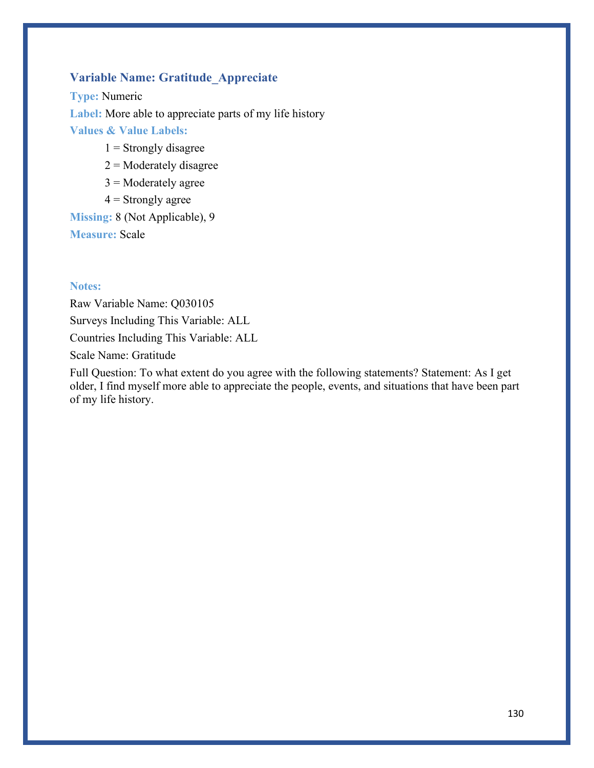## **Variable Name: Gratitude\_Appreciate**

**Type:** Numeric **Label:** More able to appreciate parts of my life history **Values & Value Labels:**

- $1$  = Strongly disagree
- $2$  = Moderately disagree
- $3$  = Moderately agree
- $4 =$  Strongly agree

**Missing:** 8 (Not Applicable), 9 **Measure:** Scale

### **Notes:**

Raw Variable Name: Q030105 Surveys Including This Variable: ALL Countries Including This Variable: ALL Scale Name: Gratitude

Full Question: To what extent do you agree with the following statements? Statement: As I get older, I find myself more able to appreciate the people, events, and situations that have been part of my life history.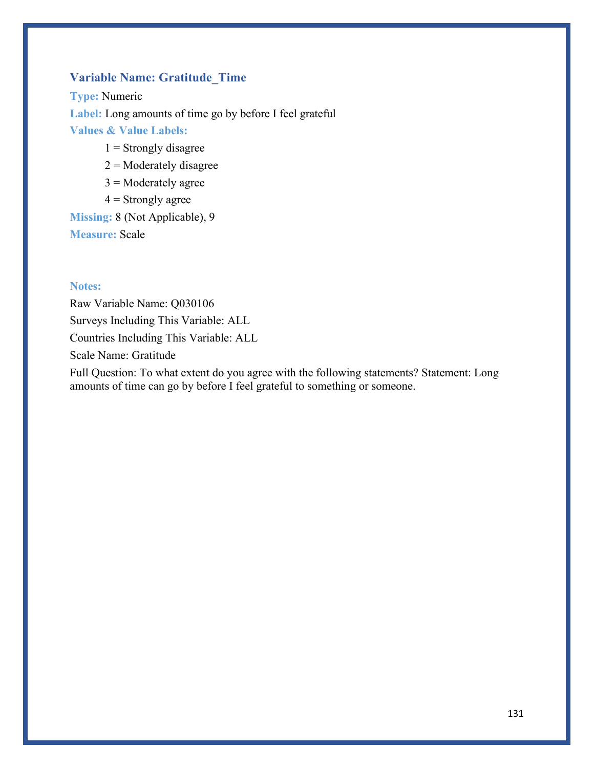## **Variable Name: Gratitude\_Time**

**Type:** Numeric **Label:** Long amounts of time go by before I feel grateful **Values & Value Labels:**

- $1$  = Strongly disagree
- $2$  = Moderately disagree
- $3$  = Moderately agree
- $4 =$  Strongly agree

**Missing:** 8 (Not Applicable), 9 **Measure:** Scale

### **Notes:**

Raw Variable Name: Q030106 Surveys Including This Variable: ALL Countries Including This Variable: ALL Scale Name: Gratitude

Full Question: To what extent do you agree with the following statements? Statement: Long amounts of time can go by before I feel grateful to something or someone.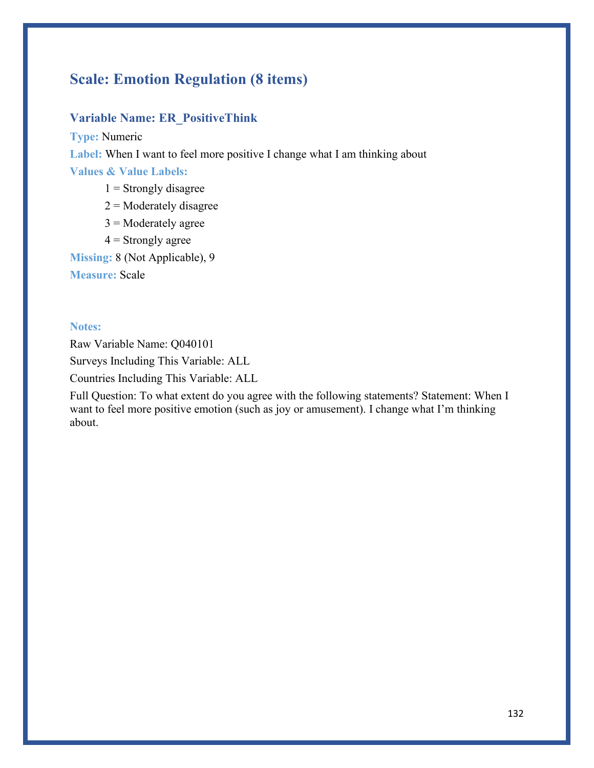# **Scale: Emotion Regulation (8 items)**

### **Variable Name: ER\_PositiveThink**

**Type:** Numeric

Label: When I want to feel more positive I change what I am thinking about

**Values & Value Labels:**

- $1 =$  Strongly disagree
- $2$  = Moderately disagree
- $3$  = Moderately agree
- $4 =$  Strongly agree

**Missing:** 8 (Not Applicable), 9

**Measure:** Scale

### **Notes:**

Raw Variable Name: Q040101

Surveys Including This Variable: ALL

Countries Including This Variable: ALL

Full Question: To what extent do you agree with the following statements? Statement: When I want to feel more positive emotion (such as joy or amusement). I change what I'm thinking about.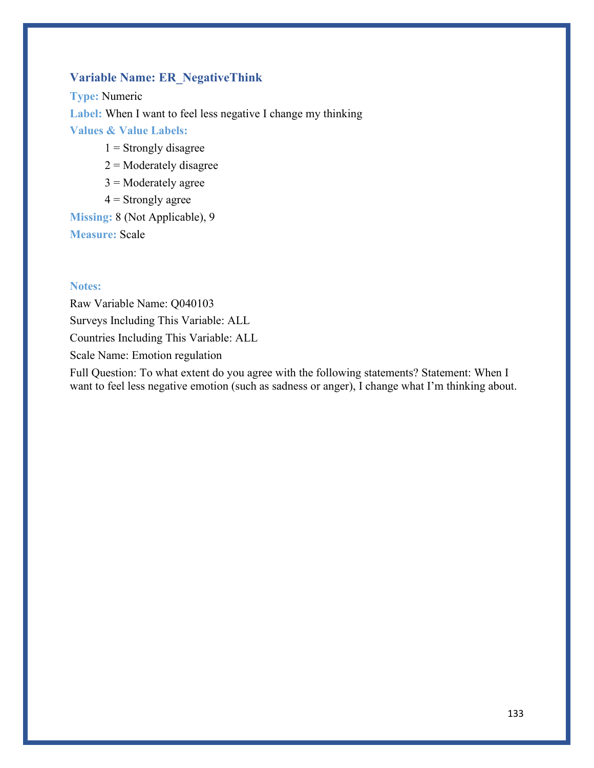## **Variable Name: ER\_NegativeThink**

**Type:** Numeric **Label:** When I want to feel less negative I change my thinking **Values & Value Labels:**

- $1$  = Strongly disagree
- $2$  = Moderately disagree
- $3$  = Moderately agree
- $4 =$  Strongly agree

**Missing:** 8 (Not Applicable), 9 **Measure:** Scale

### **Notes:**

Raw Variable Name: Q040103 Surveys Including This Variable: ALL Countries Including This Variable: ALL Scale Name: Emotion regulation

Full Question: To what extent do you agree with the following statements? Statement: When I want to feel less negative emotion (such as sadness or anger), I change what I'm thinking about.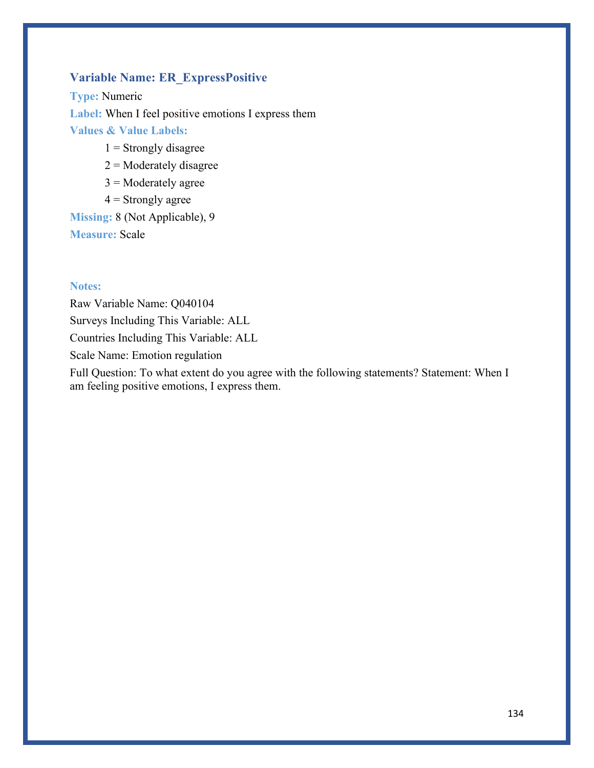## **Variable Name: ER\_ExpressPositive**

**Type:** Numeric Label: When I feel positive emotions I express them **Values & Value Labels:**

- $1$  = Strongly disagree
- $2$  = Moderately disagree
- $3$  = Moderately agree
- $4 =$  Strongly agree

**Missing:** 8 (Not Applicable), 9 **Measure:** Scale

### **Notes:**

Raw Variable Name: Q040104 Surveys Including This Variable: ALL Countries Including This Variable: ALL Scale Name: Emotion regulation

Full Question: To what extent do you agree with the following statements? Statement: When I am feeling positive emotions, I express them.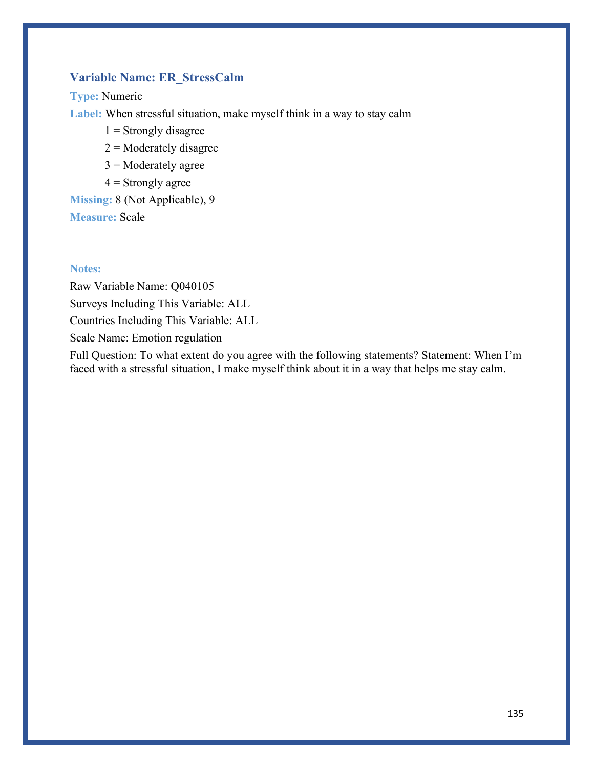## **Variable Name: ER\_StressCalm**

**Type:** Numeric

**Label:** When stressful situation, make myself think in a way to stay calm

 $1$  = Strongly disagree

 $2$  = Moderately disagree

 $3$  = Moderately agree

 $4 =$  Strongly agree

**Missing:** 8 (Not Applicable), 9

**Measure:** Scale

### **Notes:**

Raw Variable Name: Q040105 Surveys Including This Variable: ALL

Countries Including This Variable: ALL

Scale Name: Emotion regulation

Full Question: To what extent do you agree with the following statements? Statement: When I'm faced with a stressful situation, I make myself think about it in a way that helps me stay calm.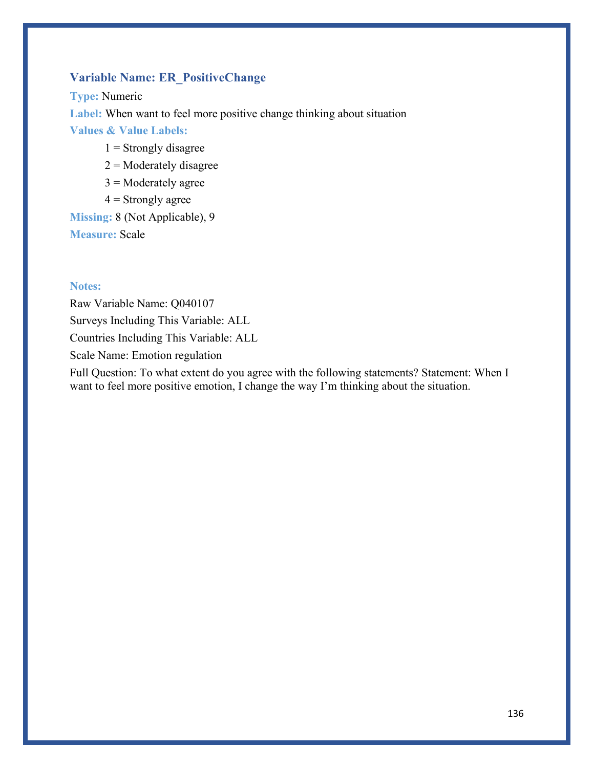## **Variable Name: ER\_PositiveChange**

**Type:** Numeric **Label:** When want to feel more positive change thinking about situation **Values & Value Labels:**

- $1$  = Strongly disagree
- $2$  = Moderately disagree
- $3$  = Moderately agree
- $4 =$  Strongly agree

**Missing:** 8 (Not Applicable), 9 **Measure:** Scale

### **Notes:**

Raw Variable Name: Q040107 Surveys Including This Variable: ALL Countries Including This Variable: ALL Scale Name: Emotion regulation

Full Question: To what extent do you agree with the following statements? Statement: When I want to feel more positive emotion, I change the way I'm thinking about the situation.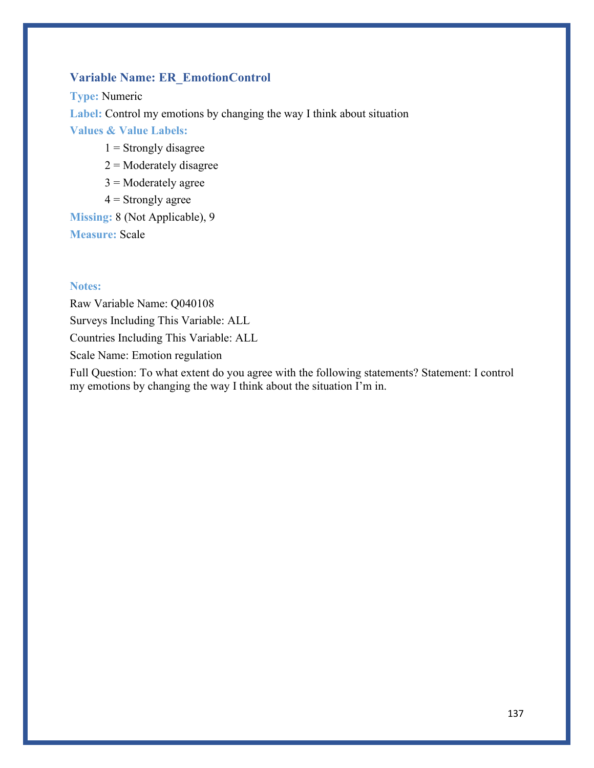## **Variable Name: ER\_EmotionControl**

**Type:** Numeric **Label:** Control my emotions by changing the way I think about situation **Values & Value Labels:**

- $1$  = Strongly disagree
- $2$  = Moderately disagree
- $3$  = Moderately agree
- $4 =$  Strongly agree

**Missing:** 8 (Not Applicable), 9 **Measure:** Scale

### **Notes:**

Raw Variable Name: Q040108 Surveys Including This Variable: ALL Countries Including This Variable: ALL Scale Name: Emotion regulation

Full Question: To what extent do you agree with the following statements? Statement: I control my emotions by changing the way I think about the situation I'm in.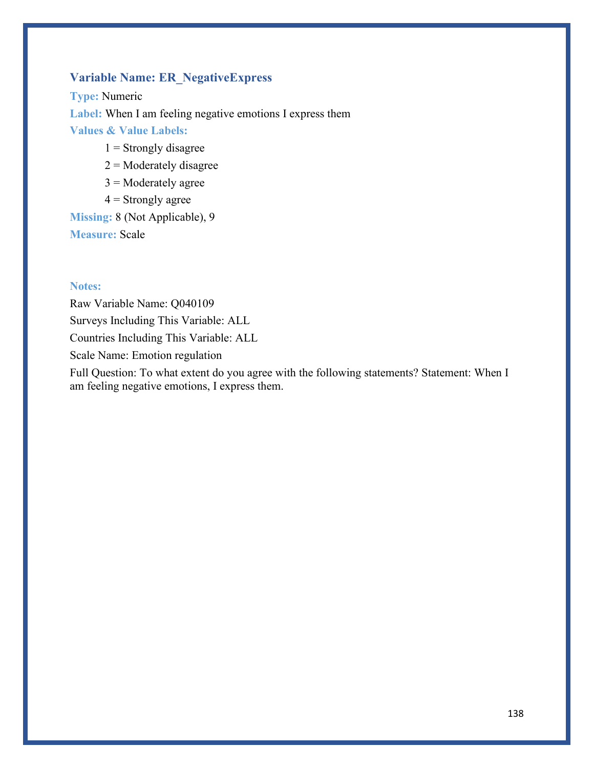## **Variable Name: ER\_NegativeExpress**

**Type:** Numeric **Label:** When I am feeling negative emotions I express them **Values & Value Labels:**

- $1$  = Strongly disagree
- $2$  = Moderately disagree
- $3$  = Moderately agree
- $4 =$  Strongly agree

**Missing:** 8 (Not Applicable), 9 **Measure:** Scale

### **Notes:**

Raw Variable Name: Q040109 Surveys Including This Variable: ALL Countries Including This Variable: ALL Scale Name: Emotion regulation

Full Question: To what extent do you agree with the following statements? Statement: When I am feeling negative emotions, I express them.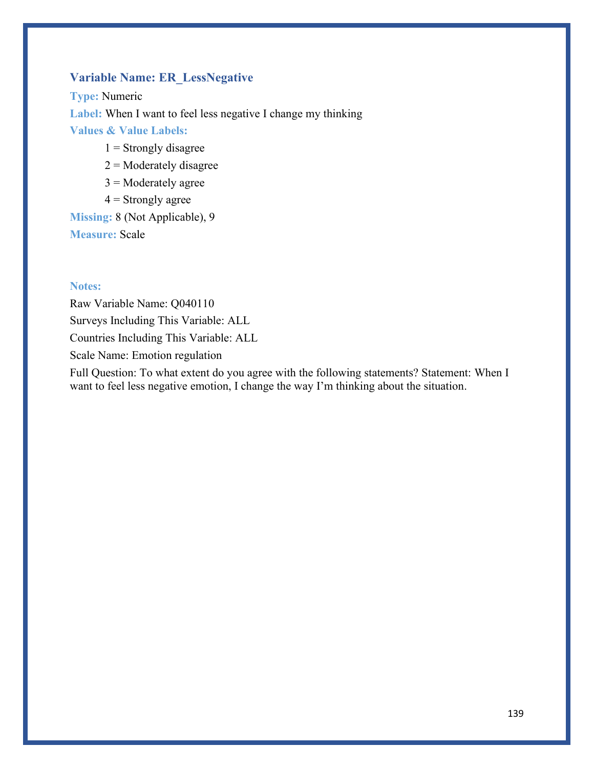## **Variable Name: ER\_LessNegative**

**Type:** Numeric **Label:** When I want to feel less negative I change my thinking **Values & Value Labels:**

- $1$  = Strongly disagree
- $2$  = Moderately disagree
- $3$  = Moderately agree
- $4 =$  Strongly agree

**Missing:** 8 (Not Applicable), 9 **Measure:** Scale

### **Notes:**

Raw Variable Name: Q040110 Surveys Including This Variable: ALL Countries Including This Variable: ALL Scale Name: Emotion regulation

Full Question: To what extent do you agree with the following statements? Statement: When I want to feel less negative emotion, I change the way I'm thinking about the situation.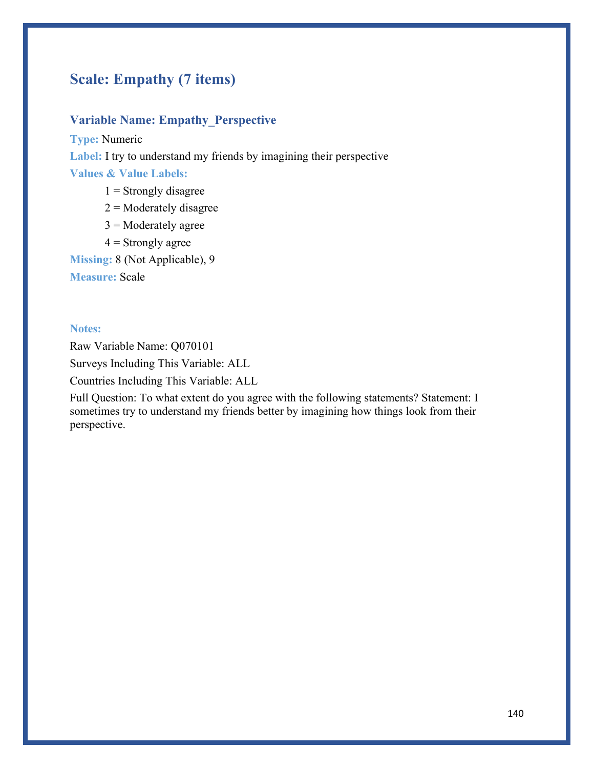# **Scale: Empathy (7 items)**

## **Variable Name: Empathy\_Perspective**

**Type:** Numeric **Label:** I try to understand my friends by imagining their perspective **Values & Value Labels:**  $1$  = Strongly disagree

- 
- $2 =$ Moderately disagree
- $3$  = Moderately agree
- $4 =$  Strongly agree

**Missing:** 8 (Not Applicable), 9

**Measure:** Scale

#### **Notes:**

Raw Variable Name: Q070101

Surveys Including This Variable: ALL

Countries Including This Variable: ALL

Full Question: To what extent do you agree with the following statements? Statement: I sometimes try to understand my friends better by imagining how things look from their perspective.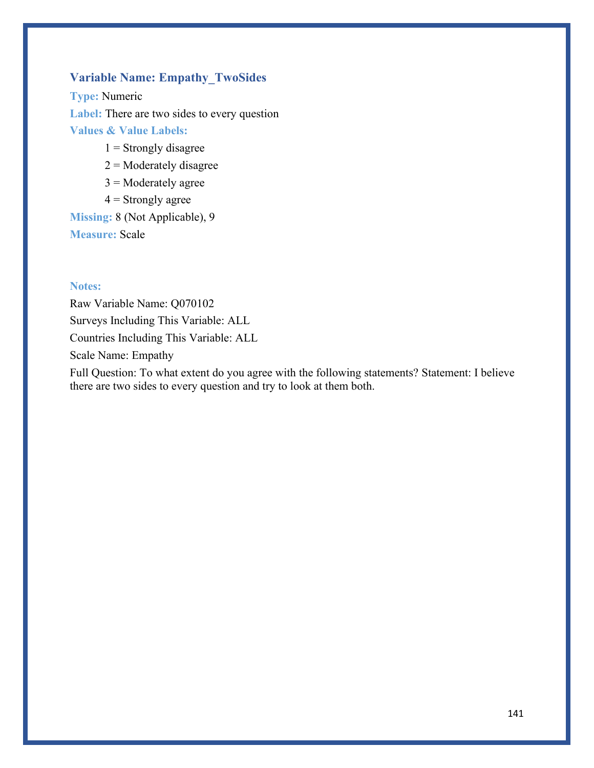## **Variable Name: Empathy\_TwoSides**

**Type:** Numeric **Label:** There are two sides to every question **Values & Value Labels:**

- $1$  = Strongly disagree
- $2$  = Moderately disagree
- $3$  = Moderately agree
- $4 =$  Strongly agree

**Missing:** 8 (Not Applicable), 9 **Measure:** Scale

### **Notes:**

Raw Variable Name: Q070102 Surveys Including This Variable: ALL Countries Including This Variable: ALL Scale Name: Empathy

Full Question: To what extent do you agree with the following statements? Statement: I believe there are two sides to every question and try to look at them both.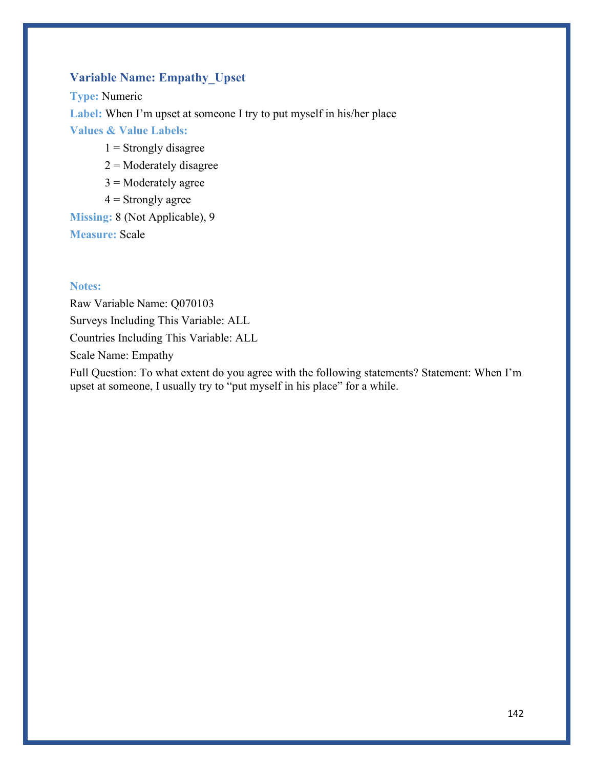## **Variable Name: Empathy\_Upset**

**Type:** Numeric **Label:** When I'm upset at someone I try to put myself in his/her place **Values & Value Labels:**

- $1 =$  Strongly disagree
- $2$  = Moderately disagree
- $3$  = Moderately agree
- $4 =$  Strongly agree

**Missing:** 8 (Not Applicable), 9 **Measure:** Scale

### **Notes:**

Raw Variable Name: Q070103 Surveys Including This Variable: ALL Countries Including This Variable: ALL Scale Name: Empathy

Full Question: To what extent do you agree with the following statements? Statement: When I'm upset at someone, I usually try to "put myself in his place" for a while.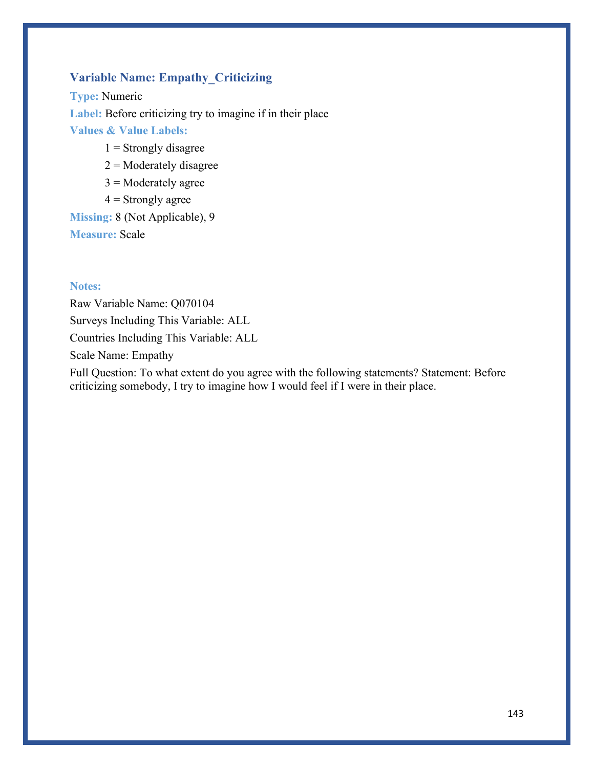## **Variable Name: Empathy\_Criticizing**

**Type:** Numeric Label: Before criticizing try to imagine if in their place **Values & Value Labels:**

- $1 =$  Strongly disagree
- $2$  = Moderately disagree
- $3$  = Moderately agree
- $4 =$  Strongly agree

**Missing:** 8 (Not Applicable), 9 **Measure:** Scale

### **Notes:**

Raw Variable Name: Q070104 Surveys Including This Variable: ALL Countries Including This Variable: ALL Scale Name: Empathy

Full Question: To what extent do you agree with the following statements? Statement: Before criticizing somebody, I try to imagine how I would feel if I were in their place.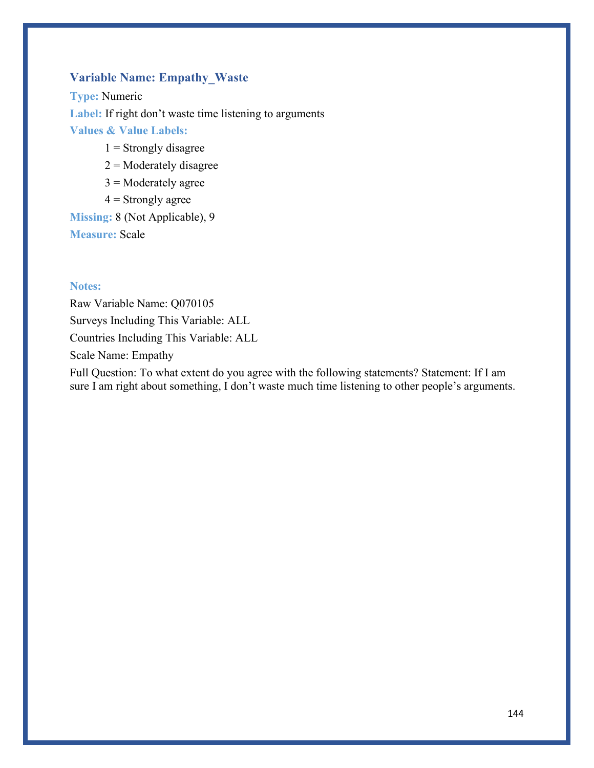## **Variable Name: Empathy\_Waste**

**Type:** Numeric Label: If right don't waste time listening to arguments **Values & Value Labels:**

- $1 =$  Strongly disagree
- $2$  = Moderately disagree
- $3$  = Moderately agree
- $4 =$  Strongly agree

**Missing:** 8 (Not Applicable), 9 **Measure:** Scale

### **Notes:**

Raw Variable Name: Q070105 Surveys Including This Variable: ALL Countries Including This Variable: ALL Scale Name: Empathy

Full Question: To what extent do you agree with the following statements? Statement: If I am sure I am right about something, I don't waste much time listening to other people's arguments.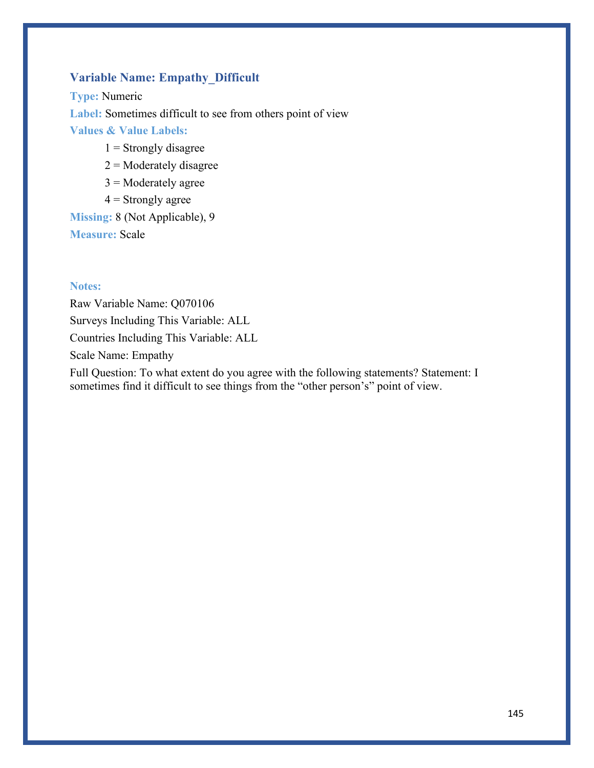# **Variable Name: Empathy\_Difficult**

**Type:** Numeric **Label:** Sometimes difficult to see from others point of view **Values & Value Labels:**

- $1 =$  Strongly disagree
- $2$  = Moderately disagree
- $3$  = Moderately agree
- $4 =$  Strongly agree

**Missing:** 8 (Not Applicable), 9 **Measure:** Scale

### **Notes:**

Raw Variable Name: Q070106 Surveys Including This Variable: ALL Countries Including This Variable: ALL Scale Name: Empathy

Full Question: To what extent do you agree with the following statements? Statement: I sometimes find it difficult to see things from the "other person's" point of view.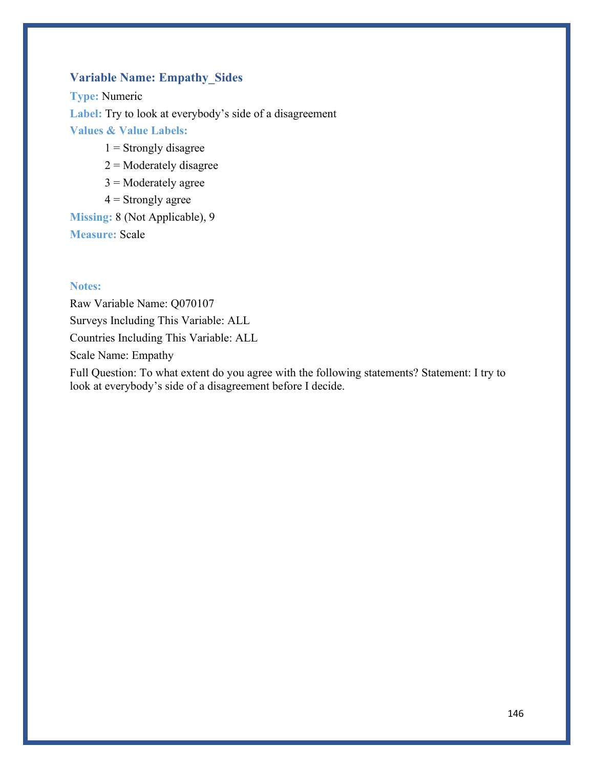# **Variable Name: Empathy\_Sides**

**Type:** Numeric **Label:** Try to look at everybody's side of a disagreement **Values & Value Labels:**

- $1 =$  Strongly disagree
- $2$  = Moderately disagree
- $3$  = Moderately agree
- $4 =$  Strongly agree

**Missing:** 8 (Not Applicable), 9 **Measure:** Scale

### **Notes:**

Raw Variable Name: Q070107 Surveys Including This Variable: ALL Countries Including This Variable: ALL Scale Name: Empathy

Full Question: To what extent do you agree with the following statements? Statement: I try to look at everybody's side of a disagreement before I decide.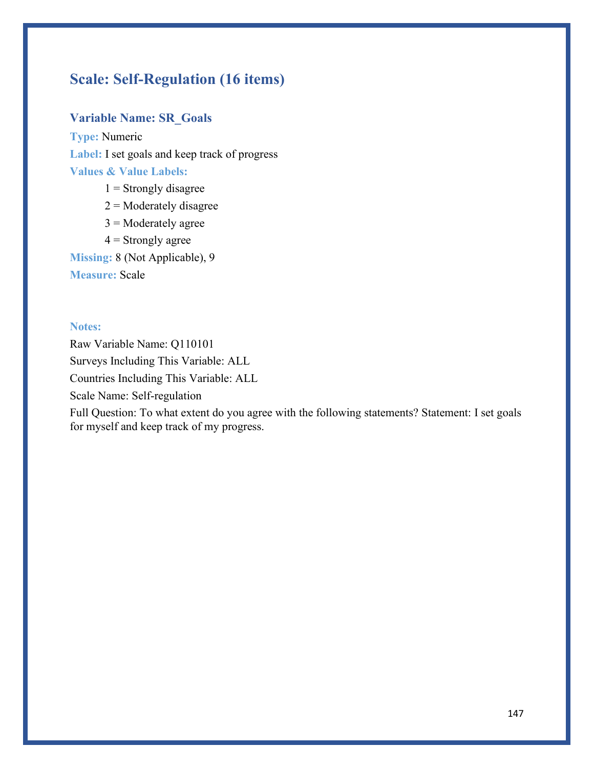# **Scale: Self-Regulation (16 items)**

### **Variable Name: SR\_Goals**

**Type:** Numeric **Label:** I set goals and keep track of progress **Values & Value Labels:**

- $1$  = Strongly disagree
- $2$  = Moderately disagree
- $3$  = Moderately agree
- $4 =$  Strongly agree

**Missing:** 8 (Not Applicable), 9

**Measure:** Scale

### **Notes:**

Raw Variable Name: Q110101 Surveys Including This Variable: ALL Countries Including This Variable: ALL Scale Name: Self-regulation

Full Question: To what extent do you agree with the following statements? Statement: I set goals for myself and keep track of my progress.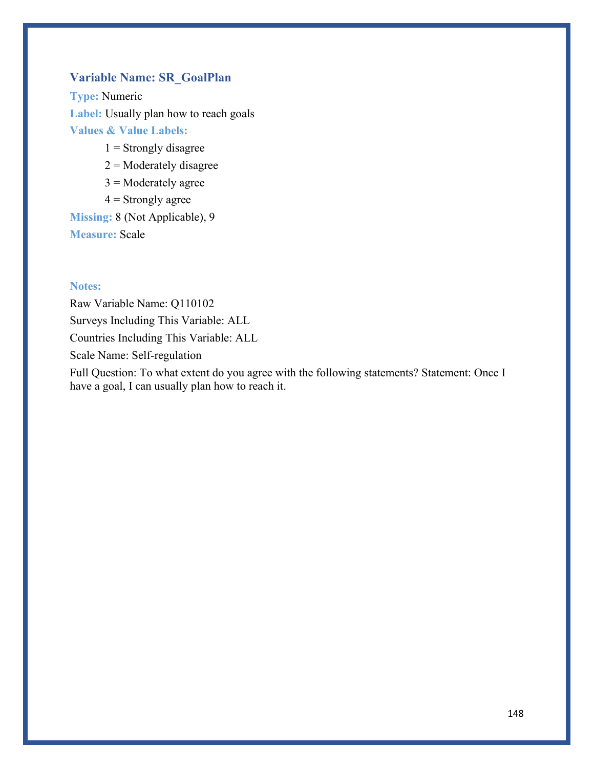# **Variable Name: SR\_GoalPlan**

**Type:** Numeric **Label:** Usually plan how to reach goals **Values & Value Labels:**

- $1 =$  Strongly disagree
- $2$  = Moderately disagree
- $3$  = Moderately agree
- $4 =$  Strongly agree

**Missing:** 8 (Not Applicable), 9 **Measure:** Scale

### **Notes:**

Raw Variable Name: Q110102 Surveys Including This Variable: ALL Countries Including This Variable: ALL Scale Name: Self-regulation

Full Question: To what extent do you agree with the following statements? Statement: Once I have a goal, I can usually plan how to reach it.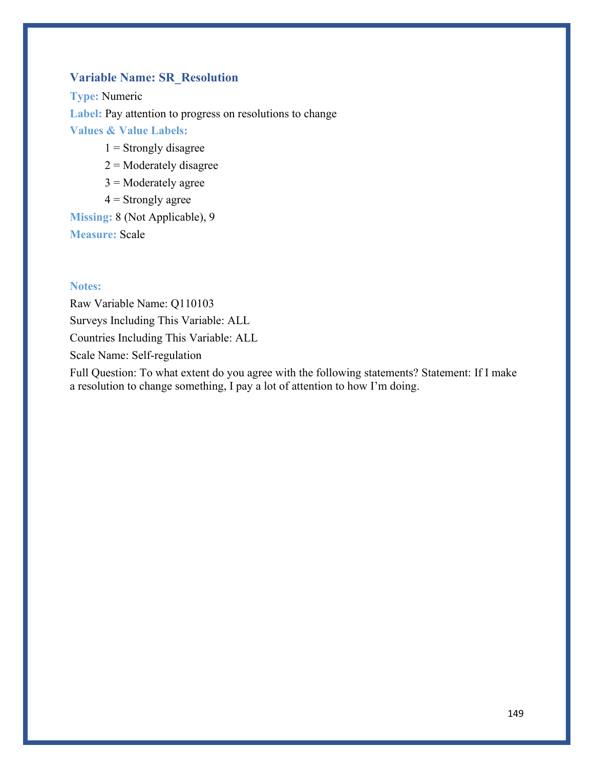# **Variable Name: SR\_Resolution**

**Type:** Numeric **Label:** Pay attention to progress on resolutions to change **Values & Value Labels:**

- $1 =$  Strongly disagree
- $2$  = Moderately disagree
- $3$  = Moderately agree
- $4 =$  Strongly agree

**Missing:** 8 (Not Applicable), 9 **Measure:** Scale

### **Notes:**

Raw Variable Name: Q110103 Surveys Including This Variable: ALL Countries Including This Variable: ALL Scale Name: Self-regulation

Full Question: To what extent do you agree with the following statements? Statement: If I make a resolution to change something, I pay a lot of attention to how I'm doing.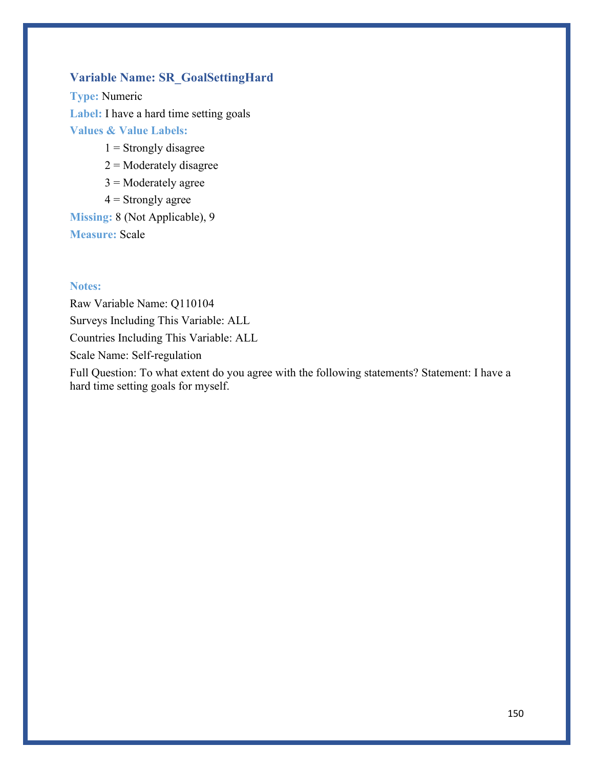# **Variable Name: SR\_GoalSettingHard**

**Type:** Numeric **Label:** I have a hard time setting goals **Values & Value Labels:**

- $1 =$  Strongly disagree
- $2$  = Moderately disagree
- $3$  = Moderately agree
- $4 =$  Strongly agree

**Missing:** 8 (Not Applicable), 9 **Measure:** Scale

### **Notes:**

Raw Variable Name: Q110104 Surveys Including This Variable: ALL Countries Including This Variable: ALL Scale Name: Self-regulation

Full Question: To what extent do you agree with the following statements? Statement: I have a hard time setting goals for myself.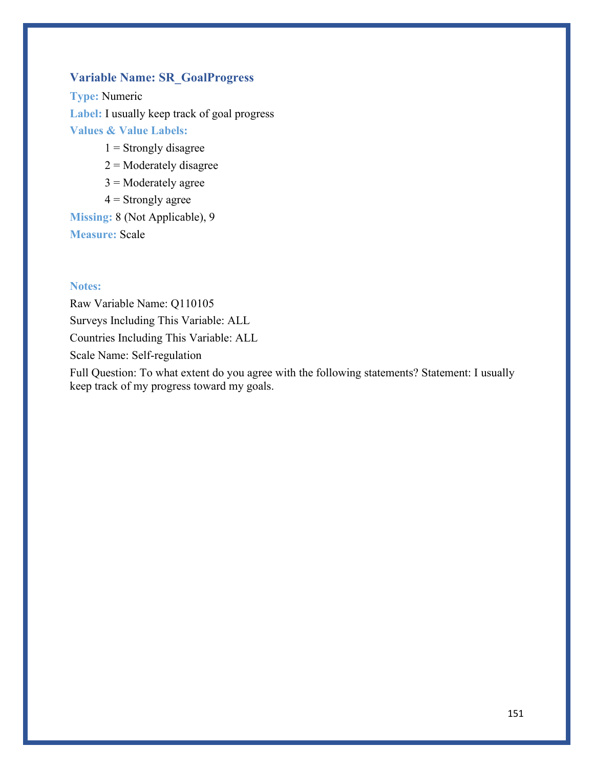# **Variable Name: SR\_GoalProgress**

**Type:** Numeric **Label:** I usually keep track of goal progress **Values & Value Labels:**

- $1 =$  Strongly disagree
- $2$  = Moderately disagree
- $3$  = Moderately agree
- $4 =$  Strongly agree

**Missing:** 8 (Not Applicable), 9 **Measure:** Scale

### **Notes:**

Raw Variable Name: Q110105 Surveys Including This Variable: ALL Countries Including This Variable: ALL Scale Name: Self-regulation

Full Question: To what extent do you agree with the following statements? Statement: I usually keep track of my progress toward my goals.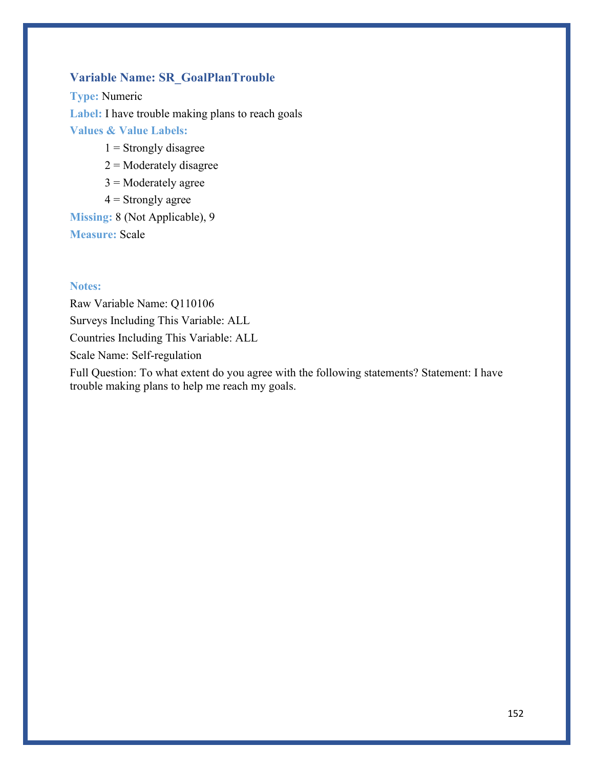# **Variable Name: SR\_GoalPlanTrouble**

**Type:** Numeric **Label:** I have trouble making plans to reach goals **Values & Value Labels:**

- $1 =$  Strongly disagree
- $2$  = Moderately disagree
- $3$  = Moderately agree
- $4 =$  Strongly agree

**Missing:** 8 (Not Applicable), 9 **Measure:** Scale

### **Notes:**

Raw Variable Name: Q110106 Surveys Including This Variable: ALL Countries Including This Variable: ALL Scale Name: Self-regulation

Full Question: To what extent do you agree with the following statements? Statement: I have trouble making plans to help me reach my goals.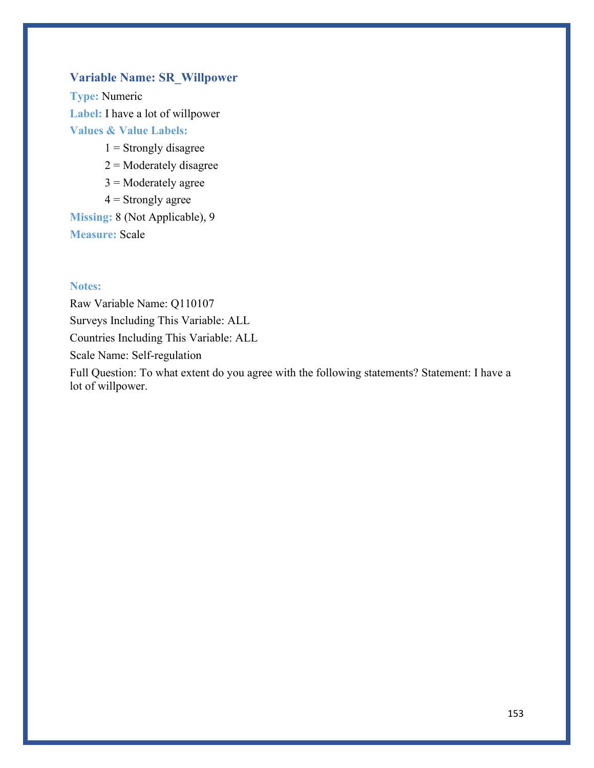# **Variable Name: SR\_Willpower**

**Type:** Numeric **Label:** I have a lot of willpower **Values & Value Labels:**

- $1 =$ Strongly disagree
- $2$  = Moderately disagree
- $3$  = Moderately agree
- $4 =$  Strongly agree

**Missing:** 8 (Not Applicable), 9 **Measure:** Scale

### **Notes:**

Raw Variable Name: Q110107 Surveys Including This Variable: ALL Countries Including This Variable: ALL Scale Name: Self-regulation

Full Question: To what extent do you agree with the following statements? Statement: I have a lot of willpower.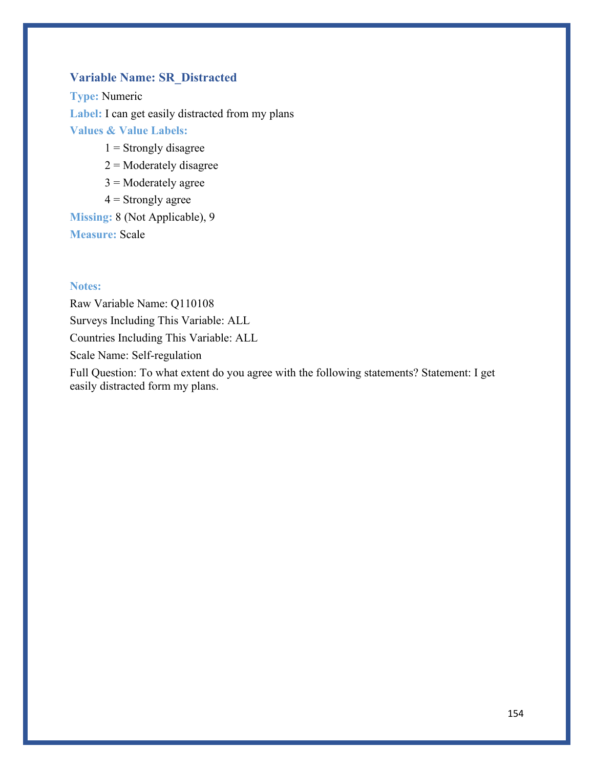# **Variable Name: SR\_Distracted**

**Type:** Numeric Label: I can get easily distracted from my plans **Values & Value Labels:**

- $1 =$  Strongly disagree
- $2$  = Moderately disagree
- $3$  = Moderately agree
- $4 =$  Strongly agree

**Missing:** 8 (Not Applicable), 9 **Measure:** Scale

### **Notes:**

Raw Variable Name: Q110108 Surveys Including This Variable: ALL Countries Including This Variable: ALL Scale Name: Self-regulation

Full Question: To what extent do you agree with the following statements? Statement: I get easily distracted form my plans.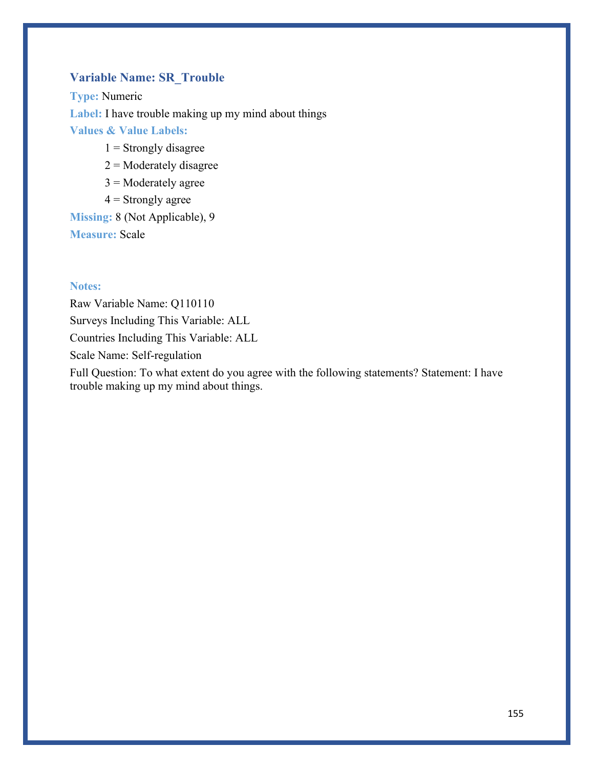# **Variable Name: SR\_Trouble**

**Type:** Numeric **Label:** I have trouble making up my mind about things **Values & Value Labels:**

- $1 =$  Strongly disagree
- $2$  = Moderately disagree
- $3$  = Moderately agree
- $4 =$  Strongly agree

**Missing:** 8 (Not Applicable), 9 **Measure:** Scale

### **Notes:**

Raw Variable Name: Q110110 Surveys Including This Variable: ALL Countries Including This Variable: ALL Scale Name: Self-regulation

Full Question: To what extent do you agree with the following statements? Statement: I have trouble making up my mind about things.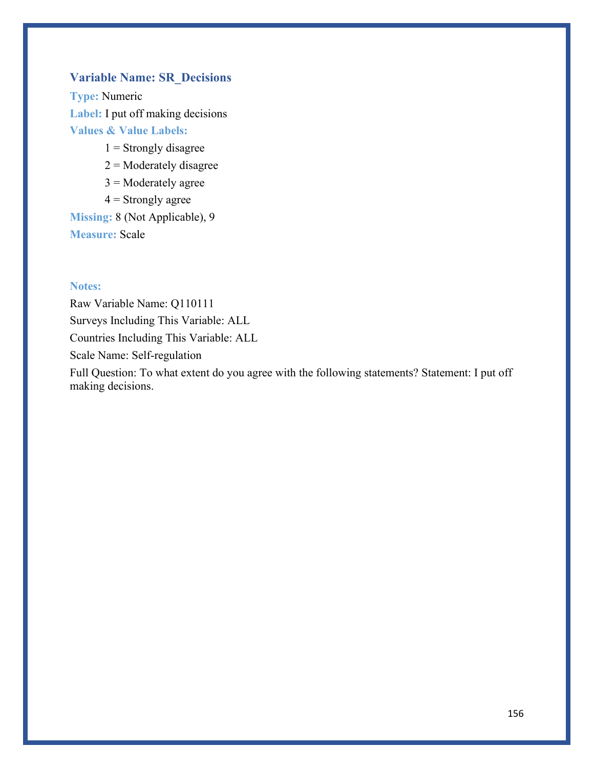# **Variable Name: SR\_Decisions**

**Type:** Numeric **Label:** I put off making decisions **Values & Value Labels:**

- $1 =$ Strongly disagree
- $2$  = Moderately disagree
- $3$  = Moderately agree
- $4 =$  Strongly agree

**Missing:** 8 (Not Applicable), 9 **Measure:** Scale

#### **Notes:**

Raw Variable Name: Q110111 Surveys Including This Variable: ALL Countries Including This Variable: ALL Scale Name: Self-regulation

Full Question: To what extent do you agree with the following statements? Statement: I put off making decisions.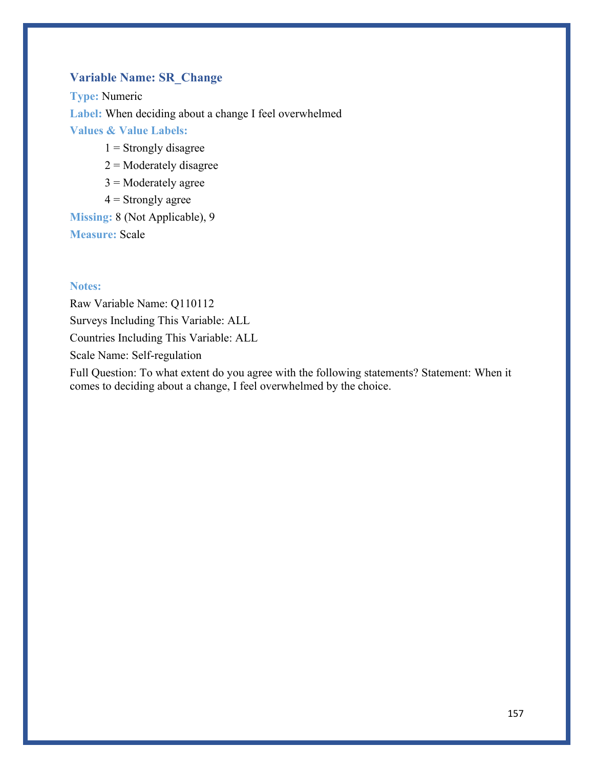# **Variable Name: SR\_Change**

**Type:** Numeric **Label:** When deciding about a change I feel overwhelmed **Values & Value Labels:**

- $1 =$  Strongly disagree
- $2$  = Moderately disagree
- $3$  = Moderately agree
- $4 =$  Strongly agree

**Missing:** 8 (Not Applicable), 9 **Measure:** Scale

### **Notes:**

Raw Variable Name: Q110112 Surveys Including This Variable: ALL Countries Including This Variable: ALL Scale Name: Self-regulation

Full Question: To what extent do you agree with the following statements? Statement: When it comes to deciding about a change, I feel overwhelmed by the choice.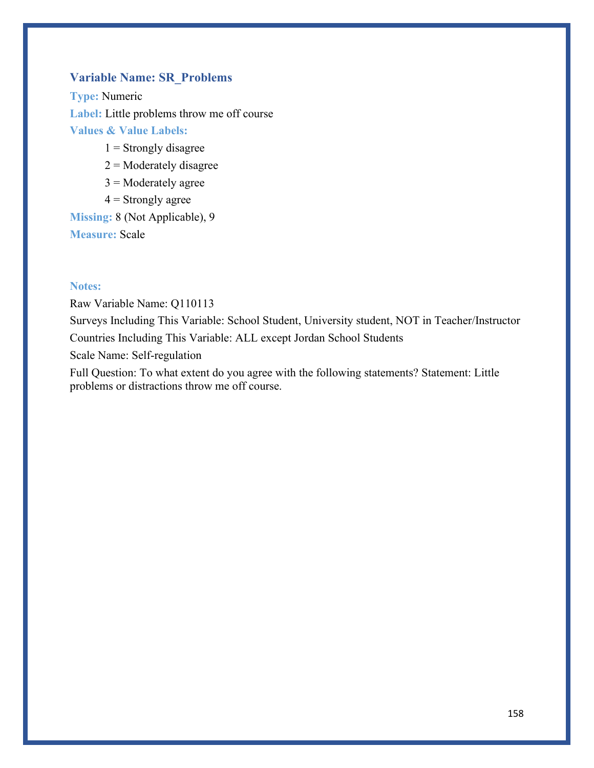# **Variable Name: SR\_Problems**

**Type:** Numeric **Label:** Little problems throw me off course **Values & Value Labels:**

- $1 =$  Strongly disagree
- $2$  = Moderately disagree
- $3$  = Moderately agree
- $4 =$  Strongly agree

**Missing:** 8 (Not Applicable), 9 **Measure:** Scale

### **Notes:**

Raw Variable Name: Q110113 Surveys Including This Variable: School Student, University student, NOT in Teacher/Instructor Countries Including This Variable: ALL except Jordan School Students Scale Name: Self-regulation

Full Question: To what extent do you agree with the following statements? Statement: Little problems or distractions throw me off course.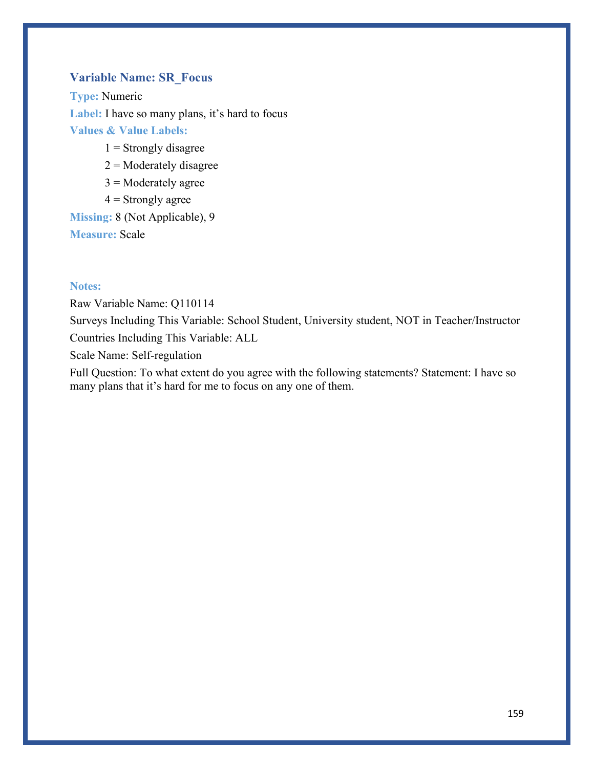### **Variable Name: SR\_Focus**

**Type:** Numeric Label: I have so many plans, it's hard to focus **Values & Value Labels:**

- $1 =$  Strongly disagree
- $2$  = Moderately disagree
- $3$  = Moderately agree
- $4 =$  Strongly agree

**Missing:** 8 (Not Applicable), 9 **Measure:** Scale

### **Notes:**

Raw Variable Name: Q110114 Surveys Including This Variable: School Student, University student, NOT in Teacher/Instructor Countries Including This Variable: ALL

Scale Name: Self-regulation

Full Question: To what extent do you agree with the following statements? Statement: I have so many plans that it's hard for me to focus on any one of them.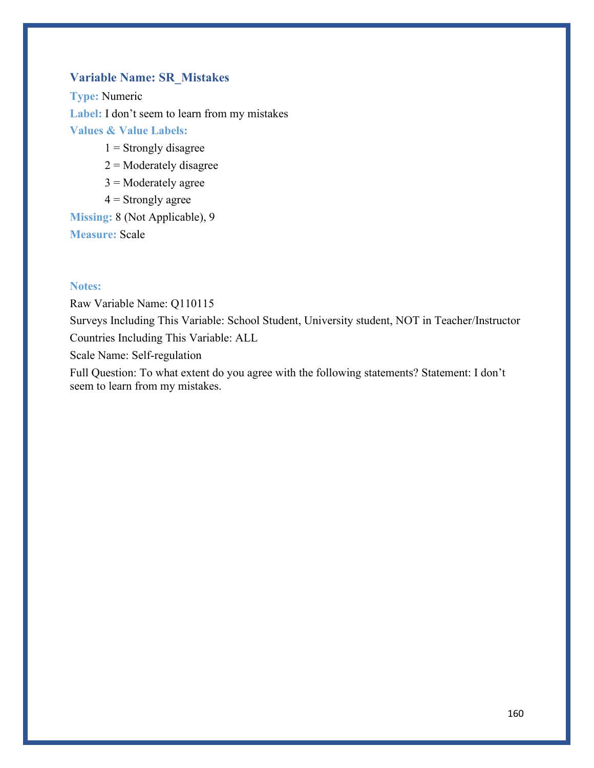### **Variable Name: SR\_Mistakes**

**Type:** Numeric **Label:** I don't seem to learn from my mistakes **Values & Value Labels:**

- $1 =$  Strongly disagree
- $2$  = Moderately disagree
- $3$  = Moderately agree
- $4 =$  Strongly agree

**Missing:** 8 (Not Applicable), 9 **Measure:** Scale

### **Notes:**

Raw Variable Name: Q110115 Surveys Including This Variable: School Student, University student, NOT in Teacher/Instructor Countries Including This Variable: ALL Scale Name: Self-regulation

Full Question: To what extent do you agree with the following statements? Statement: I don't seem to learn from my mistakes.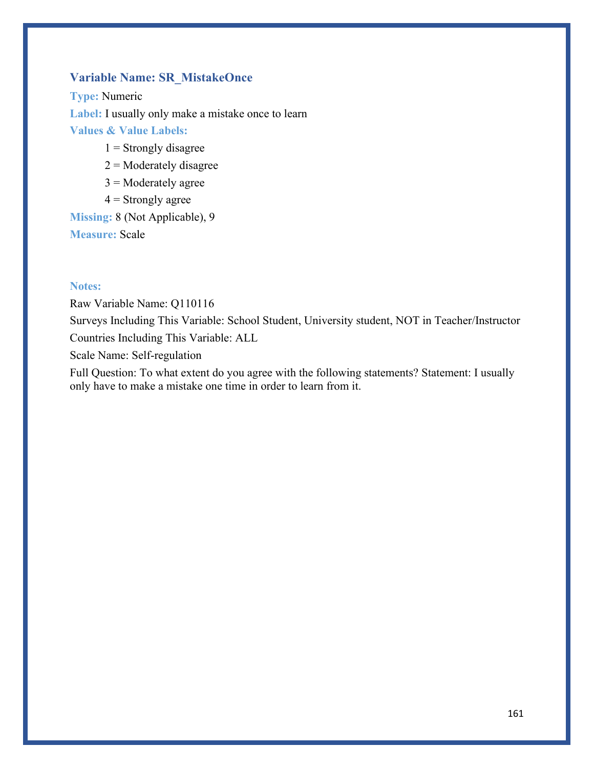# **Variable Name: SR\_MistakeOnce**

**Type:** Numeric **Label:** I usually only make a mistake once to learn **Values & Value Labels:**

- $1 =$  Strongly disagree
- $2$  = Moderately disagree
- $3$  = Moderately agree
- $4 =$  Strongly agree

**Missing:** 8 (Not Applicable), 9 **Measure:** Scale

### **Notes:**

Raw Variable Name: Q110116 Surveys Including This Variable: School Student, University student, NOT in Teacher/Instructor Countries Including This Variable: ALL

Scale Name: Self-regulation

Full Question: To what extent do you agree with the following statements? Statement: I usually only have to make a mistake one time in order to learn from it.